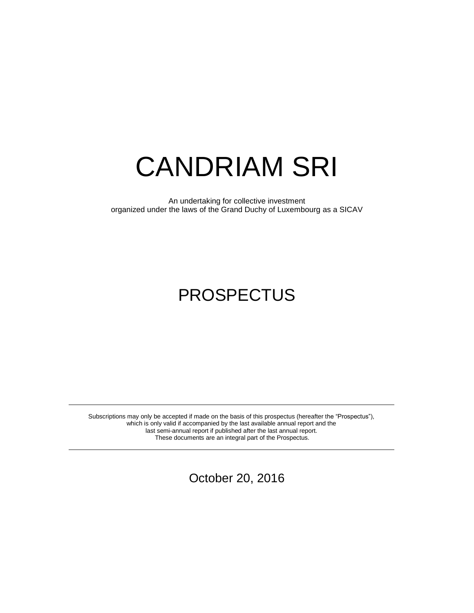# CANDRIAM SRI

An undertaking for collective investment organized under the laws of the Grand Duchy of Luxembourg as a SICAV

# PROSPECTUS

Subscriptions may only be accepted if made on the basis of this prospectus (hereafter the "Prospectus"), which is only valid if accompanied by the last available annual report and the last semi-annual report if published after the last annual report. These documents are an integral part of the Prospectus.

October 20, 2016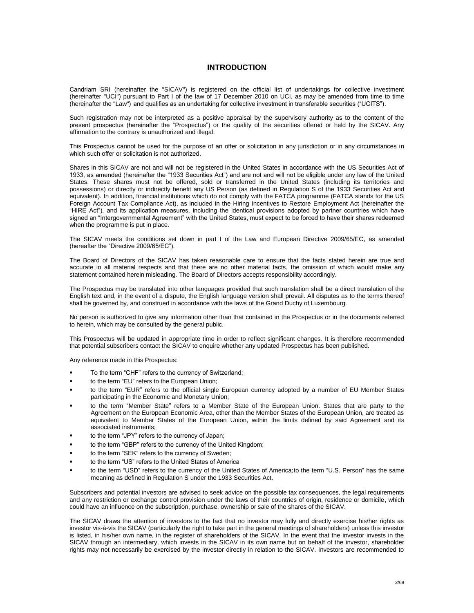# **INTRODUCTION**

Candriam SRI (hereinafter the "SICAV") is registered on the official list of undertakings for collective investment (hereinafter "UCI") pursuant to Part I of the law of 17 December 2010 on UCI, as may be amended from time to time (hereinafter the "Law") and qualifies as an undertaking for collective investment in transferable securities ("UCITS").

Such registration may not be interpreted as a positive appraisal by the supervisory authority as to the content of the present prospectus (hereinafter the "Prospectus") or the quality of the securities offered or held by the SICAV. Any affirmation to the contrary is unauthorized and illegal.

This Prospectus cannot be used for the purpose of an offer or solicitation in any jurisdiction or in any circumstances in which such offer or solicitation is not authorized.

Shares in this SICAV are not and will not be registered in the United States in accordance with the US Securities Act of 1933, as amended (hereinafter the "1933 Securities Act") and are not and will not be eligible under any law of the United States. These shares must not be offered, sold or transferred in the United States (including its territories and possessions) or directly or indirectly benefit any US Person (as defined in Regulation S of the 1933 Securities Act and equivalent). In addition, financial institutions which do not comply with the FATCA programme (FATCA stands for the US Foreign Account Tax Compliance Act), as included in the Hiring Incentives to Restore Employment Act (hereinafter the "HIRE Act"), and its application measures, including the identical provisions adopted by partner countries which have signed an "Intergovernmental Agreement" with the United States, must expect to be forced to have their shares redeemed when the programme is put in place.

The SICAV meets the conditions set down in part I of the Law and European Directive 2009/65/EC, as amended (hereafter the "Directive 2009/65/EC").

The Board of Directors of the SICAV has taken reasonable care to ensure that the facts stated herein are true and accurate in all material respects and that there are no other material facts, the omission of which would make any statement contained herein misleading. The Board of Directors accepts responsibility accordingly.

The Prospectus may be translated into other languages provided that such translation shall be a direct translation of the English text and, in the event of a dispute, the English language version shall prevail. All disputes as to the terms thereof shall be governed by, and construed in accordance with the laws of the Grand Duchy of Luxembourg.

No person is authorized to give any information other than that contained in the Prospectus or in the documents referred to herein, which may be consulted by the general public.

This Prospectus will be updated in appropriate time in order to reflect significant changes. It is therefore recommended that potential subscribers contact the SICAV to enquire whether any updated Prospectus has been published.

Any reference made in this Prospectus:

- To the term "CHF" refers to the currency of Switzerland;
- **to the term "EU" refers to the European Union;**
- to the term "EUR" refers to the official single European currency adopted by a number of EU Member States participating in the Economic and Monetary Union;
- to the term "Member State" refers to a Member State of the European Union. States that are party to the Agreement on the European Economic Area, other than the Member States of the European Union, are treated as equivalent to Member States of the European Union, within the limits defined by said Agreement and its associated instruments;
- to the term "JPY" refers to the currency of Japan;
- to the term "GBP" refers to the currency of the United Kingdom;
- to the term "SEK" refers to the currency of Sweden;
- to the term "US" refers to the United States of America
- to the term "USD" refers to the currency of the United States of America;to the term "U.S. Person" has the same meaning as defined in Regulation S under the 1933 Securities Act.

Subscribers and potential investors are advised to seek advice on the possible tax consequences, the legal requirements and any restriction or exchange control provision under the laws of their countries of origin, residence or domicile, which could have an influence on the subscription, purchase, ownership or sale of the shares of the SICAV.

The SICAV draws the attention of investors to the fact that no investor may fully and directly exercise his/her rights as investor vis-à-vis the SICAV (particularly the right to take part in the general meetings of shareholders) unless this investor is listed, in his/her own name, in the register of shareholders of the SICAV. In the event that the investor invests in the SICAV through an intermediary, which invests in the SICAV in its own name but on behalf of the investor, shareholder rights may not necessarily be exercised by the investor directly in relation to the SICAV. Investors are recommended to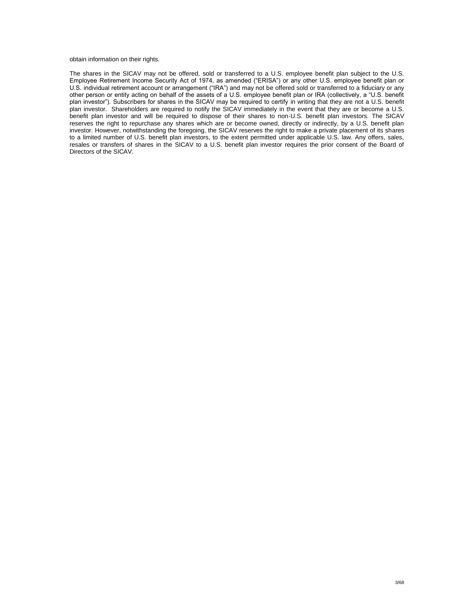obtain information on their rights.

The shares in the SICAV may not be offered, sold or transferred to a U.S. employee benefit plan subject to the U.S. Employee Retirement Income Security Act of 1974, as amended ("ERISA") or any other U.S. employee benefit plan or U.S. individual retirement account or arrangement ("IRA") and may not be offered sold or transferred to a fiduciary or any other person or entity acting on behalf of the assets of a U.S. employee benefit plan or IRA (collectively, a "U.S. benefit plan investor"). Subscribers for shares in the SICAV may be required to certify in writing that they are not a U.S. benefit plan investor. Shareholders are required to notify the SICAV immediately in the event that they are or become a U.S. benefit plan investor and will be required to dispose of their shares to non-U.S. benefit plan investors. The SICAV reserves the right to repurchase any shares which are or become owned, directly or indirectly, by a U.S. benefit plan investor. However, notwithstanding the foregoing, the SICAV reserves the right to make a private placement of its shares to a limited number of U.S. benefit plan investors, to the extent permitted under applicable U.S. law. Any offers, sales, resales or transfers of shares in the SICAV to a U.S. benefit plan investor requires the prior consent of the Board of Directors of the SICAV.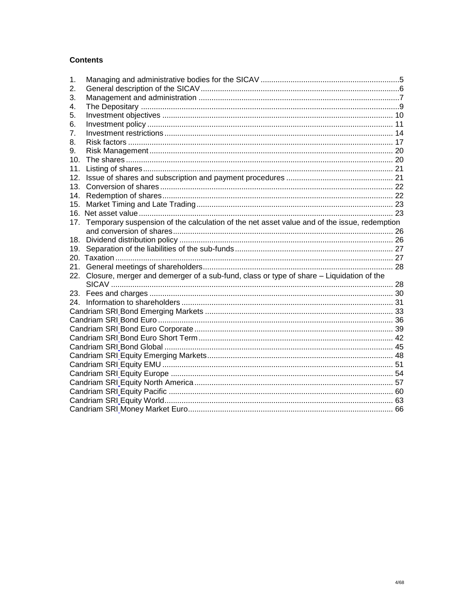# **Contents**

| 1.  |                                                                                             |  |  |  |
|-----|---------------------------------------------------------------------------------------------|--|--|--|
| 2.  |                                                                                             |  |  |  |
| 3.  |                                                                                             |  |  |  |
| 4.  |                                                                                             |  |  |  |
| 5.  |                                                                                             |  |  |  |
| 6.  |                                                                                             |  |  |  |
| 7.  |                                                                                             |  |  |  |
| 8.  |                                                                                             |  |  |  |
| 9.  |                                                                                             |  |  |  |
| 10. |                                                                                             |  |  |  |
| 11. |                                                                                             |  |  |  |
| 12. |                                                                                             |  |  |  |
| 13. |                                                                                             |  |  |  |
| 14. |                                                                                             |  |  |  |
| 15. |                                                                                             |  |  |  |
|     |                                                                                             |  |  |  |
| 17. | Temporary suspension of the calculation of the net asset value and of the issue, redemption |  |  |  |
|     |                                                                                             |  |  |  |
|     |                                                                                             |  |  |  |
|     |                                                                                             |  |  |  |
|     |                                                                                             |  |  |  |
|     |                                                                                             |  |  |  |
|     | 22. Closure, merger and demerger of a sub-fund, class or type of share - Liquidation of the |  |  |  |
|     |                                                                                             |  |  |  |
|     |                                                                                             |  |  |  |
|     |                                                                                             |  |  |  |
|     |                                                                                             |  |  |  |
|     |                                                                                             |  |  |  |
|     |                                                                                             |  |  |  |
|     |                                                                                             |  |  |  |
|     |                                                                                             |  |  |  |
|     |                                                                                             |  |  |  |
|     |                                                                                             |  |  |  |
|     |                                                                                             |  |  |  |
|     |                                                                                             |  |  |  |
|     |                                                                                             |  |  |  |
|     |                                                                                             |  |  |  |
|     |                                                                                             |  |  |  |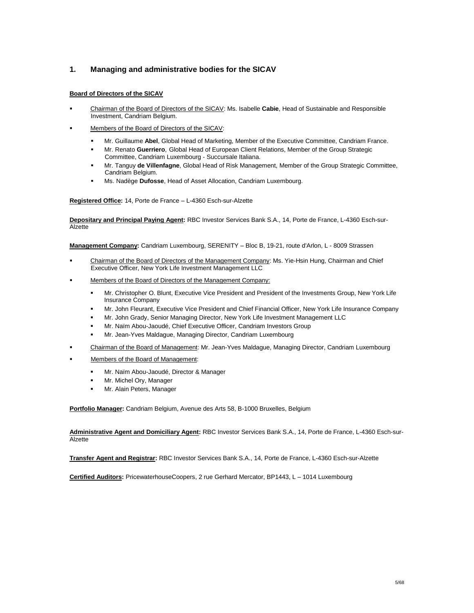# <span id="page-4-0"></span>**1. Managing and administrative bodies for the SICAV**

# **Board of Directors of the SICAV**

- Chairman of the Board of Directors of the SICAV: Ms. Isabelle **Cabie**, Head of Sustainable and Responsible Investment, Candriam Belgium.
- Members of the Board of Directors of the SICAV:
	- Mr. Guillaume **Abel**, Global Head of Marketing, Member of the Executive Committee, Candriam France.
	- Mr. Renato **Guerriero**, Global Head of European Client Relations, Member of the Group Strategic Committee, Candriam Luxembourg - Succursale Italiana.
	- Mr. Tanguy **de Villenfagne**, Global Head of Risk Management, Member of the Group Strategic Committee, Candriam Belgium.
	- Ms. Nadège **Dufosse**, Head of Asset Allocation, Candriam Luxembourg.

**Registered Office:** 14, Porte de France – L-4360 Esch-sur-Alzette

**Depositary and Principal Paying Agent:** RBC Investor Services Bank S.A., 14, Porte de France, L-4360 Esch-sur-Alzette

**Management Company:** Candriam Luxembourg, SERENITY – Bloc B, 19-21, route d'Arlon, L - 8009 Strassen

- Chairman of the Board of Directors of the Management Company: Ms. Yie-Hsin Hung, Chairman and Chief Executive Officer, New York Life Investment Management LLC
- Members of the Board of Directors of the Management Company:
	- Mr. Christopher O. Blunt, Executive Vice President and President of the Investments Group, New York Life Insurance Company
	- Mr. John Fleurant, Executive Vice President and Chief Financial Officer, New York Life Insurance Company
	- Mr. John Grady, Senior Managing Director, New York Life Investment Management LLC
	- Mr. Naïm Abou-Jaoudé, Chief Executive Officer, Candriam Investors Group
	- Mr. Jean-Yves Maldague, Managing Director, Candriam Luxembourg
- Chairman of the Board of Management: Mr. Jean-Yves Maldague, Managing Director, Candriam Luxembourg
- Members of the Board of Management:
	- Mr. Naïm Abou-Jaoudé, Director & Manager
	- Mr. Michel Ory, Manager
	- Mr. Alain Peters, Manager

**Portfolio Manager:** Candriam Belgium, Avenue des Arts 58, B-1000 Bruxelles, Belgium

**Administrative Agent and Domiciliary Agent:** RBC Investor Services Bank S.A., 14, Porte de France, L-4360 Esch-sur-Alzette

**Transfer Agent and Registrar:** RBC Investor Services Bank S.A., 14, Porte de France, L-4360 Esch-sur-Alzette

**Certified Auditors:** PricewaterhouseCoopers, 2 rue Gerhard Mercator, BP1443, L – 1014 Luxembourg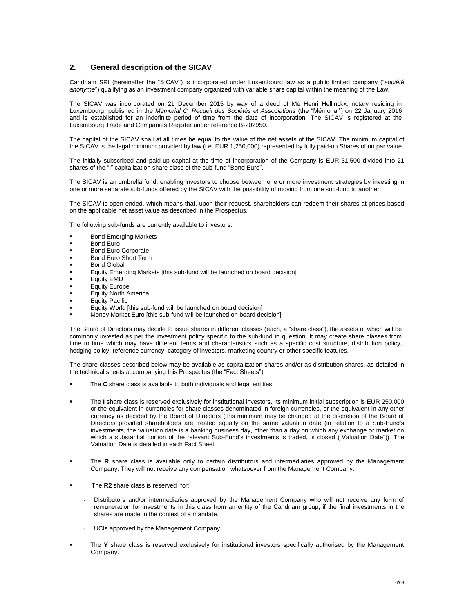# <span id="page-5-0"></span>**2. General description of the SICAV**

Candriam SRI (hereinafter the "SICAV") is incorporated under Luxembourg law as a public limited company ("*société anonyme*") qualifying as an investment company organized with variable share capital within the meaning of the Law.

The SICAV was incorporated on 21 December 2015 by way of a deed of Me Henri Hellinckx, notary residing in Luxembourg, published in the *Mémorial C, Recueil des Sociétés et Associations* (the "Mémorial") on 22 January 2016 and is established for an indefinite period of time from the date of incorporation. The SICAV is registered at the Luxembourg Trade and Companies Register under reference B-202950.

The capital of the SICAV shall at all times be equal to the value of the net assets of the SICAV. The minimum capital of the SICAV is the legal minimum provided by law (i.e. EUR 1,250,000) represented by fully paid-up Shares of no par value.

The initially subscribed and paid-up capital at the time of incorporation of the Company is EUR 31,500 divided into 21 shares of the "I" capitalization share class of the sub-fund "Bond Euro".

The SICAV is an umbrella fund, enabling investors to choose between one or more investment strategies by investing in one or more separate sub-funds offered by the SICAV with the possibility of moving from one sub-fund to another.

The SICAV is open-ended, which means that, upon their request, shareholders can redeem their shares at prices based on the applicable net asset value as described in the Prospectus.

The following sub-funds are currently available to investors:

- **Bond Emerging Markets**
- Bond Euro
- **Bond Euro Corporate**
- Bond Euro Short Term
- Bond Global
- Equity Emerging Markets [this sub-fund will be launched on board decision]
- Equity EMU
- Equity Europe
- Equity North America
- Equity Pacific
- Equity World [this sub-fund will be launched on board decision]
- Money Market Euro [this sub-fund will be launched on board decision]

The Board of Directors may decide to issue shares in different classes (each, a "share class"), the assets of which will be commonly invested as per the investment policy specific to the sub-fund in question. It may create share classes from time to time which may have different terms and characteristics such as a specific cost structure, distribution policy, hedging policy, reference currency, category of investors, marketing country or other specific features.

The share classes described below may be available as capitalization shares and/or as distribution shares, as detailed in the technical sheets accompanying this Prospectus (the "Fact Sheets") :

- The **C** share class is available to both individuals and legal entities.
- The **I** share class is reserved exclusively for institutional investors. Its minimum initial subscription is EUR 250,000 or the equivalent in currencies for share classes denominated in foreign currencies, or the equivalent in any other currency as decided by the Board of Directors (this minimum may be changed at the discretion of the Board of Directors provided shareholders are treated equally on the same valuation date (in relation to a Sub-Fund's investments, the valuation date is a banking business day, other than a day on which any exchange or market on which a substantial portion of the relevant Sub-Fund's investments is traded, is closed ("Valuation Date")). The Valuation Date is detailed in each Fact Sheet.
- The **R** share class is available only to certain distributors and intermediaries approved by the Management Company. They will not receive any compensation whatsoever from the Management Company.
- The **R2** share class is reserved for:
	- Distributors and/or intermediaries approved by the Management Company who will not receive any form of remuneration for investments in this class from an entity of the Candriam group, if the final investments in the shares are made in the context of a mandate.
	- UCIs approved by the Management Company.
- **The Y** share class is reserved exclusively for institutional investors specifically authorised by the Management Company.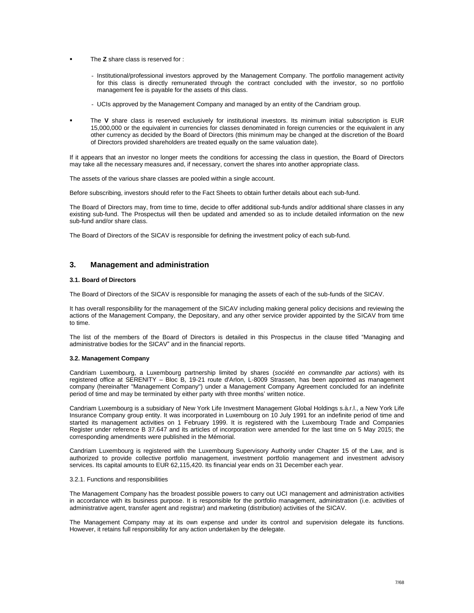- The **Z** share class is reserved for :
	- Institutional/professional investors approved by the Management Company. The portfolio management activity for this class is directly remunerated through the contract concluded with the investor, so no portfolio management fee is payable for the assets of this class.
	- UCIs approved by the Management Company and managed by an entity of the Candriam group.
- The **V** share class is reserved exclusively for institutional investors. Its minimum initial subscription is EUR 15,000,000 or the equivalent in currencies for classes denominated in foreign currencies or the equivalent in any other currency as decided by the Board of Directors (this minimum may be changed at the discretion of the Board of Directors provided shareholders are treated equally on the same valuation date).

If it appears that an investor no longer meets the conditions for accessing the class in question, the Board of Directors may take all the necessary measures and, if necessary, convert the shares into another appropriate class.

The assets of the various share classes are pooled within a single account.

Before subscribing, investors should refer to the Fact Sheets to obtain further details about each sub-fund.

The Board of Directors may, from time to time, decide to offer additional sub-funds and/or additional share classes in any existing sub-fund. The Prospectus will then be updated and amended so as to include detailed information on the new sub-fund and/or share class.

The Board of Directors of the SICAV is responsible for defining the investment policy of each sub-fund.

# <span id="page-6-0"></span>**3. Management and administration**

#### **3.1. Board of Directors**

The Board of Directors of the SICAV is responsible for managing the assets of each of the sub-funds of the SICAV.

It has overall responsibility for the management of the SICAV including making general policy decisions and reviewing the actions of the Management Company, the Depositary, and any other service provider appointed by the SICAV from time to time.

The list of the members of the Board of Directors is detailed in this Prospectus in the clause titled "Managing and administrative bodies for the SICAV" and in the financial reports.

#### **3.2. Management Company**

Candriam Luxembourg, a Luxembourg partnership limited by shares (*société en commandite par actions*) with its registered office at SERENITY – Bloc B, 19-21 route d'Arlon, L-8009 Strassen, has been appointed as management company (hereinafter "Management Company") under a Management Company Agreement concluded for an indefinite period of time and may be terminated by either party with three months' written notice.

Candriam Luxembourg is a subsidiary of New York Life Investment Management Global Holdings s.à.r.l., a New York Life Insurance Company group entity. It was incorporated in Luxembourg on 10 July 1991 for an indefinite period of time and started its management activities on 1 February 1999. It is registered with the Luxembourg Trade and Companies Register under reference B 37.647 and its articles of incorporation were amended for the last time on 5 May 2015; the corresponding amendments were published in the Mémorial.

Candriam Luxembourg is registered with the Luxembourg Supervisory Authority under Chapter 15 of the Law, and is authorized to provide collective portfolio management, investment portfolio management and investment advisory services. Its capital amounts to EUR 62,115,420. Its financial year ends on 31 December each year.

#### 3.2.1. Functions and responsibilities

The Management Company has the broadest possible powers to carry out UCI management and administration activities in accordance with its business purpose. It is responsible for the portfolio management, administration (i.e. activities of administrative agent, transfer agent and registrar) and marketing (distribution) activities of the SICAV.

The Management Company may at its own expense and under its control and supervision delegate its functions. However, it retains full responsibility for any action undertaken by the delegate.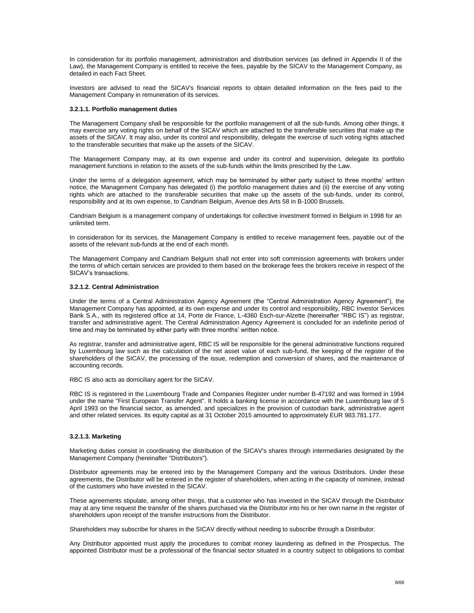In consideration for its portfolio management, administration and distribution services (as defined in Appendix II of the Law), the Management Company is entitled to receive the fees, payable by the SICAV to the Management Company, as detailed in each Fact Sheet.

Investors are advised to read the SICAV's financial reports to obtain detailed information on the fees paid to the Management Company in remuneration of its services.

#### **3.2.1.1. Portfolio management duties**

The Management Company shall be responsible for the portfolio management of all the sub-funds. Among other things, it may exercise any voting rights on behalf of the SICAV which are attached to the transferable securities that make up the assets of the SICAV. It may also, under its control and responsibility, delegate the exercise of such voting rights attached to the transferable securities that make up the assets of the SICAV.

The Management Company may, at its own expense and under its control and supervision, delegate its portfolio management functions in relation to the assets of the sub-funds within the limits prescribed by the Law.

Under the terms of a delegation agreement, which may be terminated by either party subject to three months' written notice, the Management Company has delegated (i) the portfolio management duties and (ii) the exercise of any voting rights which are attached to the transferable securities that make up the assets of the sub-funds, under its control, responsibility and at its own expense, to Candriam Belgium, Avenue des Arts 58 in B-1000 Brussels.

Candriam Belgium is a management company of undertakings for collective investment formed in Belgium in 1998 for an unlimited term.

In consideration for its services, the Management Company is entitled to receive management fees, payable out of the assets of the relevant sub-funds at the end of each month.

The Management Company and Candriam Belgium shall not enter into soft commission agreements with brokers under the terms of which certain services are provided to them based on the brokerage fees the brokers receive in respect of the SICAV's transactions.

#### **3.2.1.2. Central Administration**

Under the terms of a Central Administration Agency Agreement (the "Central Administration Agency Agreement"), the Management Company has appointed, at its own expense and under its control and responsibility, RBC Investor Services Bank S.A., with its registered office at 14, Porte de France, L-4360 Esch-sur-Alzette (hereinafter "RBC IS") as registrar, transfer and administrative agent. The Central Administration Agency Agreement is concluded for an indefinite period of time and may be terminated by either party with three months' written notice.

As registrar, transfer and administrative agent, RBC IS will be responsible for the general administrative functions required by Luxembourg law such as the calculation of the net asset value of each sub-fund, the keeping of the register of the shareholders of the SICAV, the processing of the issue, redemption and conversion of shares, and the maintenance of accounting records.

RBC IS also acts as domiciliary agent for the SICAV.

RBC IS is registered in the Luxembourg Trade and Companies Register under number B-47192 and was formed in 1994 under the name "First European Transfer Agent". It holds a banking license in accordance with the Luxembourg law of 5 April 1993 on the financial sector, as amended, and specializes in the provision of custodian bank, administrative agent and other related services. Its equity capital as at 31 October 2015 amounted to approximately EUR 983.781.177.

#### **3.2.1.3. Marketing**

Marketing duties consist in coordinating the distribution of the SICAV's shares through intermediaries designated by the Management Company (hereinafter "Distributors").

Distributor agreements may be entered into by the Management Company and the various Distributors. Under these agreements, the Distributor will be entered in the register of shareholders, when acting in the capacity of nominee, instead of the customers who have invested in the SICAV.

These agreements stipulate, among other things, that a customer who has invested in the SICAV through the Distributor may at any time request the transfer of the shares purchased via the Distributor into his or her own name in the register of shareholders upon receipt of the transfer instructions from the Distributor.

Shareholders may subscribe for shares in the SICAV directly without needing to subscribe through a Distributor.

Any Distributor appointed must apply the procedures to combat money laundering as defined in the Prospectus. The appointed Distributor must be a professional of the financial sector situated in a country subject to obligations to combat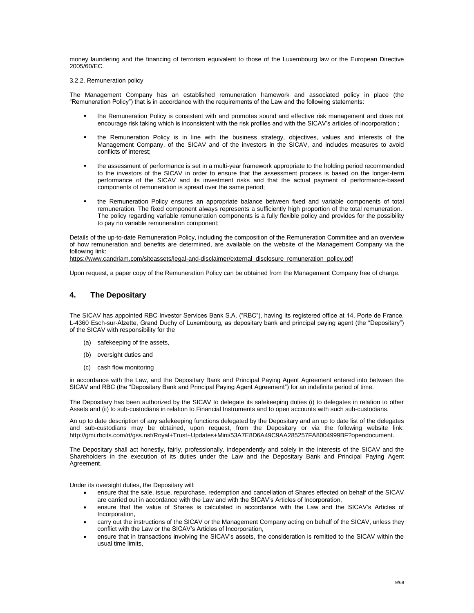money laundering and the financing of terrorism equivalent to those of the Luxembourg law or the European Directive 2005/60/EC.

#### 3.2.2. Remuneration policy

The Management Company has an established remuneration framework and associated policy in place (the "Remuneration Policy") that is in accordance with the requirements of the Law and the following statements:

- the Remuneration Policy is consistent with and promotes sound and effective risk management and does not encourage risk taking which is inconsistent with the risk profiles and with the SICAV's articles of incorporation ;
- " the Remuneration Policy is in line with the business strategy, objectives, values and interests of the Management Company, of the SICAV and of the investors in the SICAV, and includes measures to avoid conflicts of interest;
- the assessment of performance is set in a multi-year framework appropriate to the holding period recommended to the investors of the SICAV in order to ensure that the assessment process is based on the longer-term performance of the SICAV and its investment risks and that the actual payment of performance-based components of remuneration is spread over the same period;
- the Remuneration Policy ensures an appropriate balance between fixed and variable components of total remuneration. The fixed component always represents a sufficiently high proportion of the total remuneration. The policy regarding variable remuneration components is a fully flexible policy and provides for the possibility to pay no variable remuneration component;

Details of the up-to-date Remuneration Policy, including the composition of the Remuneration Committee and an overview of how remuneration and benefits are determined, are available on the website of the Management Company via the following link:

[https://www.candriam.com/siteassets/legal-and-disclaimer/external\\_disclosure\\_remuneration\\_policy.pdf](https://www.candriam.com/siteassets/legal-and-disclaimer/external_disclosure_remuneration_policy.pdf)

Upon request, a paper copy of the Remuneration Policy can be obtained from the Management Company free of charge.

# <span id="page-8-0"></span>**4. The Depositary**

The SICAV has appointed RBC Investor Services Bank S.A. ("RBC"), having its registered office at 14, Porte de France, L-4360 Esch-sur-Alzette, Grand Duchy of Luxembourg, as depositary bank and principal paying agent (the "Depositary") of the SICAV with responsibility for the

- (a) safekeeping of the assets,
- (b) oversight duties and
- (c) cash flow monitoring

in accordance with the Law, and the Depositary Bank and Principal Paying Agent Agreement entered into between the SICAV and RBC (the "Depositary Bank and Principal Paying Agent Agreement") for an indefinite period of time.

The Depositary has been authorized by the SICAV to delegate its safekeeping duties (i) to delegates in relation to other Assets and (ii) to sub-custodians in relation to Financial Instruments and to open accounts with such sub-custodians.

An up to date description of any safekeeping functions delegated by the Depositary and an up to date list of the delegates and sub-custodians may be obtained, upon request, from the Depositary or via the following website link: [http://gmi.rbcits.com/rt/gss.nsf/Royal+Trust+Updates+Mini/53A7E8D6A49C9AA285257FA8004999BF?opendocument.](http://gmi.rbcits.com/rt/gss.nsf/Royal+Trust+Updates+Mini/53A7E8D6A49C9AA285257FA8004999BF?opendocument)

The Depositary shall act honestly, fairly, professionally, independently and solely in the interests of the SICAV and the Shareholders in the execution of its duties under the Law and the Depositary Bank and Principal Paying Agent Agreement.

Under its oversight duties, the Depositary will:

- ensure that the sale, issue, repurchase, redemption and cancellation of Shares effected on behalf of the SICAV are carried out in accordance with the Law and with the SICAV's Articles of Incorporation,
- ensure that the value of Shares is calculated in accordance with the Law and the SICAV's Articles of Incorporation,
- carry out the instructions of the SICAV or the Management Company acting on behalf of the SICAV, unless they conflict with the Law or the SICAV's Articles of Incorporation,
- ensure that in transactions involving the SICAV's assets, the consideration is remitted to the SICAV within the usual time limits,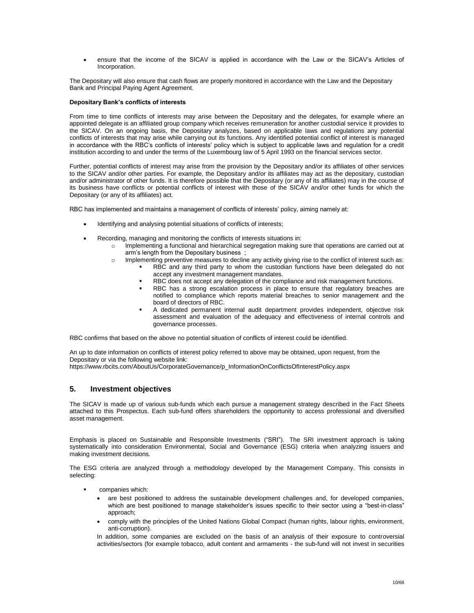ensure that the income of the SICAV is applied in accordance with the Law or the SICAV's Articles of Incorporation.

The Depositary will also ensure that cash flows are properly monitored in accordance with the Law and the Depositary Bank and Principal Paying Agent Agreement.

#### **Depositary Bank's conflicts of interests**

From time to time conflicts of interests may arise between the Depositary and the delegates, for example where an appointed delegate is an affiliated group company which receives remuneration for another custodial service it provides to the SICAV. On an ongoing basis, the Depositary analyzes, based on applicable laws and regulations any potential conflicts of interests that may arise while carrying out its functions. Any identified potential conflict of interest is managed in accordance with the RBC's conflicts of interests' policy which is subject to applicable laws and regulation for a credit institution according to and under the terms of the Luxembourg law of 5 April 1993 on the financial services sector.

Further, potential conflicts of interest may arise from the provision by the Depositary and/or its affiliates of other services to the SICAV and/or other parties. For example, the Depositary and/or its affiliates may act as the depositary, custodian and/or administrator of other funds. It is therefore possible that the Depositary (or any of its affiliates) may in the course of its business have conflicts or potential conflicts of interest with those of the SICAV and/or other funds for which the Depositary (or any of its affiliates) act.

RBC has implemented and maintains a management of conflicts of interests' policy, aiming namely at:

- Identifying and analysing potential situations of conflicts of interests;
- Recording, managing and monitoring the conflicts of interests situations in:
	- o Implementing a functional and hierarchical segregation making sure that operations are carried out at arm's length from the Depositary business ;
	- o Implementing preventive measures to decline any activity giving rise to the conflict of interest such as:
		- RBC and any third party to whom the custodian functions have been delegated do not accept any investment management mandates.
		- RBC does not accept any delegation of the compliance and risk management functions.
		- RBC has a strong escalation process in place to ensure that regulatory breaches are notified to compliance which reports material breaches to senior management and the board of directors of RBC.
		- A dedicated permanent internal audit department provides independent, objective risk assessment and evaluation of the adequacy and effectiveness of internal controls and governance processes.

RBC confirms that based on the above no potential situation of conflicts of interest could be identified.

An up to date information on conflicts of interest policy referred to above may be obtained, upon request, from the Depositary or via the following website link:

[https://www.rbcits.com/AboutUs/CorporateGovernance/p\\_InformationOnConflictsOfInterestPolicy.aspx](https://www.rbcits.com/AboutUs/CorporateGovernance/p_InformationOnConflictsOfInterestPolicy.aspx)

# <span id="page-9-0"></span>**5. Investment objectives**

The SICAV is made up of various sub-funds which each pursue a management strategy described in the Fact Sheets attached to this Prospectus. Each sub-fund offers shareholders the opportunity to access professional and diversified asset management.

Emphasis is placed on Sustainable and Responsible Investments ("SRI"). The SRI investment approach is taking systematically into consideration Environmental, Social and Governance (ESG) criteria when analyzing issuers and making investment decisions.

The ESG criteria are analyzed through a methodology developed by the Management Company. This consists in selecting:

- companies which:
	- are best positioned to address the sustainable development challenges and, for developed companies, which are best positioned to manage stakeholder's issues specific to their sector using a "best-in-class" approach;
	- comply with the principles of the United Nations Global Compact (human rights, labour rights, environment, anti-corruption).

In addition, some companies are excluded on the basis of an analysis of their exposure to controversial activities/sectors (for example tobacco, adult content and armaments - the sub-fund will not invest in securities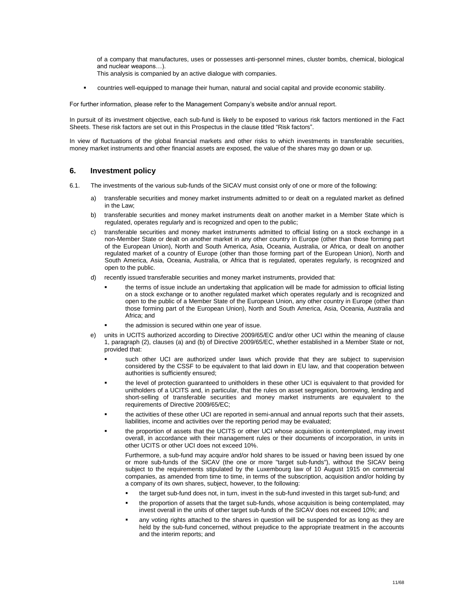of a company that manufactures, uses or possesses anti-personnel mines, cluster bombs, chemical, biological and nuclear weapons…). This analysis is companied by an active dialogue with companies.

countries well-equipped to manage their human, natural and social capital and provide economic stability.

For further information, please refer to the Management Company's website and/or annual report.

In pursuit of its investment objective, each sub-fund is likely to be exposed to various risk factors mentioned in the Fact Sheets. These risk factors are set out in this Prospectus in the clause titled "Risk factors".

In view of fluctuations of the global financial markets and other risks to which investments in transferable securities, money market instruments and other financial assets are exposed, the value of the shares may go down or up.

# <span id="page-10-0"></span>**6. Investment policy**

- 6.1. The investments of the various sub-funds of the SICAV must consist only of one or more of the following:
	- a) transferable securities and money market instruments admitted to or dealt on a regulated market as defined in the Law;
	- b) transferable securities and money market instruments dealt on another market in a Member State which is regulated, operates regularly and is recognized and open to the public;
	- c) transferable securities and money market instruments admitted to official listing on a stock exchange in a non-Member State or dealt on another market in any other country in Europe (other than those forming part of the European Union), North and South America, Asia, Oceania, Australia, or Africa, or dealt on another regulated market of a country of Europe (other than those forming part of the European Union), North and South America, Asia, Oceania, Australia, or Africa that is regulated, operates regularly, is recognized and open to the public.
	- d) recently issued transferable securities and money market instruments, provided that:
		- the terms of issue include an undertaking that application will be made for admission to official listing on a stock exchange or to another regulated market which operates regularly and is recognized and open to the public of a Member State of the European Union, any other country in Europe (other than those forming part of the European Union), North and South America, Asia, Oceania, Australia and Africa; and
		- the admission is secured within one year of issue.
	- e) units in UCITS authorized according to Directive 2009/65/EC and/or other UCI within the meaning of clause 1, paragraph (2), clauses (a) and (b) of Directive 2009/65/EC, whether established in a Member State or not, provided that:
		- such other UCI are authorized under laws which provide that they are subject to supervision considered by the CSSF to be equivalent to that laid down in EU law, and that cooperation between authorities is sufficiently ensured;
		- the level of protection guaranteed to unitholders in these other UCI is equivalent to that provided for unitholders of a UCITS and, in particular, that the rules on asset segregation, borrowing, lending and short-selling of transferable securities and money market instruments are equivalent to the requirements of Directive 2009/65/EC;
		- the activities of these other UCI are reported in semi-annual and annual reports such that their assets, liabilities, income and activities over the reporting period may be evaluated;
		- the proportion of assets that the UCITS or other UCI whose acquisition is contemplated, may invest overall, in accordance with their management rules or their documents of incorporation, in units in other UCITS or other UCI does not exceed 10%.

Furthermore, a sub-fund may acquire and/or hold shares to be issued or having been issued by one or more sub-funds of the SICAV (the one or more "target sub-funds"), without the SICAV being subject to the requirements stipulated by the Luxembourg law of 10 August 1915 on commercial companies, as amended from time to time, in terms of the subscription, acquisition and/or holding by a company of its own shares, subject, however, to the following:

- the target sub-fund does not, in turn, invest in the sub-fund invested in this target sub-fund; and
- the proportion of assets that the target sub-funds, whose acquisition is being contemplated, may invest overall in the units of other target sub-funds of the SICAV does not exceed 10%; and
- any voting rights attached to the shares in question will be suspended for as long as they are held by the sub-fund concerned, without prejudice to the appropriate treatment in the accounts and the interim reports; and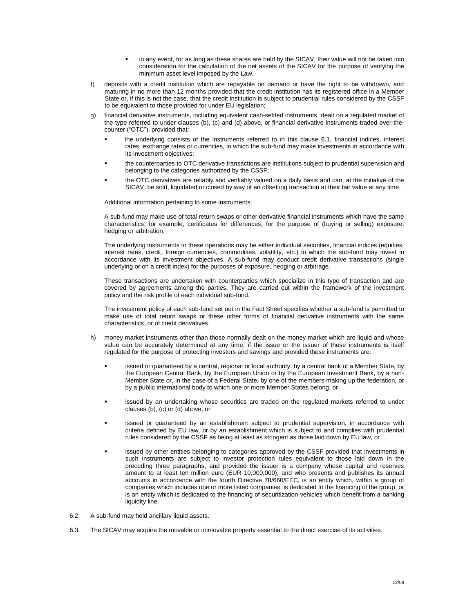- in any event, for as long as these shares are held by the SICAV, their value will not be taken into consideration for the calculation of the net assets of the SICAV for the purpose of verifying the minimum asset level imposed by the Law.
- f) deposits with a credit institution which are repayable on demand or have the right to be withdrawn, and maturing in no more than 12 months provided that the credit institution has its registered office in a Member State or, if this is not the case, that the credit institution is subject to prudential rules considered by the CSSF to be equivalent to those provided for under EU legislation;
- g) financial derivative instruments, including equivalent cash-settled instruments, dealt on a regulated market of the type referred to under clauses (b), (c) and (d) above, or financial derivative instruments traded over-thecounter ("OTC"), provided that:
	- the underlying consists of the instruments referred to in this clause 6.1, financial indices, interest rates, exchange rates or currencies, in which the sub-fund may make investments in accordance with its investment objectives;
	- the counterparties to OTC derivative transactions are institutions subject to prudential supervision and belonging to the categories authorized by the CSSF;
	- the OTC derivatives are reliably and verifiably valued on a daily basis and can, at the initiative of the SICAV, be sold, liquidated or closed by way of an offsetting transaction at their fair value at any time.

Additional information pertaining to some instruments:

A sub-fund may make use of total return swaps or other derivative financial instruments which have the same characteristics, for example, certificates for differences, for the purpose of (buying or selling) exposure, hedging or arbitration.

The underlying instruments to these operations may be either individual securities, financial indices (equities, interest rates, credit, foreign currencies, commodities, volatility, etc.) in which the sub-fund may invest in accordance with its investment objectives. A sub-fund may conduct credit derivative transactions (single underlying or on a credit index) for the purposes of exposure, hedging or arbitrage.

These transactions are undertaken with counterparties which specialize in this type of transaction and are covered by agreements among the parties. They are carried out within the framework of the investment policy and the risk profile of each individual sub-fund.

The investment policy of each sub-fund set out in the Fact Sheet specifies whether a sub-fund is permitted to make use of total return swaps or these other forms of financial derivative instruments with the same characteristics, or of credit derivatives.

- h) money market instruments other than those normally dealt on the money market which are liquid and whose value can be accurately determined at any time, if the issue or the issuer of these instruments is itself regulated for the purpose of protecting investors and savings and provided these instruments are:
	- issued or guaranteed by a central, regional or local authority, by a central bank of a Member State, by the European Central Bank, by the European Union or by the European Investment Bank, by a non-Member State or, in the case of a Federal State, by one of the members making up the federation, or by a public international body to which one or more Member States belong, or
	- issued by an undertaking whose securities are traded on the regulated markets referred to under clauses (b), (c) or (d) above, or
	- issued or guaranteed by an establishment subject to prudential supervision, in accordance with criteria defined by EU law, or by an establishment which is subject to and complies with prudential rules considered by the CSSF as being at least as stringent as those laid down by EU law, or
	- issued by other entities belonging to categories approved by the CSSF provided that investments in such instruments are subject to investor protection rules equivalent to those laid down in the preceding three paragraphs, and provided the issuer is a company whose capital and reserves amount to at least ten million euro (EUR 10,000,000), and who presents and publishes its annual accounts in accordance with the fourth Directive 78/660/EEC, is an entity which, within a group of companies which includes one or more listed companies, is dedicated to the financing of the group, or is an entity which is dedicated to the financing of securitization vehicles which benefit from a banking liquidity line.
- 6.2. A sub-fund may hold ancillary liquid assets.
- 6.3. The SICAV may acquire the movable or immovable property essential to the direct exercise of its activities.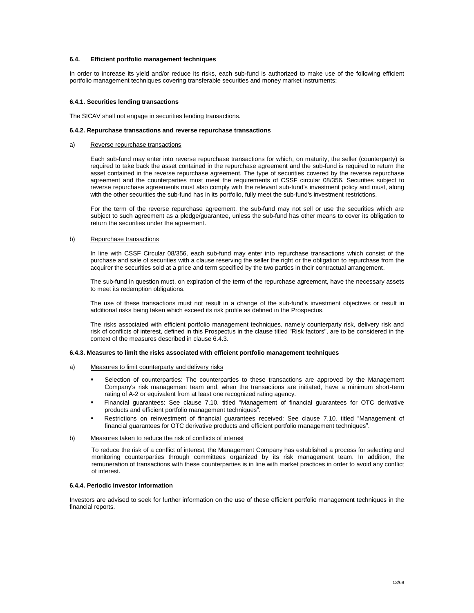#### **6.4. Efficient portfolio management techniques**

In order to increase its yield and/or reduce its risks, each sub-fund is authorized to make use of the following efficient portfolio management techniques covering transferable securities and money market instruments:

#### **6.4.1. Securities lending transactions**

The SICAV shall not engage in securities lending transactions.

#### **6.4.2. Repurchase transactions and reverse repurchase transactions**

#### a) Reverse repurchase transactions

Each sub-fund may enter into reverse repurchase transactions for which, on maturity, the seller (counterparty) is required to take back the asset contained in the repurchase agreement and the sub-fund is required to return the asset contained in the reverse repurchase agreement. The type of securities covered by the reverse repurchase agreement and the counterparties must meet the requirements of CSSF circular 08/356. Securities subject to reverse repurchase agreements must also comply with the relevant sub-fund's investment policy and must, along with the other securities the sub-fund has in its portfolio, fully meet the sub-fund's investment restrictions.

For the term of the reverse repurchase agreement, the sub-fund may not sell or use the securities which are subject to such agreement as a pledge/guarantee, unless the sub-fund has other means to cover its obligation to return the securities under the agreement.

#### b) Repurchase transactions

In line with CSSF Circular 08/356, each sub-fund may enter into repurchase transactions which consist of the purchase and sale of securities with a clause reserving the seller the right or the obligation to repurchase from the acquirer the securities sold at a price and term specified by the two parties in their contractual arrangement.

The sub-fund in question must, on expiration of the term of the repurchase agreement, have the necessary assets to meet its redemption obligations.

The use of these transactions must not result in a change of the sub-fund's investment objectives or result in additional risks being taken which exceed its risk profile as defined in the Prospectus.

The risks associated with efficient portfolio management techniques, namely counterparty risk, delivery risk and risk of conflicts of interest, defined in this Prospectus in the clause titled "Risk factors", are to be considered in the context of the measures described in clause 6.4.3.

#### **6.4.3. Measures to limit the risks associated with efficient portfolio management techniques**

#### a) Measures to limit counterparty and delivery risks

- Selection of counterparties: The counterparties to these transactions are approved by the Management Company's risk management team and, when the transactions are initiated, have a minimum short-term rating of A-2 or equivalent from at least one recognized rating agency.
- Financial guarantees: See clause 7.10. titled "Management of financial guarantees for OTC derivative products and efficient portfolio management techniques".
- Restrictions on reinvestment of financial guarantees received: See clause 7.10. titled "Management of financial guarantees for OTC derivative products and efficient portfolio management techniques".

#### b) Measures taken to reduce the risk of conflicts of interest

To reduce the risk of a conflict of interest, the Management Company has established a process for selecting and monitoring counterparties through committees organized by its risk management team. In addition, the remuneration of transactions with these counterparties is in line with market practices in order to avoid any conflict of interest.

#### **6.4.4. Periodic investor information**

Investors are advised to seek for further information on the use of these efficient portfolio management techniques in the financial reports.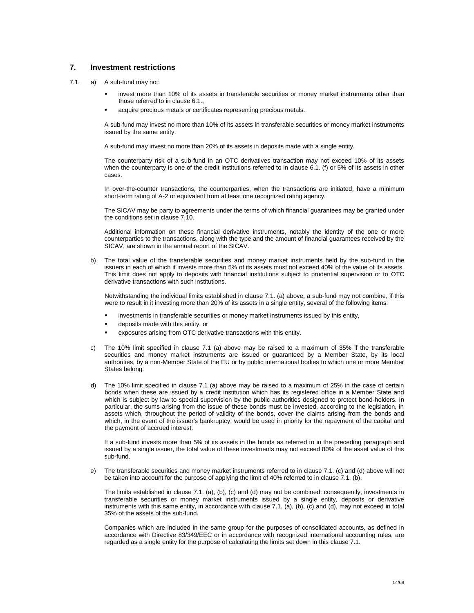# <span id="page-13-0"></span>**7. Investment restrictions**

- 7.1. a) A sub-fund may not:
	- invest more than 10% of its assets in transferable securities or money market instruments other than those referred to in clause 6.1.,
	- acquire precious metals or certificates representing precious metals.

A sub-fund may invest no more than 10% of its assets in transferable securities or money market instruments issued by the same entity.

A sub-fund may invest no more than 20% of its assets in deposits made with a single entity.

The counterparty risk of a sub-fund in an OTC derivatives transaction may not exceed 10% of its assets when the counterparty is one of the credit institutions referred to in clause 6.1. (f) or 5% of its assets in other cases.

In over-the-counter transactions, the counterparties, when the transactions are initiated, have a minimum short-term rating of A-2 or equivalent from at least one recognized rating agency.

The SICAV may be party to agreements under the terms of which financial guarantees may be granted under the conditions set in clause 7.10.

Additional information on these financial derivative instruments, notably the identity of the one or more counterparties to the transactions, along with the type and the amount of financial guarantees received by the SICAV, are shown in the annual report of the SICAV.

b) The total value of the transferable securities and money market instruments held by the sub-fund in the issuers in each of which it invests more than 5% of its assets must not exceed 40% of the value of its assets. This limit does not apply to deposits with financial institutions subject to prudential supervision or to OTC derivative transactions with such institutions.

Notwithstanding the individual limits established in clause 7.1. (a) above, a sub-fund may not combine, if this were to result in it investing more than 20% of its assets in a single entity, several of the following items:

- investments in transferable securities or money market instruments issued by this entity,
- deposits made with this entity, or
- exposures arising from OTC derivative transactions with this entity.
- c) The 10% limit specified in clause 7.1 (a) above may be raised to a maximum of 35% if the transferable securities and money market instruments are issued or guaranteed by a Member State, by its local authorities, by a non-Member State of the EU or by public international bodies to which one or more Member States belong.
- d) The 10% limit specified in clause 7.1 (a) above may be raised to a maximum of 25% in the case of certain bonds when these are issued by a credit institution which has its registered office in a Member State and which is subject by law to special supervision by the public authorities designed to protect bond-holders. In particular, the sums arising from the issue of these bonds must be invested, according to the legislation, in assets which, throughout the period of validity of the bonds, cover the claims arising from the bonds and which, in the event of the issuer's bankruptcy, would be used in priority for the repayment of the capital and the payment of accrued interest.

If a sub-fund invests more than 5% of its assets in the bonds as referred to in the preceding paragraph and issued by a single issuer, the total value of these investments may not exceed 80% of the asset value of this sub-fund.

e) The transferable securities and money market instruments referred to in clause 7.1. (c) and (d) above will not be taken into account for the purpose of applying the limit of 40% referred to in clause 7.1. (b).

The limits established in clause 7.1. (a), (b), (c) and (d) may not be combined: consequently, investments in transferable securities or money market instruments issued by a single entity, deposits or derivative instruments with this same entity, in accordance with clause 7.1. (a), (b), (c) and (d), may not exceed in total 35% of the assets of the sub-fund.

Companies which are included in the same group for the purposes of consolidated accounts, as defined in accordance with Directive 83/349/EEC or in accordance with recognized international accounting rules, are regarded as a single entity for the purpose of calculating the limits set down in this clause 7.1.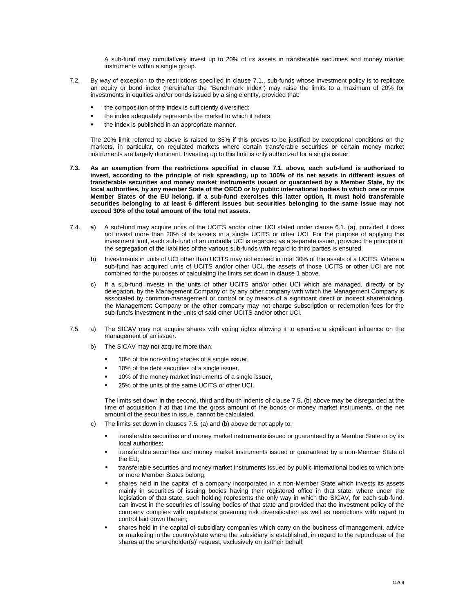A sub-fund may cumulatively invest up to 20% of its assets in transferable securities and money market instruments within a single group.

- 7.2. By way of exception to the restrictions specified in clause 7.1., sub-funds whose investment policy is to replicate an equity or bond index (hereinafter the "Benchmark Index") may raise the limits to a maximum of 20% for investments in equities and/or bonds issued by a single entity, provided that:
	- the composition of the index is sufficiently diversified;
	- the index adequately represents the market to which it refers;
	- the index is published in an appropriate manner.

The 20% limit referred to above is raised to 35% if this proves to be justified by exceptional conditions on the markets, in particular, on regulated markets where certain transferable securities or certain money market instruments are largely dominant. Investing up to this limit is only authorized for a single issuer.

- **7.3. As an exemption from the restrictions specified in clause 7.1. above, each sub-fund is authorized to invest, according to the principle of risk spreading, up to 100% of its net assets in different issues of transferable securities and money market instruments issued or guaranteed by a Member State, by its local authorities, by any member State of the OECD or by public international bodies to which one or more Member States of the EU belong. If a sub-fund exercises this latter option, it must hold transferable securities belonging to at least 6 different issues but securities belonging to the same issue may not exceed 30% of the total amount of the total net assets.**
- 7.4. a) A sub-fund may acquire units of the UCITS and/or other UCI stated under clause 6.1. (a), provided it does not invest more than 20% of its assets in a single UCITS or other UCI. For the purpose of applying this investment limit, each sub-fund of an umbrella UCI is regarded as a separate issuer, provided the principle of the segregation of the liabilities of the various sub-funds with regard to third parties is ensured.
	- b) Investments in units of UCI other than UCITS may not exceed in total 30% of the assets of a UCITS. Where a sub-fund has acquired units of UCITS and/or other UCI, the assets of those UCITS or other UCI are not combined for the purposes of calculating the limits set down in clause 1 above.
	- c) If a sub-fund invests in the units of other UCITS and/or other UCI which are managed, directly or by delegation, by the Management Company or by any other company with which the Management Company is associated by common-management or control or by means of a significant direct or indirect shareholding, the Management Company or the other company may not charge subscription or redemption fees for the sub-fund's investment in the units of said other UCITS and/or other UCI.
- 7.5. a) The SICAV may not acquire shares with voting rights allowing it to exercise a significant influence on the management of an issuer.
	- b) The SICAV may not acquire more than:
		- 10% of the non-voting shares of a single issuer,
		- 10% of the debt securities of a single issuer,
		- 10% of the money market instruments of a single issuer,
		- 25% of the units of the same UCITS or other UCI.

The limits set down in the second, third and fourth indents of clause 7.5. (b) above may be disregarded at the time of acquisition if at that time the gross amount of the bonds or money market instruments, or the net amount of the securities in issue, cannot be calculated.

- c) The limits set down in clauses 7.5. (a) and (b) above do not apply to:
	- transferable securities and money market instruments issued or guaranteed by a Member State or by its local authorities;
	- transferable securities and money market instruments issued or guaranteed by a non-Member State of the EU;
	- transferable securities and money market instruments issued by public international bodies to which one or more Member States belong;
	- shares held in the capital of a company incorporated in a non-Member State which invests its assets mainly in securities of issuing bodies having their registered office in that state, where under the legislation of that state, such holding represents the only way in which the SICAV, for each sub-fund, can invest in the securities of issuing bodies of that state and provided that the investment policy of the company complies with regulations governing risk diversification as well as restrictions with regard to control laid down therein;
	- shares held in the capital of subsidiary companies which carry on the business of management, advice or marketing in the country/state where the subsidiary is established, in regard to the repurchase of the shares at the shareholder(s)' request, exclusively on its/their behalf.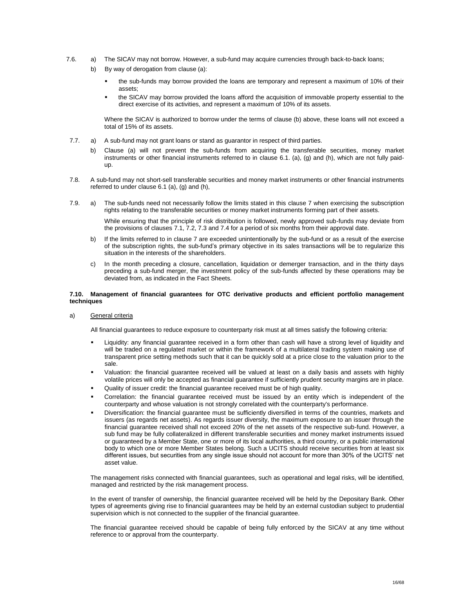- 7.6. a) The SICAV may not borrow. However, a sub-fund may acquire currencies through back-to-back loans;
	- b) By way of derogation from clause (a):
		- the sub-funds may borrow provided the loans are temporary and represent a maximum of 10% of their assets;
		- the SICAV may borrow provided the loans afford the acquisition of immovable property essential to the direct exercise of its activities, and represent a maximum of 10% of its assets.

Where the SICAV is authorized to borrow under the terms of clause (b) above, these loans will not exceed a total of 15% of its assets.

- 7.7. a) A sub-fund may not grant loans or stand as guarantor in respect of third parties.
	- b) Clause (a) will not prevent the sub-funds from acquiring the transferable securities, money market instruments or other financial instruments referred to in clause 6.1. (a), (g) and (h), which are not fully paidup.
- 7.8. A sub-fund may not short-sell transferable securities and money market instruments or other financial instruments referred to under clause 6.1 (a), (g) and (h),
- 7.9. a) The sub-funds need not necessarily follow the limits stated in this clause 7 when exercising the subscription rights relating to the transferable securities or money market instruments forming part of their assets.

While ensuring that the principle of risk distribution is followed, newly approved sub-funds may deviate from the provisions of clauses 7.1, 7.2, 7.3 and 7.4 for a period of six months from their approval date.

- b) If the limits referred to in clause 7 are exceeded unintentionally by the sub-fund or as a result of the exercise of the subscription rights, the sub-fund's primary objective in its sales transactions will be to regularize this situation in the interests of the shareholders.
- c) In the month preceding a closure, cancellation, liquidation or demerger transaction, and in the thirty days preceding a sub-fund merger, the investment policy of the sub-funds affected by these operations may be deviated from, as indicated in the Fact Sheets.

#### **7.10. Management of financial guarantees for OTC derivative products and efficient portfolio management techniques**

a) General criteria

All financial guarantees to reduce exposure to counterparty risk must at all times satisfy the following criteria:

- Liquidity: any financial guarantee received in a form other than cash will have a strong level of liquidity and will be traded on a regulated market or within the framework of a multilateral trading system making use of transparent price setting methods such that it can be quickly sold at a price close to the valuation prior to the sale.
- Valuation: the financial guarantee received will be valued at least on a daily basis and assets with highly volatile prices will only be accepted as financial guarantee if sufficiently prudent security margins are in place.
- Quality of issuer credit: the financial guarantee received must be of high quality.
- Correlation: the financial guarantee received must be issued by an entity which is independent of the counterparty and whose valuation is not strongly correlated with the counterparty's performance.
- Diversification: the financial guarantee must be sufficiently diversified in terms of the countries, markets and issuers (as regards net assets). As regards issuer diversity, the maximum exposure to an issuer through the financial guarantee received shall not exceed 20% of the net assets of the respective sub-fund. However, a sub fund may be fully collateralized in different transferable securities and money market instruments issued or guaranteed by a Member State, one or more of its local authorities, a third country, or a public international body to which one or more Member States belong. Such a UCITS should receive securities from at least six different issues, but securities from any single issue should not account for more than 30% of the UCITS' net asset value.

The management risks connected with financial guarantees, such as operational and legal risks, will be identified, managed and restricted by the risk management process.

In the event of transfer of ownership, the financial guarantee received will be held by the Depositary Bank. Other types of agreements giving rise to financial guarantees may be held by an external custodian subject to prudential supervision which is not connected to the supplier of the financial guarantee.

The financial guarantee received should be capable of being fully enforced by the SICAV at any time without reference to or approval from the counterparty.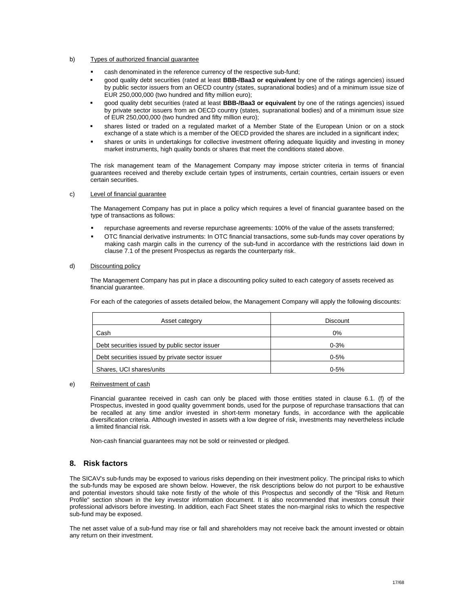#### b) Types of authorized financial guarantee

- cash denominated in the reference currency of the respective sub-fund;
- good quality debt securities (rated at least **BBB-/Baa3 or equivalent** by one of the ratings agencies) issued by public sector issuers from an OECD country (states, supranational bodies) and of a minimum issue size of EUR 250,000,000 (two hundred and fifty million euro);
- good quality debt securities (rated at least **BBB-/Baa3 or equivalent** by one of the ratings agencies) issued by private sector issuers from an OECD country (states, supranational bodies) and of a minimum issue size of EUR 250,000,000 (two hundred and fifty million euro);
- shares listed or traded on a regulated market of a Member State of the European Union or on a stock exchange of a state which is a member of the OECD provided the shares are included in a significant index;
- shares or units in undertakings for collective investment offering adequate liquidity and investing in money market instruments, high quality bonds or shares that meet the conditions stated above.

The risk management team of the Management Company may impose stricter criteria in terms of financial guarantees received and thereby exclude certain types of instruments, certain countries, certain issuers or even certain securities.

#### c) Level of financial guarantee

The Management Company has put in place a policy which requires a level of financial guarantee based on the type of transactions as follows:

- repurchase agreements and reverse repurchase agreements: 100% of the value of the assets transferred;
- OTC financial derivative instruments: In OTC financial transactions, some sub-funds may cover operations by making cash margin calls in the currency of the sub-fund in accordance with the restrictions laid down in clause 7.1 of the present Prospectus as regards the counterparty risk.

#### d) Discounting policy

The Management Company has put in place a discounting policy suited to each category of assets received as financial guarantee.

For each of the categories of assets detailed below, the Management Company will apply the following discounts:

| Asset category                                  | <b>Discount</b> |
|-------------------------------------------------|-----------------|
| Cash                                            | 0%              |
| Debt securities issued by public sector issuer  | $0 - 3%$        |
| Debt securities issued by private sector issuer | $0 - 5%$        |
| Shares, UCI shares/units                        | $0 - 5%$        |

#### e) Reinvestment of cash

Financial guarantee received in cash can only be placed with those entities stated in clause 6.1. (f) of the Prospectus, invested in good quality government bonds, used for the purpose of repurchase transactions that can be recalled at any time and/or invested in short-term monetary funds, in accordance with the applicable diversification criteria. Although invested in assets with a low degree of risk, investments may nevertheless include a limited financial risk.

Non-cash financial guarantees may not be sold or reinvested or pledged.

# <span id="page-16-0"></span>**8. Risk factors**

The SICAV's sub-funds may be exposed to various risks depending on their investment policy. The principal risks to which the sub-funds may be exposed are shown below. However, the risk descriptions below do not purport to be exhaustive and potential investors should take note firstly of the whole of this Prospectus and secondly of the "Risk and Return Profile" section shown in the key investor information document. It is also recommended that investors consult their professional advisors before investing. In addition, each Fact Sheet states the non-marginal risks to which the respective sub-fund may be exposed.

The net asset value of a sub-fund may rise or fall and shareholders may not receive back the amount invested or obtain any return on their investment.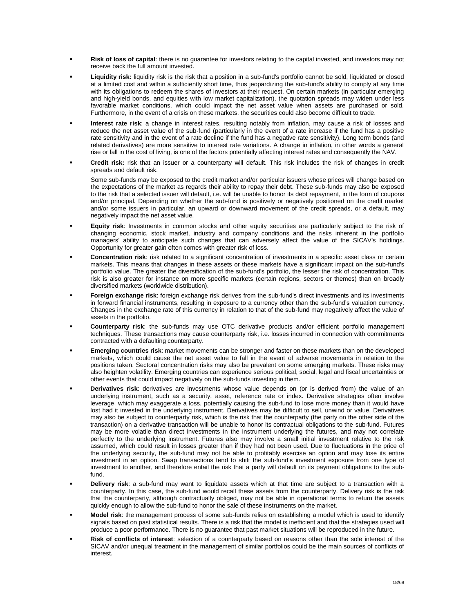- **Risk of loss of capital**: there is no guarantee for investors relating to the capital invested, and investors may not receive back the full amount invested.
- **Liquidity risk:** liquidity risk is the risk that a position in a sub-fund's portfolio cannot be sold, liquidated or closed at a limited cost and within a sufficiently short time, thus jeopardizing the sub-fund's ability to comply at any time with its obligations to redeem the shares of investors at their request. On certain markets (in particular emerging and high-yield bonds, and equities with low market capitalization), the quotation spreads may widen under less favorable market conditions, which could impact the net asset value when assets are purchased or sold. Furthermore, in the event of a crisis on these markets, the securities could also become difficult to trade.
- **Interest rate risk**: a change in interest rates, resulting notably from inflation, may cause a risk of losses and reduce the net asset value of the sub-fund (particularly in the event of a rate increase if the fund has a positive rate sensitivity and in the event of a rate decline if the fund has a negative rate sensitivity). Long term bonds (and related derivatives) are more sensitive to interest rate variations. A change in inflation, in other words a general rise or fall in the cost of living, is one of the factors potentially affecting interest rates and consequently the NAV.
- **Credit risk:** risk that an issuer or a counterparty will default. This risk includes the risk of changes in credit spreads and default risk.

Some sub-funds may be exposed to the credit market and/or particular issuers whose prices will change based on the expectations of the market as regards their ability to repay their debt. These sub-funds may also be exposed to the risk that a selected issuer will default, i.e. will be unable to honor its debt repayment, in the form of coupons and/or principal. Depending on whether the sub-fund is positively or negatively positioned on the credit market and/or some issuers in particular, an upward or downward movement of the credit spreads, or a default, may negatively impact the net asset value.

- **Equity risk**: Investments in common stocks and other equity securities are particularly subject to the risk of changing economic, stock market, industry and company conditions and the risks inherent in the portfolio managers' ability to anticipate such changes that can adversely affect the value of the SICAV's holdings. Opportunity for greater gain often comes with greater risk of loss.
- **Concentration risk**: risk related to a significant concentration of investments in a specific asset class or certain markets. This means that changes in these assets or these markets have a significant impact on the sub-fund's portfolio value. The greater the diversification of the sub-fund's portfolio, the lesser the risk of concentration. This risk is also greater for instance on more specific markets (certain regions, sectors or themes) than on broadly diversified markets (worldwide distribution).
- **Foreign exchange risk**: foreign exchange risk derives from the sub-fund's direct investments and its investments in forward financial instruments, resulting in exposure to a currency other than the sub-fund's valuation currency. Changes in the exchange rate of this currency in relation to that of the sub-fund may negatively affect the value of assets in the portfolio.
- **Counterparty risk**: the sub-funds may use OTC derivative products and/or efficient portfolio management techniques. These transactions may cause counterparty risk, i.e. losses incurred in connection with commitments contracted with a defaulting counterparty.
- **Emerging countries risk**: market movements can be stronger and faster on these markets than on the developed markets, which could cause the net asset value to fall in the event of adverse movements in relation to the positions taken. Sectoral concentration risks may also be prevalent on some emerging markets. These risks may also heighten volatility. Emerging countries can experience serious political, social, legal and fiscal uncertainties or other events that could impact negatively on the sub-funds investing in them.
- **Derivatives risk**: derivatives are investments whose value depends on (or is derived from) the value of an underlying instrument, such as a security, asset, reference rate or index. Derivative strategies often involve leverage, which may exaggerate a loss, potentially causing the sub-fund to lose more money than it would have lost had it invested in the underlying instrument. Derivatives may be difficult to sell, unwind or value. Derivatives may also be subject to counterparty risk, which is the risk that the counterparty (the party on the other side of the transaction) on a derivative transaction will be unable to honor its contractual obligations to the sub-fund. Futures may be more volatile than direct investments in the instrument underlying the futures, and may not correlate perfectly to the underlying instrument. Futures also may involve a small initial investment relative to the risk assumed, which could result in losses greater than if they had not been used. Due to fluctuations in the price of the underlying security, the sub-fund may not be able to profitably exercise an option and may lose its entire investment in an option. Swap transactions tend to shift the sub-fund's investment exposure from one type of investment to another, and therefore entail the risk that a party will default on its payment obligations to the subfund.
- **Delivery risk**: a sub-fund may want to liquidate assets which at that time are subject to a transaction with a counterparty. In this case, the sub-fund would recall these assets from the counterparty. Delivery risk is the risk that the counterparty, although contractually obliged, may not be able in operational terms to return the assets quickly enough to allow the sub-fund to honor the sale of these instruments on the market.
- **Model risk**: the management process of some sub-funds relies on establishing a model which is used to identify signals based on past statistical results. There is a risk that the model is inefficient and that the strategies used will produce a poor performance. There is no guarantee that past market situations will be reproduced in the future.
- **Risk of conflicts of interest**: selection of a counterparty based on reasons other than the sole interest of the SICAV and/or unequal treatment in the management of similar portfolios could be the main sources of conflicts of interest.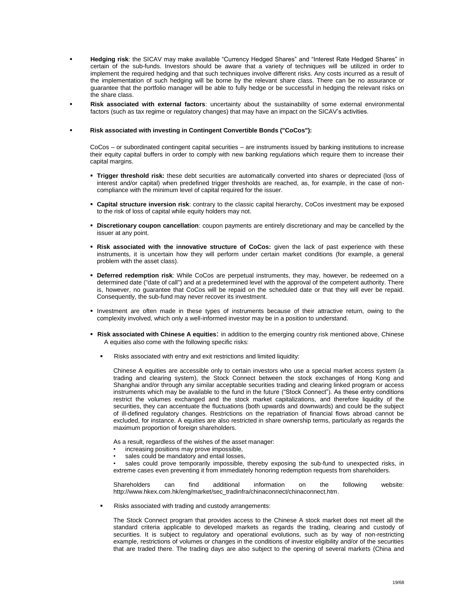- **Hedging risk**: the SICAV may make available "Currency Hedged Shares" and "Interest Rate Hedged Shares" in certain of the sub-funds. Investors should be aware that a variety of techniques will be utilized in order to implement the required hedging and that such techniques involve different risks. Any costs incurred as a result of the implementation of such hedging will be borne by the relevant share class. There can be no assurance or guarantee that the portfolio manager will be able to fully hedge or be successful in hedging the relevant risks on the share class.
- **Risk associated with external factors**: uncertainty about the sustainability of some external environmental factors (such as tax regime or regulatory changes) that may have an impact on the SICAV's activities.

#### **Risk associated with investing in Contingent Convertible Bonds ("CoCos"):**

CoCos – or subordinated contingent capital securities – are instruments issued by banking institutions to increase their equity capital buffers in order to comply with new banking regulations which require them to increase their capital margins.

- **Trigger threshold risk:** these debt securities are automatically converted into shares or depreciated (loss of interest and/or capital) when predefined trigger thresholds are reached, as, for example, in the case of noncompliance with the minimum level of capital required for the issuer.
- **Capital structure inversion risk**: contrary to the classic capital hierarchy, CoCos investment may be exposed to the risk of loss of capital while equity holders may not.
- **Discretionary coupon cancellation**: coupon payments are entirely discretionary and may be cancelled by the issuer at any point.
- **Risk associated with the innovative structure of CoCos:** given the lack of past experience with these instruments, it is uncertain how they will perform under certain market conditions (for example, a general problem with the asset class).
- **Deferred redemption risk**: While CoCos are perpetual instruments, they may, however, be redeemed on a determined date ("date of call") and at a predetermined level with the approval of the competent authority. There is, however, no guarantee that CoCos will be repaid on the scheduled date or that they will ever be repaid. Consequently, the sub-fund may never recover its investment.
- Investment are often made in these types of instruments because of their attractive return, owing to the complexity involved, which only a well-informed investor may be in a position to understand.
- **Risk associated with Chinese A equities**: in addition to the emerging country risk mentioned above, Chinese A equities also come with the following specific risks:
	- Risks associated with entry and exit restrictions and limited liquidity:

Chinese A equities are accessible only to certain investors who use a special market access system (a trading and clearing system), the Stock Connect between the stock exchanges of Hong Kong and Shanghai and/or through any similar acceptable securities trading and clearing linked program or access instruments which may be available to the fund in the future ("Stock Connect"). As these entry conditions restrict the volumes exchanged and the stock market capitalizations, and therefore liquidity of the securities, they can accentuate the fluctuations (both upwards and downwards) and could be the subject of ill-defined regulatory changes. Restrictions on the repatriation of financial flows abroad cannot be excluded, for instance. A equities are also restricted in share ownership terms, particularly as regards the maximum proportion of foreign shareholders.

As a result, regardless of the wishes of the asset manager:

- increasing positions may prove impossible,
- sales could be mandatory and entail losses,
- sales could prove temporarily impossible, thereby exposing the sub-fund to unexpected risks, in extreme cases even preventing it from immediately honoring redemption requests from shareholders.

Shareholders can find additional information on the following website: [http://www.hkex.com.hk/eng/market/sec\\_tradinfra/chinaconnect/chinaconnect.htm.](http://www.hkex.com.hk/eng/market/sec_tradinfra/chinaconnect/chinaconnect.htm)

Risks associated with trading and custody arrangements:

The Stock Connect program that provides access to the Chinese A stock market does not meet all the standard criteria applicable to developed markets as regards the trading, clearing and custody of securities. It is subject to regulatory and operational evolutions, such as by way of non-restricting example, restrictions of volumes or changes in the conditions of investor eligibility and/or of the securities that are traded there. The trading days are also subject to the opening of several markets (China and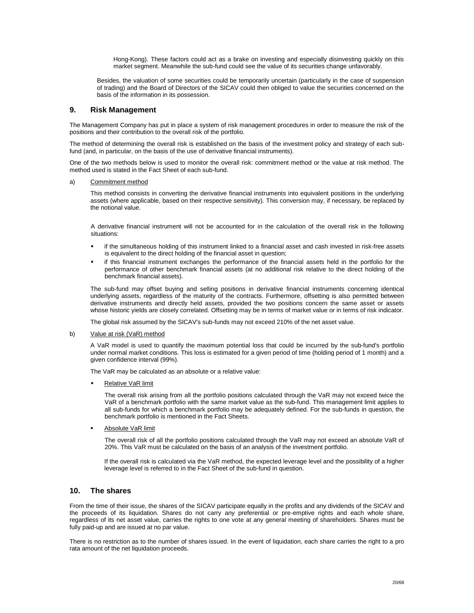Hong-Kong). These factors could act as a brake on investing and especially disinvesting quickly on this market segment. Meanwhile the sub-fund could see the value of its securities change unfavorably.

Besides, the valuation of some securities could be temporarily uncertain (particularly in the case of suspension of trading) and the Board of Directors of the SICAV could then obliged to value the securities concerned on the basis of the information in its possession.

# <span id="page-19-0"></span>**9. Risk Management**

The Management Company has put in place a system of risk management procedures in order to measure the risk of the positions and their contribution to the overall risk of the portfolio.

The method of determining the overall risk is established on the basis of the investment policy and strategy of each subfund (and, in particular, on the basis of the use of derivative financial instruments).

One of the two methods below is used to monitor the overall risk: commitment method or the value at risk method. The method used is stated in the Fact Sheet of each sub-fund.

#### a) Commitment method

This method consists in converting the derivative financial instruments into equivalent positions in the underlying assets (where applicable, based on their respective sensitivity). This conversion may, if necessary, be replaced by the notional value.

A derivative financial instrument will not be accounted for in the calculation of the overall risk in the following situations:

- if the simultaneous holding of this instrument linked to a financial asset and cash invested in risk-free assets is equivalent to the direct holding of the financial asset in question;
- if this financial instrument exchanges the performance of the financial assets held in the portfolio for the performance of other benchmark financial assets (at no additional risk relative to the direct holding of the benchmark financial assets).

The sub-fund may offset buying and selling positions in derivative financial instruments concerning identical underlying assets, regardless of the maturity of the contracts. Furthermore, offsetting is also permitted between derivative instruments and directly held assets, provided the two positions concern the same asset or assets whose historic yields are closely correlated. Offsetting may be in terms of market value or in terms of risk indicator.

The global risk assumed by the SICAV's sub-funds may not exceed 210% of the net asset value.

#### b) Value at risk (VaR) method

A VaR model is used to quantify the maximum potential loss that could be incurred by the sub-fund's portfolio under normal market conditions. This loss is estimated for a given period of time (holding period of 1 month) and a given confidence interval (99%).

The VaR may be calculated as an absolute or a relative value:

Relative VaR limit

The overall risk arising from all the portfolio positions calculated through the VaR may not exceed twice the VaR of a benchmark portfolio with the same market value as the sub-fund. This management limit applies to all sub-funds for which a benchmark portfolio may be adequately defined. For the sub-funds in question, the benchmark portfolio is mentioned in the Fact Sheets.

Absolute VaR limit

The overall risk of all the portfolio positions calculated through the VaR may not exceed an absolute VaR of 20%. This VaR must be calculated on the basis of an analysis of the investment portfolio.

If the overall risk is calculated via the VaR method, the expected leverage level and the possibility of a higher leverage level is referred to in the Fact Sheet of the sub-fund in question.

# <span id="page-19-1"></span>**10. The shares**

From the time of their issue, the shares of the SICAV participate equally in the profits and any dividends of the SICAV and the proceeds of its liquidation. Shares do not carry any preferential or pre-emptive rights and each whole share, regardless of its net asset value, carries the rights to one vote at any general meeting of shareholders. Shares must be fully paid-up and are issued at no par value.

There is no restriction as to the number of shares issued. In the event of liquidation, each share carries the right to a pro rata amount of the net liquidation proceeds.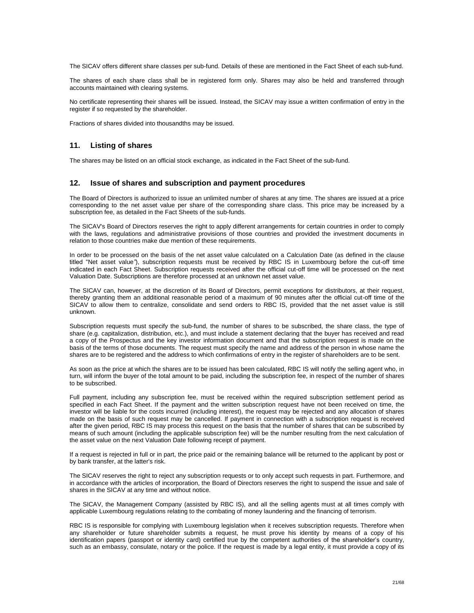The SICAV offers different share classes per sub-fund. Details of these are mentioned in the Fact Sheet of each sub-fund.

The shares of each share class shall be in registered form only. Shares may also be held and transferred through accounts maintained with clearing systems.

No certificate representing their shares will be issued. Instead, the SICAV may issue a written confirmation of entry in the register if so requested by the shareholder.

Fractions of shares divided into thousandths may be issued.

# <span id="page-20-0"></span>**11. Listing of shares**

The shares may be listed on an official stock exchange, as indicated in the Fact Sheet of the sub-fund.

# <span id="page-20-1"></span>**12. Issue of shares and subscription and payment procedures**

The Board of Directors is authorized to issue an unlimited number of shares at any time. The shares are issued at a price corresponding to the net asset value per share of the corresponding share class. This price may be increased by a subscription fee, as detailed in the Fact Sheets of the sub-funds.

The SICAV's Board of Directors reserves the right to apply different arrangements for certain countries in order to comply with the laws, regulations and administrative provisions of those countries and provided the investment documents in relation to those countries make due mention of these requirements.

In order to be processed on the basis of the net asset value calculated on a Calculation Date (as defined in the clause titled "Net asset value*"*), subscription requests must be received by RBC IS in Luxembourg before the cut-off time indicated in each Fact Sheet. Subscription requests received after the official cut-off time will be processed on the next Valuation Date. Subscriptions are therefore processed at an unknown net asset value.

The SICAV can, however, at the discretion of its Board of Directors, permit exceptions for distributors, at their request, thereby granting them an additional reasonable period of a maximum of 90 minutes after the official cut-off time of the SICAV to allow them to centralize, consolidate and send orders to RBC IS, provided that the net asset value is still unknown.

Subscription requests must specify the sub-fund, the number of shares to be subscribed, the share class, the type of share (e.g. capitalization, distribution, etc.), and must include a statement declaring that the buyer has received and read a copy of the Prospectus and the key investor information document and that the subscription request is made on the basis of the terms of those documents. The request must specify the name and address of the person in whose name the shares are to be registered and the address to which confirmations of entry in the register of shareholders are to be sent.

As soon as the price at which the shares are to be issued has been calculated, RBC IS will notify the selling agent who, in turn, will inform the buyer of the total amount to be paid, including the subscription fee, in respect of the number of shares to be subscribed.

Full payment, including any subscription fee, must be received within the required subscription settlement period as specified in each Fact Sheet. If the payment and the written subscription request have not been received on time, the investor will be liable for the costs incurred (including interest), the request may be rejected and any allocation of shares made on the basis of such request may be cancelled. If payment in connection with a subscription request is received after the given period, RBC IS may process this request on the basis that the number of shares that can be subscribed by means of such amount (including the applicable subscription fee) will be the number resulting from the next calculation of the asset value on the next Valuation Date following receipt of payment.

If a request is rejected in full or in part, the price paid or the remaining balance will be returned to the applicant by post or by bank transfer, at the latter's risk.

The SICAV reserves the right to reject any subscription requests or to only accept such requests in part. Furthermore, and in accordance with the articles of incorporation, the Board of Directors reserves the right to suspend the issue and sale of shares in the SICAV at any time and without notice.

The SICAV, the Management Company (assisted by RBC IS), and all the selling agents must at all times comply with applicable Luxembourg regulations relating to the combating of money laundering and the financing of terrorism.

RBC IS is responsible for complying with Luxembourg legislation when it receives subscription requests. Therefore when any shareholder or future shareholder submits a request, he must prove his identity by means of a copy of his identification papers (passport or identity card) certified true by the competent authorities of the shareholder's country, such as an embassy, consulate, notary or the police. If the request is made by a legal entity, it must provide a copy of its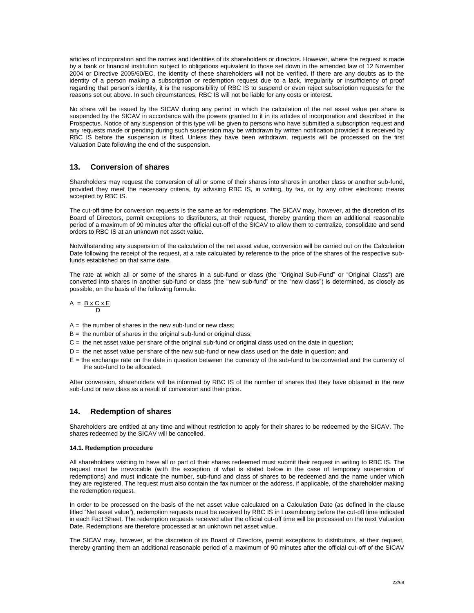articles of incorporation and the names and identities of its shareholders or directors. However, where the request is made by a bank or financial institution subject to obligations equivalent to those set down in the amended law of 12 November 2004 or Directive 2005/60/EC, the identity of these shareholders will not be verified. If there are any doubts as to the identity of a person making a subscription or redemption request due to a lack, irregularity or insufficiency of proof regarding that person's identity, it is the responsibility of RBC IS to suspend or even reject subscription requests for the reasons set out above. In such circumstances, RBC IS will not be liable for any costs or interest.

No share will be issued by the SICAV during any period in which the calculation of the net asset value per share is suspended by the SICAV in accordance with the powers granted to it in its articles of incorporation and described in the Prospectus. Notice of any suspension of this type will be given to persons who have submitted a subscription request and any requests made or pending during such suspension may be withdrawn by written notification provided it is received by RBC IS before the suspension is lifted. Unless they have been withdrawn, requests will be processed on the first Valuation Date following the end of the suspension.

# <span id="page-21-0"></span>**13. Conversion of shares**

Shareholders may request the conversion of all or some of their shares into shares in another class or another sub-fund, provided they meet the necessary criteria, by advising RBC IS, in writing, by fax, or by any other electronic means accepted by RBC IS.

The cut-off time for conversion requests is the same as for redemptions. The SICAV may, however, at the discretion of its Board of Directors, permit exceptions to distributors, at their request, thereby granting them an additional reasonable period of a maximum of 90 minutes after the official cut-off of the SICAV to allow them to centralize, consolidate and send orders to RBC IS at an unknown net asset value.

Notwithstanding any suspension of the calculation of the net asset value, conversion will be carried out on the Calculation Date following the receipt of the request, at a rate calculated by reference to the price of the shares of the respective subfunds established on that same date.

The rate at which all or some of the shares in a sub-fund or class (the "Original Sub-Fund" or "Original Class") are converted into shares in another sub-fund or class (the "new sub-fund" or the "new class") is determined, as closely as possible, on the basis of the following formula:

$$
A = \frac{B \times C \times E}{D}
$$

- $A =$  the number of shares in the new sub-fund or new class:
- $B =$  the number of shares in the original sub-fund or original class:
- $C =$  the net asset value per share of the original sub-fund or original class used on the date in question;
- $D =$  the net asset value per share of the new sub-fund or new class used on the date in question; and
- $E =$  the exchange rate on the date in question between the currency of the sub-fund to be converted and the currency of the sub-fund to be allocated.

After conversion, shareholders will be informed by RBC IS of the number of shares that they have obtained in the new sub-fund or new class as a result of conversion and their price.

# <span id="page-21-1"></span>**14. Redemption of shares**

Shareholders are entitled at any time and without restriction to apply for their shares to be redeemed by the SICAV. The shares redeemed by the SICAV will be cancelled.

#### **14.1. Redemption procedure**

All shareholders wishing to have all or part of their shares redeemed must submit their request in writing to RBC IS. The request must be irrevocable (with the exception of what is stated below in the case of temporary suspension of redemptions) and must indicate the number, sub-fund and class of shares to be redeemed and the name under which they are registered. The request must also contain the fax number or the address, if applicable, of the shareholder making the redemption request.

In order to be processed on the basis of the net asset value calculated on a Calculation Date (as defined in the clause titled "Net asset value*"*), redemption requests must be received by RBC IS in Luxembourg before the cut-off time indicated in each Fact Sheet. The redemption requests received after the official cut-off time will be processed on the next Valuation Date. Redemptions are therefore processed at an unknown net asset value.

The SICAV may, however, at the discretion of its Board of Directors, permit exceptions to distributors, at their request, thereby granting them an additional reasonable period of a maximum of 90 minutes after the official cut-off of the SICAV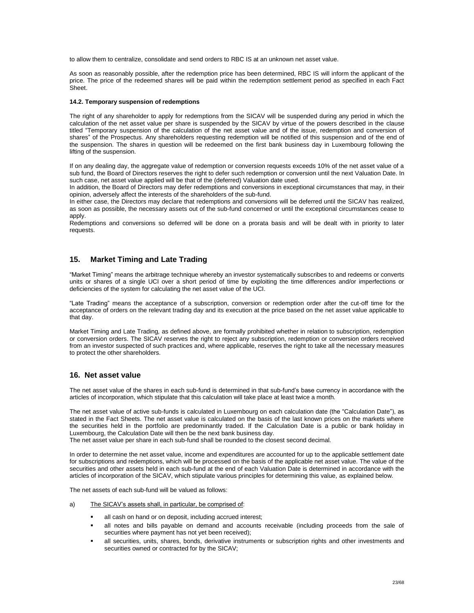to allow them to centralize, consolidate and send orders to RBC IS at an unknown net asset value.

As soon as reasonably possible, after the redemption price has been determined, RBC IS will inform the applicant of the price. The price of the redeemed shares will be paid within the redemption settlement period as specified in each Fact Sheet.

#### **14.2. Temporary suspension of redemptions**

The right of any shareholder to apply for redemptions from the SICAV will be suspended during any period in which the calculation of the net asset value per share is suspended by the SICAV by virtue of the powers described in the clause titled "Temporary suspension of the calculation of the net asset value and of the issue, redemption and conversion of shares" of the Prospectus. Any shareholders requesting redemption will be notified of this suspension and of the end of the suspension. The shares in question will be redeemed on the first bank business day in Luxembourg following the lifting of the suspension.

If on any dealing day, the aggregate value of redemption or conversion requests exceeds 10% of the net asset value of a sub fund, the Board of Directors reserves the right to defer such redemption or conversion until the next Valuation Date. In such case, net asset value applied will be that of the (deferred) Valuation date used.

In addition, the Board of Directors may defer redemptions and conversions in exceptional circumstances that may, in their opinion, adversely affect the interests of the shareholders of the sub-fund.

In either case, the Directors may declare that redemptions and conversions will be deferred until the SICAV has realized, as soon as possible, the necessary assets out of the sub-fund concerned or until the exceptional circumstances cease to apply.

Redemptions and conversions so deferred will be done on a prorata basis and will be dealt with in priority to later requests.

# <span id="page-22-0"></span>**15. Market Timing and Late Trading**

"Market Timing" means the arbitrage technique whereby an investor systematically subscribes to and redeems or converts units or shares of a single UCI over a short period of time by exploiting the time differences and/or imperfections or deficiencies of the system for calculating the net asset value of the UCI.

"Late Trading" means the acceptance of a subscription, conversion or redemption order after the cut-off time for the acceptance of orders on the relevant trading day and its execution at the price based on the net asset value applicable to that day.

Market Timing and Late Trading*,* as defined above, are formally prohibited whether in relation to subscription, redemption or conversion orders. The SICAV reserves the right to reject any subscription, redemption or conversion orders received from an investor suspected of such practices and, where applicable, reserves the right to take all the necessary measures to protect the other shareholders.

# <span id="page-22-1"></span>**16. Net asset value**

The net asset value of the shares in each sub-fund is determined in that sub-fund's base currency in accordance with the articles of incorporation, which stipulate that this calculation will take place at least twice a month.

The net asset value of active sub-funds is calculated in Luxembourg on each calculation date (the "Calculation Date"), as stated in the Fact Sheets. The net asset value is calculated on the basis of the last known prices on the markets where the securities held in the portfolio are predominantly traded. If the Calculation Date is a public or bank holiday in Luxembourg, the Calculation Date will then be the next bank business day.

The net asset value per share in each sub-fund shall be rounded to the closest second decimal.

In order to determine the net asset value, income and expenditures are accounted for up to the applicable settlement date for subscriptions and redemptions, which will be processed on the basis of the applicable net asset value. The value of the securities and other assets held in each sub-fund at the end of each Valuation Date is determined in accordance with the articles of incorporation of the SICAV, which stipulate various principles for determining this value, as explained below.

The net assets of each sub-fund will be valued as follows:

- a) The SICAV's assets shall, in particular, be comprised of:
	- all cash on hand or on deposit, including accrued interest;
	- all notes and bills payable on demand and accounts receivable (including proceeds from the sale of securities where payment has not yet been received);
	- all securities, units, shares, bonds, derivative instruments or subscription rights and other investments and securities owned or contracted for by the SICAV;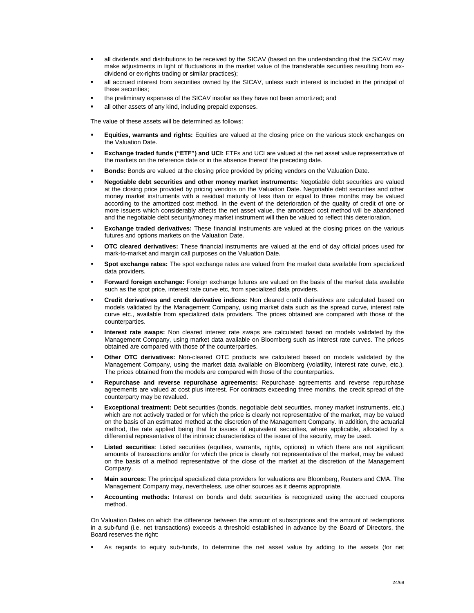- all dividends and distributions to be received by the SICAV (based on the understanding that the SICAV may make adjustments in light of fluctuations in the market value of the transferable securities resulting from exdividend or ex-rights trading or similar practices);
- all accrued interest from securities owned by the SICAV, unless such interest is included in the principal of these securities;
- the preliminary expenses of the SICAV insofar as they have not been amortized; and
- all other assets of any kind, including prepaid expenses.

The value of these assets will be determined as follows:

- **Equities, warrants and rights:** Equities are valued at the closing price on the various stock exchanges on the Valuation Date.
- **Exchange traded funds ("ETF") and UCI:** ETFs and UCI are valued at the net asset value representative of the markets on the reference date or in the absence thereof the preceding date.
- **Bonds:** Bonds are valued at the closing price provided by pricing vendors on the Valuation Date.
- **Negotiable debt securities and other money market instruments:** Negotiable debt securities are valued at the closing price provided by pricing vendors on the Valuation Date. Negotiable debt securities and other money market instruments with a residual maturity of less than or equal to three months may be valued according to the amortized cost method. In the event of the deterioration of the quality of credit of one or more issuers which considerably affects the net asset value, the amortized cost method will be abandoned and the negotiable debt security/money market instrument will then be valued to reflect this deterioration.
- **Exchange traded derivatives:** These financial instruments are valued at the closing prices on the various futures and options markets on the Valuation Date.
- **OTC cleared derivatives:** These financial instruments are valued at the end of day official prices used for mark-to-market and margin call purposes on the Valuation Date.
- **Spot exchange rates:** The spot exchange rates are valued from the market data available from specialized data providers.
- **Forward foreign exchange:** Foreign exchange futures are valued on the basis of the market data available such as the spot price, interest rate curve etc, from specialized data providers.
- **Credit derivatives and credit derivative indices:** Non cleared credit derivatives are calculated based on models validated by the Management Company, using market data such as the spread curve, interest rate curve etc., available from specialized data providers. The prices obtained are compared with those of the counterparties.
- **Interest rate swaps:** Non cleared interest rate swaps are calculated based on models validated by the Management Company, using market data available on Bloomberg such as interest rate curves. The prices obtained are compared with those of the counterparties.
- **Other OTC derivatives:** Non-cleared OTC products are calculated based on models validated by the Management Company, using the market data available on Bloomberg (volatility, interest rate curve, etc.). The prices obtained from the models are compared with those of the counterparties.
- **Repurchase and reverse repurchase agreements:** Repurchase agreements and reverse repurchase agreements are valued at cost plus interest. For contracts exceeding three months, the credit spread of the counterparty may be revalued.
- **Exceptional treatment:** Debt securities (bonds, negotiable debt securities, money market instruments, etc.) which are not actively traded or for which the price is clearly not representative of the market, may be valued on the basis of an estimated method at the discretion of the Management Company. In addition, the actuarial method, the rate applied being that for issues of equivalent securities, where applicable, allocated by a differential representative of the intrinsic characteristics of the issuer of the security, may be used.
- **Listed securities**: Listed securities (equities, warrants, rights, options) in which there are not significant amounts of transactions and/or for which the price is clearly not representative of the market, may be valued on the basis of a method representative of the close of the market at the discretion of the Management Company.
- **Main sources:** The principal specialized data providers for valuations are Bloomberg, Reuters and CMA. The Management Company may, nevertheless, use other sources as it deems appropriate.
- **Accounting methods:** Interest on bonds and debt securities is recognized using the accrued coupons method.

On Valuation Dates on which the difference between the amount of subscriptions and the amount of redemptions in a sub-fund (i.e. net transactions) exceeds a threshold established in advance by the Board of Directors, the Board reserves the right:

As regards to equity sub-funds, to determine the net asset value by adding to the assets (for net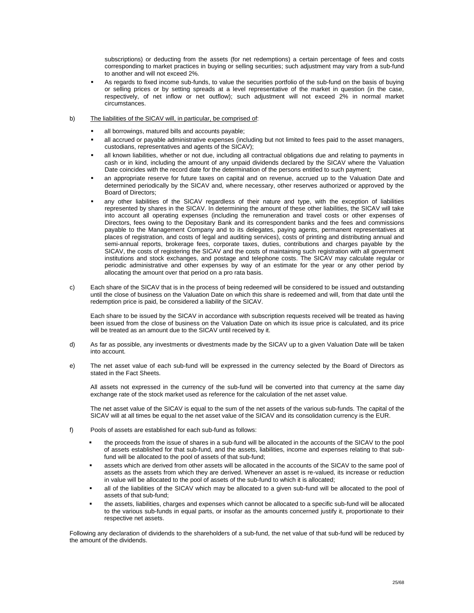subscriptions) or deducting from the assets (for net redemptions) a certain percentage of fees and costs corresponding to market practices in buying or selling securities; such adjustment may vary from a sub-fund to another and will not exceed 2%.

- As regards to fixed income sub-funds, to value the securities portfolio of the sub-fund on the basis of buying or selling prices or by setting spreads at a level representative of the market in question (in the case, respectively, of net inflow or net outflow); such adjustment will not exceed 2% in normal market circumstances.
- b) The liabilities of the SICAV will, in particular, be comprised of:
	- all borrowings, matured bills and accounts payable;
	- all accrued or payable administrative expenses (including but not limited to fees paid to the asset managers, custodians, representatives and agents of the SICAV);
	- all known liabilities, whether or not due, including all contractual obligations due and relating to payments in cash or in kind, including the amount of any unpaid dividends declared by the SICAV where the Valuation Date coincides with the record date for the determination of the persons entitled to such payment;
	- an appropriate reserve for future taxes on capital and on revenue, accrued up to the Valuation Date and determined periodically by the SICAV and, where necessary, other reserves authorized or approved by the Board of Directors;
	- any other liabilities of the SICAV regardless of their nature and type, with the exception of liabilities represented by shares in the SICAV. In determining the amount of these other liabilities, the SICAV will take into account all operating expenses (including the remuneration and travel costs or other expenses of Directors, fees owing to the Depositary Bank and its correspondent banks and the fees and commissions payable to the Management Company and to its delegates, paying agents, permanent representatives at places of registration, and costs of legal and auditing services), costs of printing and distributing annual and semi-annual reports, brokerage fees, corporate taxes, duties, contributions and charges payable by the SICAV, the costs of registering the SICAV and the costs of maintaining such registration with all government institutions and stock exchanges, and postage and telephone costs. The SICAV may calculate regular or periodic administrative and other expenses by way of an estimate for the year or any other period by allocating the amount over that period on a pro rata basis.
- c) Each share of the SICAV that is in the process of being redeemed will be considered to be issued and outstanding until the close of business on the Valuation Date on which this share is redeemed and will, from that date until the redemption price is paid, be considered a liability of the SICAV.

Each share to be issued by the SICAV in accordance with subscription requests received will be treated as having been issued from the close of business on the Valuation Date on which its issue price is calculated, and its price will be treated as an amount due to the SICAV until received by it.

- d) As far as possible, any investments or divestments made by the SICAV up to a given Valuation Date will be taken into account.
- e) The net asset value of each sub-fund will be expressed in the currency selected by the Board of Directors as stated in the Fact Sheets.

All assets not expressed in the currency of the sub-fund will be converted into that currency at the same day exchange rate of the stock market used as reference for the calculation of the net asset value.

The net asset value of the SICAV is equal to the sum of the net assets of the various sub-funds. The capital of the SICAV will at all times be equal to the net asset value of the SICAV and its consolidation currency is the EUR.

- f) Pools of assets are established for each sub-fund as follows:
	- the proceeds from the issue of shares in a sub-fund will be allocated in the accounts of the SICAV to the pool of assets established for that sub-fund, and the assets, liabilities, income and expenses relating to that subfund will be allocated to the pool of assets of that sub-fund;
	- assets which are derived from other assets will be allocated in the accounts of the SICAV to the same pool of assets as the assets from which they are derived. Whenever an asset is re-valued, its increase or reduction in value will be allocated to the pool of assets of the sub-fund to which it is allocated;
	- all of the liabilities of the SICAV which may be allocated to a given sub-fund will be allocated to the pool of assets of that sub-fund;
	- the assets, liabilities, charges and expenses which cannot be allocated to a specific sub-fund will be allocated to the various sub-funds in equal parts, or insofar as the amounts concerned justify it, proportionate to their respective net assets.

Following any declaration of dividends to the shareholders of a sub-fund, the net value of that sub-fund will be reduced by the amount of the dividends.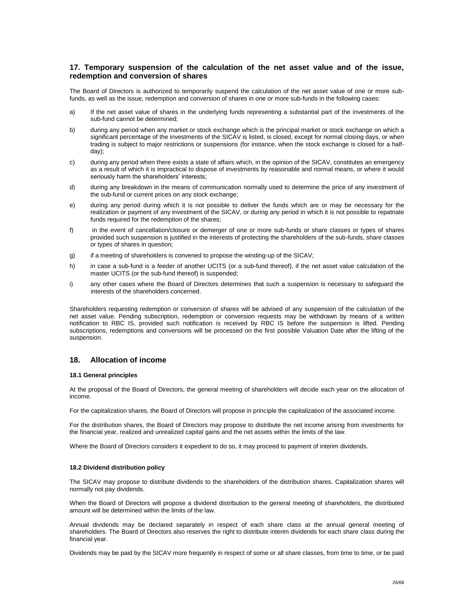# <span id="page-25-0"></span>**17. Temporary suspension of the calculation of the net asset value and of the issue, redemption and conversion of shares**

The Board of Directors is authorized to temporarily suspend the calculation of the net asset value of one or more subfunds, as well as the issue, redemption and conversion of shares in one or more sub-funds in the following cases:

- a) If the net asset value of shares in the underlying funds representing a substantial part of the investments of the sub-fund cannot be determined;
- b) during any period when any market or stock exchange which is the principal market or stock exchange on which a significant percentage of the investments of the SICAV is listed, is closed, except for normal closing days, or when trading is subject to major restrictions or suspensions (for instance, when the stock exchange is closed for a halfday);
- c) during any period when there exists a state of affairs which, in the opinion of the SICAV, constitutes an emergency as a result of which it is impractical to dispose of investments by reasonable and normal means, or where it would seriously harm the shareholders' interests;
- d) during any breakdown in the means of communication normally used to determine the price of any investment of the sub-fund or current prices on any stock exchange;
- e) during any period during which it is not possible to deliver the funds which are or may be necessary for the realization or payment of any investment of the SICAV, or during any period in which it is not possible to repatriate funds required for the redemption of the shares;
- f) in the event of cancellation/closure or demerger of one or more sub-funds or share classes or types of shares provided such suspension is justified in the interests of protecting the shareholders of the sub-funds, share classes or types of shares in question;
- g) if a meeting of shareholders is convened to propose the winding-up of the SICAV;
- h) in case a sub-fund is a feeder of another UCITS (or a sub-fund thereof), if the net asset value calculation of the master UCITS (or the sub-fund thereof) is suspended;
- i) any other cases where the Board of Directors determines that such a suspension is necessary to safeguard the interests of the shareholders concerned.

Shareholders requesting redemption or conversion of shares will be advised of any suspension of the calculation of the net asset value. Pending subscription, redemption or conversion requests may be withdrawn by means of a written notification to RBC IS, provided such notification is received by RBC IS before the suspension is lifted. Pending subscriptions, redemptions and conversions will be processed on the first possible Valuation Date after the lifting of the suspension.

# <span id="page-25-1"></span>**18. Allocation of income**

#### **18.1 General principles**

At the proposal of the Board of Directors, the general meeting of shareholders will decide each year on the allocation of income.

For the capitalization shares, the Board of Directors will propose in principle the capitalization of the associated income.

For the distribution shares, the Board of Directors may propose to distribute the net income arising from investments for the financial year, realized and unrealized capital gains and the net assets within the limits of the law.

Where the Board of Directors considers it expedient to do so, it may proceed to payment of interim dividends.

#### **18.2 Dividend distribution policy**

The SICAV may propose to distribute dividends to the shareholders of the distribution shares. Capitalization shares will normally not pay dividends.

When the Board of Directors will propose a dividend distribution to the general meeting of shareholders, the distributed amount will be determined within the limits of the law.

Annual dividends may be declared separately in respect of each share class at the annual general meeting of shareholders. The Board of Directors also reserves the right to distribute interim dividends for each share class during the financial year.

Dividends may be paid by the SICAV more frequently in respect of some or all share classes, from time to time, or be paid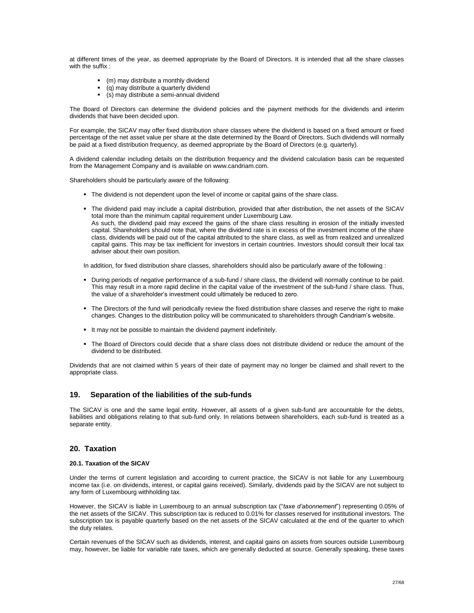at different times of the year, as deemed appropriate by the Board of Directors. It is intended that all the share classes with the suffix :

- (m) may distribute a monthly dividend
- (q) may distribute a quarterly dividend<br> $($ s) may distribute a semi-annual divide
- (s) may distribute a semi-annual dividend

The Board of Directors can determine the dividend policies and the payment methods for the dividends and interim dividends that have been decided upon.

For example, the SICAV may offer fixed distribution share classes where the dividend is based on a fixed amount or fixed percentage of the net asset value per share at the date determined by the Board of Directors. Such dividends will normally be paid at a fixed distribution frequency, as deemed appropriate by the Board of Directors (e.g. quarterly).

A dividend calendar including details on the distribution frequency and the dividend calculation basis can be requested from the Management Company and is available on www.candriam.com.

Shareholders should be particularly aware of the following:

- The dividend is not dependent upon the level of income or capital gains of the share class.
- The dividend paid may include a capital distribution, provided that after distribution, the net assets of the SICAV total more than the minimum capital requirement under Luxembourg Law. As such, the dividend paid may exceed the gains of the share class resulting in erosion of the initially invested capital. Shareholders should note that, where the dividend rate is in excess of the investment income of the share class, dividends will be paid out of the capital attributed to the share class, as well as from realized and unrealized capital gains. This may be tax inefficient for investors in certain countries. Investors should consult their local tax adviser about their own position.

In addition, for fixed distribution share classes, shareholders should also be particularly aware of the following :

- During periods of negative performance of a sub-fund / share class, the dividend will normally continue to be paid. This may result in a more rapid decline in the capital value of the investment of the sub-fund / share class. Thus, the value of a shareholder's investment could ultimately be reduced to zero.
- The Directors of the fund will periodically review the fixed distribution share classes and reserve the right to make changes. Changes to the distribution policy will be communicated to shareholders through Candriam's website.
- It may not be possible to maintain the dividend payment indefinitely.
- The Board of Directors could decide that a share class does not distribute dividend or reduce the amount of the dividend to be distributed.

Dividends that are not claimed within 5 years of their date of payment may no longer be claimed and shall revert to the appropriate class.

# <span id="page-26-0"></span>**19. Separation of the liabilities of the sub-funds**

The SICAV is one and the same legal entity. However, all assets of a given sub-fund are accountable for the debts, liabilities and obligations relating to that sub-fund only. In relations between shareholders, each sub-fund is treated as a separate entity.

#### <span id="page-26-1"></span>**20. Taxation**

#### **20.1. Taxation of the SICAV**

Under the terms of current legislation and according to current practice, the SICAV is not liable for any Luxembourg income tax (i.e. on dividends, interest, or capital gains received). Similarly, dividends paid by the SICAV are not subject to any form of Luxembourg withholding tax.

However, the SICAV is liable in Luxembourg to an annual subscription tax ("*taxe d'abonnement*") representing 0.05% of the net assets of the SICAV. This subscription tax is reduced to 0.01% for classes reserved for institutional investors. The subscription tax is payable quarterly based on the net assets of the SICAV calculated at the end of the quarter to which the duty relates.

Certain revenues of the SICAV such as dividends, interest, and capital gains on assets from sources outside Luxembourg may, however, be liable for variable rate taxes, which are generally deducted at source. Generally speaking, these taxes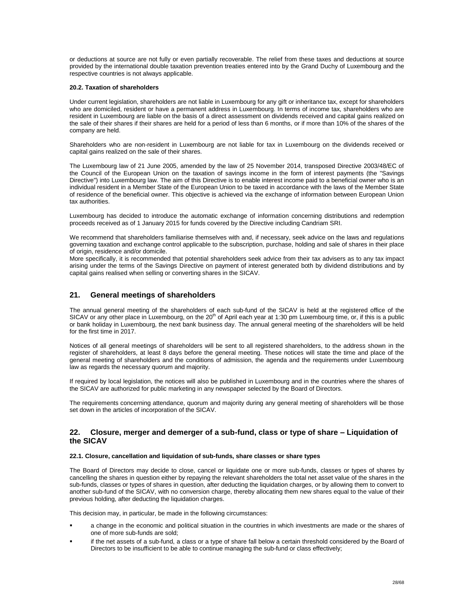or deductions at source are not fully or even partially recoverable. The relief from these taxes and deductions at source provided by the international double taxation prevention treaties entered into by the Grand Duchy of Luxembourg and the respective countries is not always applicable.

#### **20.2. Taxation of shareholders**

Under current legislation, shareholders are not liable in Luxembourg for any gift or inheritance tax, except for shareholders who are domiciled, resident or have a permanent address in Luxembourg. In terms of income tax, shareholders who are resident in Luxembourg are liable on the basis of a direct assessment on dividends received and capital gains realized on the sale of their shares if their shares are held for a period of less than 6 months, or if more than 10% of the shares of the company are held.

Shareholders who are non-resident in Luxembourg are not liable for tax in Luxembourg on the dividends received or capital gains realized on the sale of their shares.

The Luxembourg law of 21 June 2005, amended by the law of 25 November 2014, transposed Directive 2003/48/EC of the Council of the European Union on the taxation of savings income in the form of interest payments (the "Savings Directive") into Luxembourg law. The aim of this Directive is to enable interest income paid to a beneficial owner who is an individual resident in a Member State of the European Union to be taxed in accordance with the laws of the Member State of residence of the beneficial owner. This objective is achieved via the exchange of information between European Union tax authorities.

Luxembourg has decided to introduce the automatic exchange of information concerning distributions and redemption proceeds received as of 1 January 2015 for funds covered by the Directive including Candriam SRI.

We recommend that shareholders familiarise themselves with and, if necessary, seek advice on the laws and regulations governing taxation and exchange control applicable to the subscription, purchase, holding and sale of shares in their place of origin, residence and/or domicile.

More specifically, it is recommended that potential shareholders seek advice from their tax advisers as to any tax impact arising under the terms of the Savings Directive on payment of interest generated both by dividend distributions and by capital gains realised when selling or converting shares in the SICAV.

# <span id="page-27-0"></span>**21. General meetings of shareholders**

The annual general meeting of the shareholders of each sub-fund of the SICAV is held at the registered office of the SICAV or any other place in Luxembourg, on the  $20<sup>th</sup>$  of April each year at 1:30 pm Luxembourg time, or, if this is a public or bank holiday in Luxembourg, the next bank business day. The annual general meeting of the shareholders will be held for the first time in 2017.

Notices of all general meetings of shareholders will be sent to all registered shareholders, to the address shown in the register of shareholders, at least 8 days before the general meeting. These notices will state the time and place of the general meeting of shareholders and the conditions of admission, the agenda and the requirements under Luxembourg law as regards the necessary quorum and majority.

If required by local legislation, the notices will also be published in Luxembourg and in the countries where the shares of the SICAV are authorized for public marketing in any newspaper selected by the Board of Directors.

The requirements concerning attendance, quorum and majority during any general meeting of shareholders will be those set down in the articles of incorporation of the SICAV.

# <span id="page-27-1"></span>**22. Closure, merger and demerger of a sub-fund, class or type of share – Liquidation of the SICAV**

# **22.1. Closure, cancellation and liquidation of sub-funds, share classes or share types**

The Board of Directors may decide to close, cancel or liquidate one or more sub-funds, classes or types of shares by cancelling the shares in question either by repaying the relevant shareholders the total net asset value of the shares in the sub-funds, classes or types of shares in question, after deducting the liquidation charges, or by allowing them to convert to another sub-fund of the SICAV, with no conversion charge, thereby allocating them new shares equal to the value of their previous holding, after deducting the liquidation charges.

This decision may, in particular, be made in the following circumstances:

- a change in the economic and political situation in the countries in which investments are made or the shares of one of more sub-funds are sold;
- if the net assets of a sub-fund, a class or a type of share fall below a certain threshold considered by the Board of Directors to be insufficient to be able to continue managing the sub-fund or class effectively;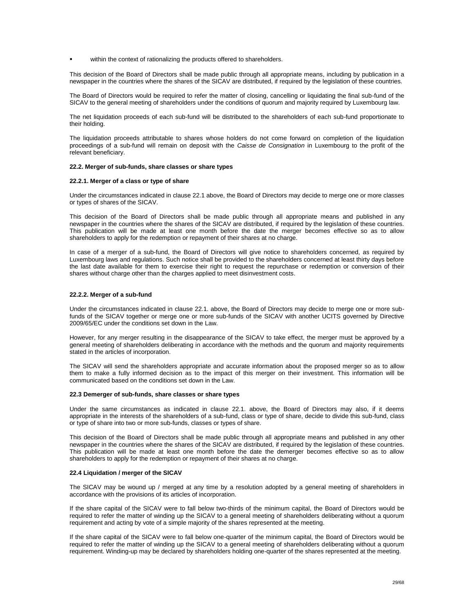within the context of rationalizing the products offered to shareholders.

This decision of the Board of Directors shall be made public through all appropriate means, including by publication in a newspaper in the countries where the shares of the SICAV are distributed, if required by the legislation of these countries.

The Board of Directors would be required to refer the matter of closing, cancelling or liquidating the final sub-fund of the SICAV to the general meeting of shareholders under the conditions of quorum and majority required by Luxembourg law.

The net liquidation proceeds of each sub-fund will be distributed to the shareholders of each sub-fund proportionate to their holding.

The liquidation proceeds attributable to shares whose holders do not come forward on completion of the liquidation proceedings of a sub-fund will remain on deposit with the *Caisse de Consignation* in Luxembourg to the profit of the relevant beneficiary.

#### **22.2. Merger of sub-funds, share classes or share types**

#### **22.2.1. Merger of a class or type of share**

Under the circumstances indicated in clause 22.1 above, the Board of Directors may decide to merge one or more classes or types of shares of the SICAV.

This decision of the Board of Directors shall be made public through all appropriate means and published in any newspaper in the countries where the shares of the SICAV are distributed, if required by the legislation of these countries. This publication will be made at least one month before the date the merger becomes effective so as to allow shareholders to apply for the redemption or repayment of their shares at no charge.

In case of a merger of a sub-fund, the Board of Directors will give notice to shareholders concerned, as required by Luxembourg laws and regulations. Such notice shall be provided to the shareholders concerned at least thirty days before the last date available for them to exercise their right to request the repurchase or redemption or conversion of their shares without charge other than the charges applied to meet disinvestment costs.

#### **22.2.2. Merger of a sub-fund**

Under the circumstances indicated in clause 22.1. above, the Board of Directors may decide to merge one or more subfunds of the SICAV together or merge one or more sub-funds of the SICAV with another UCITS governed by Directive 2009/65/EC under the conditions set down in the Law.

However, for any merger resulting in the disappearance of the SICAV to take effect, the merger must be approved by a general meeting of shareholders deliberating in accordance with the methods and the quorum and majority requirements stated in the articles of incorporation.

The SICAV will send the shareholders appropriate and accurate information about the proposed merger so as to allow them to make a fully informed decision as to the impact of this merger on their investment. This information will be communicated based on the conditions set down in the Law.

#### **22.3 Demerger of sub-funds, share classes or share types**

Under the same circumstances as indicated in clause 22.1. above, the Board of Directors may also, if it deems appropriate in the interests of the shareholders of a sub-fund, class or type of share, decide to divide this sub-fund, class or type of share into two or more sub-funds, classes or types of share.

This decision of the Board of Directors shall be made public through all appropriate means and published in any other newspaper in the countries where the shares of the SICAV are distributed, if required by the legislation of these countries. This publication will be made at least one month before the date the demerger becomes effective so as to allow shareholders to apply for the redemption or repayment of their shares at no charge.

#### **22.4 Liquidation / merger of the SICAV**

The SICAV may be wound up / merged at any time by a resolution adopted by a general meeting of shareholders in accordance with the provisions of its articles of incorporation.

If the share capital of the SICAV were to fall below two-thirds of the minimum capital, the Board of Directors would be required to refer the matter of winding up the SICAV to a general meeting of shareholders deliberating without a quorum requirement and acting by vote of a simple majority of the shares represented at the meeting.

If the share capital of the SICAV were to fall below one-quarter of the minimum capital, the Board of Directors would be required to refer the matter of winding up the SICAV to a general meeting of shareholders deliberating without a quorum requirement. Winding-up may be declared by shareholders holding one-quarter of the shares represented at the meeting.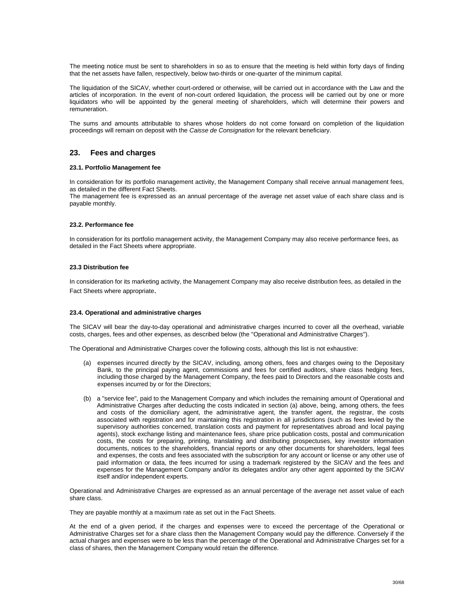The meeting notice must be sent to shareholders in so as to ensure that the meeting is held within forty days of finding that the net assets have fallen, respectively, below two-thirds or one-quarter of the minimum capital.

The liquidation of the SICAV, whether court-ordered or otherwise, will be carried out in accordance with the Law and the articles of incorporation. In the event of non-court ordered liquidation, the process will be carried out by one or more liquidators who will be appointed by the general meeting of shareholders, which will determine their powers and remuneration.

The sums and amounts attributable to shares whose holders do not come forward on completion of the liquidation proceedings will remain on deposit with the *Caisse de Consignation* for the relevant beneficiary.

# <span id="page-29-0"></span>**23. Fees and charges**

#### **23.1. Portfolio Management fee**

In consideration for its portfolio management activity, the Management Company shall receive annual management fees, as detailed in the different Fact Sheets.

The management fee is expressed as an annual percentage of the average net asset value of each share class and is payable monthly.

#### **23.2. Performance fee**

In consideration for its portfolio management activity, the Management Company may also receive performance fees, as detailed in the Fact Sheets where appropriate.

#### **23.3 Distribution fee**

In consideration for its marketing activity, the Management Company may also receive distribution fees, as detailed in the Fact Sheets where appropriate.

#### **23.4. Operational and administrative charges**

The SICAV will bear the day-to-day operational and administrative charges incurred to cover all the overhead, variable costs, charges, fees and other expenses, as described below (the "Operational and Administrative Charges").

The Operational and Administrative Charges cover the following costs, although this list is not exhaustive:

- (a) expenses incurred directly by the SICAV, including, among others, fees and charges owing to the Depositary Bank, to the principal paying agent, commissions and fees for certified auditors, share class hedging fees, including those charged by the Management Company, the fees paid to Directors and the reasonable costs and expenses incurred by or for the Directors;
- (b) a "service fee", paid to the Management Company and which includes the remaining amount of Operational and Administrative Charges after deducting the costs indicated in section (a) above, being, among others, the fees and costs of the domiciliary agent, the administrative agent, the transfer agent, the registrar, the costs associated with registration and for maintaining this registration in all jurisdictions (such as fees levied by the supervisory authorities concerned, translation costs and payment for representatives abroad and local paying agents), stock exchange listing and maintenance fees, share price publication costs, postal and communication costs, the costs for preparing, printing, translating and distributing prospectuses, key investor information documents, notices to the shareholders, financial reports or any other documents for shareholders, legal fees and expenses, the costs and fees associated with the subscription for any account or license or any other use of paid information or data, the fees incurred for using a trademark registered by the SICAV and the fees and expenses for the Management Company and/or its delegates and/or any other agent appointed by the SICAV itself and/or independent experts.

Operational and Administrative Charges are expressed as an annual percentage of the average net asset value of each share class.

They are payable monthly at a maximum rate as set out in the Fact Sheets.

At the end of a given period, if the charges and expenses were to exceed the percentage of the Operational or Administrative Charges set for a share class then the Management Company would pay the difference. Conversely if the actual charges and expenses were to be less than the percentage of the Operational and Administrative Charges set for a class of shares, then the Management Company would retain the difference.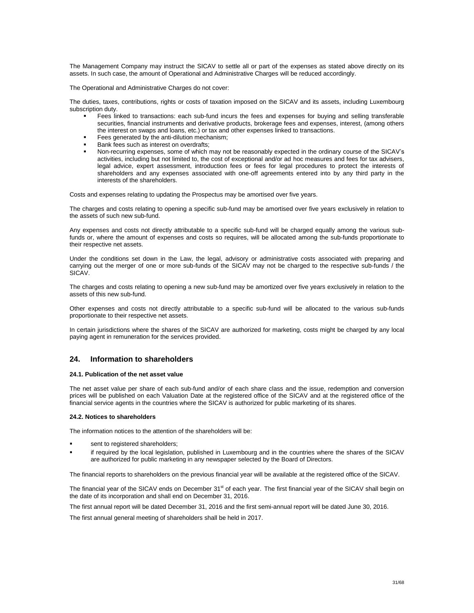The Management Company may instruct the SICAV to settle all or part of the expenses as stated above directly on its assets. In such case, the amount of Operational and Administrative Charges will be reduced accordingly.

The Operational and Administrative Charges do not cover:

The duties, taxes, contributions, rights or costs of taxation imposed on the SICAV and its assets, including Luxembourg subscription duty.

- Fees linked to transactions: each sub-fund incurs the fees and expenses for buying and selling transferable securities, financial instruments and derivative products, brokerage fees and expenses, interest, (among others the interest on swaps and loans, etc.) or tax and other expenses linked to transactions.
- Fees generated by the anti-dilution mechanism;
- Bank fees such as interest on overdrafts;
- Non-recurring expenses, some of which may not be reasonably expected in the ordinary course of the SICAV's activities, including but not limited to, the cost of exceptional and/or ad hoc measures and fees for tax advisers, legal advice, expert assessment, introduction fees or fees for legal procedures to protect the interests of shareholders and any expenses associated with one-off agreements entered into by any third party in the interests of the shareholders.

Costs and expenses relating to updating the Prospectus may be amortised over five years.

The charges and costs relating to opening a specific sub-fund may be amortised over five years exclusively in relation to the assets of such new sub-fund.

Any expenses and costs not directly attributable to a specific sub-fund will be charged equally among the various subfunds or, where the amount of expenses and costs so requires, will be allocated among the sub-funds proportionate to their respective net assets.

Under the conditions set down in the Law, the legal, advisory or administrative costs associated with preparing and carrying out the merger of one or more sub-funds of the SICAV may not be charged to the respective sub-funds / the SICAV.

The charges and costs relating to opening a new sub-fund may be amortized over five years exclusively in relation to the assets of this new sub-fund.

Other expenses and costs not directly attributable to a specific sub-fund will be allocated to the various sub-funds proportionate to their respective net assets.

In certain jurisdictions where the shares of the SICAV are authorized for marketing, costs might be charged by any local paying agent in remuneration for the services provided.

# <span id="page-30-0"></span>**24. Information to shareholders**

#### **24.1. Publication of the net asset value**

The net asset value per share of each sub-fund and/or of each share class and the issue, redemption and conversion prices will be published on each Valuation Date at the registered office of the SICAV and at the registered office of the financial service agents in the countries where the SICAV is authorized for public marketing of its shares.

#### **24.2. Notices to shareholders**

The information notices to the attention of the shareholders will be:

- sent to registered shareholders;
- if required by the local legislation, published in Luxembourg and in the countries where the shares of the SICAV are authorized for public marketing in any newspaper selected by the Board of Directors.

The financial reports to shareholders on the previous financial year will be available at the registered office of the SICAV.

The financial year of the SICAV ends on December 31<sup>st</sup> of each year. The first financial year of the SICAV shall begin on the date of its incorporation and shall end on December 31, 2016.

The first annual report will be dated December 31, 2016 and the first semi-annual report will be dated June 30, 2016.

The first annual general meeting of shareholders shall be held in 2017.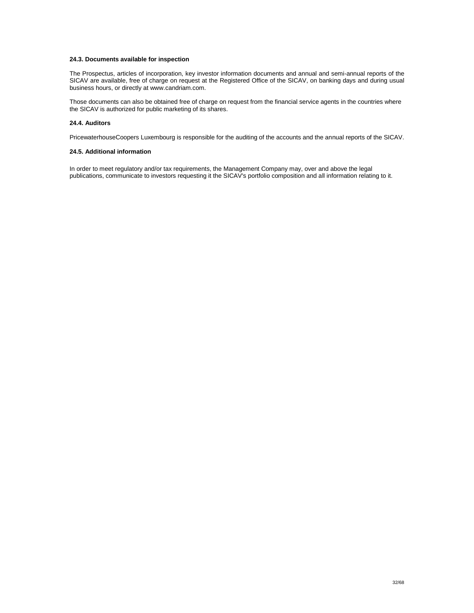#### **24.3. Documents available for inspection**

The Prospectus, articles of incorporation, key investor information documents and annual and semi-annual reports of the SICAV are available, free of charge on request at the Registered Office of the SICAV, on banking days and during usual business hours, or directly at www.candriam.com.

Those documents can also be obtained free of charge on request from the financial service agents in the countries where the SICAV is authorized for public marketing of its shares.

## **24.4. Auditors**

PricewaterhouseCoopers Luxembourg is responsible for the auditing of the accounts and the annual reports of the SICAV.

#### **24.5. Additional information**

In order to meet regulatory and/or tax requirements, the Management Company may, over and above the legal publications, communicate to investors requesting it the SICAV's portfolio composition and all information relating to it.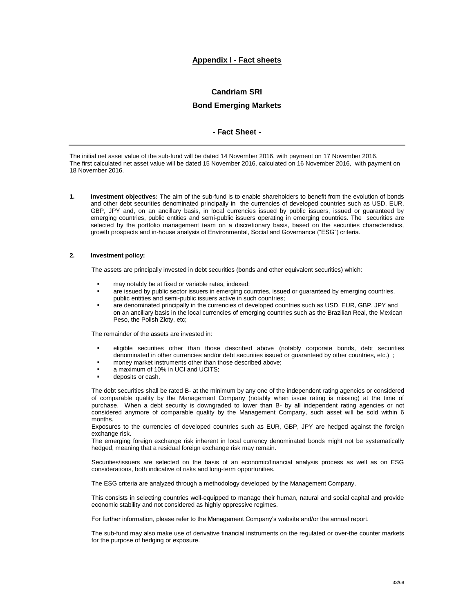# **Appendix I - Fact sheets**

# **Candriam SRI**

# **Bond Emerging Markets**

# **- Fact Sheet -**

<span id="page-32-1"></span><span id="page-32-0"></span>The initial net asset value of the sub-fund will be dated 14 November 2016, with payment on 17 November 2016. The first calculated net asset value will be dated 15 November 2016, calculated on 16 November 2016, with payment on 18 November 2016.

**1. Investment objectives:** The aim of the sub-fund is to enable shareholders to benefit from the evolution of bonds and other debt securities denominated principally in the currencies of developed countries such as USD, EUR, GBP, JPY and, on an ancillary basis, in local currencies issued by public issuers, issued or guaranteed by emerging countries, public entities and semi-public issuers operating in emerging countries. The securities are selected by the portfolio management team on a discretionary basis, based on the securities characteristics, growth prospects and in-house analysis of Environmental, Social and Governance ("ESG") criteria.

#### **2. Investment policy:**

The assets are principally invested in debt securities (bonds and other equivalent securities) which:

- may notably be at fixed or variable rates, indexed;
- are issued by public sector issuers in emerging countries, issued or guaranteed by emerging countries, public entities and semi-public issuers active in such countries;
- are denominated principally in the currencies of developed countries such as USD, EUR, GBP, JPY and on an ancillary basis in the local currencies of emerging countries such as the Brazilian Real, the Mexican Peso, the Polish Zloty, etc;

The remainder of the assets are invested in:

- eligible securities other than those described above (notably corporate bonds, debt securities denominated in other currencies and/or debt securities issued or guaranteed by other countries, etc.) ;
- money market instruments other than those described above;
- a maximum of 10% in UCI and UCITS;
- deposits or cash.

The debt securities shall be rated B- at the minimum by any one of the independent rating agencies or considered of comparable quality by the Management Company (notably when issue rating is missing) at the time of purchase. When a debt security is downgraded to lower than B- by all independent rating agencies or not considered anymore of comparable quality by the Management Company, such asset will be sold within 6 months.

Exposures to the currencies of developed countries such as EUR, GBP, JPY are hedged against the foreign exchange risk.

The emerging foreign exchange risk inherent in local currency denominated bonds might not be systematically hedged, meaning that a residual foreign exchange risk may remain.

Securities/issuers are selected on the basis of an economic/financial analysis process as well as on ESG considerations, both indicative of risks and long-term opportunities.

The ESG criteria are analyzed through a methodology developed by the Management Company.

This consists in selecting countries well-equipped to manage their human, natural and social capital and provide economic stability and not considered as highly oppressive regimes.

For further information, please refer to the Management Company's website and/or the annual report.

The sub-fund may also make use of derivative financial instruments on the regulated or over-the counter markets for the purpose of hedging or exposure.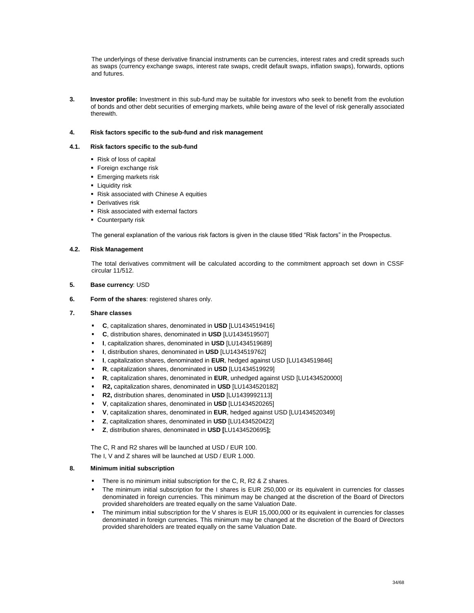The underlyings of these derivative financial instruments can be currencies, interest rates and credit spreads such as swaps (currency exchange swaps, interest rate swaps, credit default swaps, inflation swaps), forwards, options and futures.

**3. Investor profile:** Investment in this sub-fund may be suitable for investors who seek to benefit from the evolution of bonds and other debt securities of emerging markets, while being aware of the level of risk generally associated therewith.

#### **4. Risk factors specific to the sub-fund and risk management**

#### **4.1. Risk factors specific to the sub-fund**

- Risk of loss of capital
- **Foreign exchange risk**
- **Emerging markets risk**
- **-** Liquidity risk
- Risk associated with Chinese A equities
- **Derivatives risk**
- Risk associated with external factors
- **Counterparty risk**

The general explanation of the various risk factors is given in the clause titled "Risk factors" in the Prospectus.

# **4.2. Risk Management**

The total derivatives commitment will be calculated according to the commitment approach set down in CSSF circular 11/512.

- **5. Base currency**: USD
- **6. Form of the shares**: registered shares only.

#### **7. Share classes**

- **C**, capitalization shares, denominated in **USD** [LU1434519416]
- **C**, distribution shares, denominated in **USD** [LU1434519507]
- **I**, capitalization shares, denominated in **USD** [LU1434519689]
- **I**, distribution shares, denominated in **USD** [LU1434519762]
- **I**, capitalization shares, denominated in **EUR**, hedged against USD [LU1434519846]
- **R**, capitalization shares, denominated in **USD** [LU1434519929]
- **R**, capitalization shares, denominated in **EUR**, unhedged against USD [LU1434520000]
- **R2,** capitalization shares, denominated in **USD** [LU1434520182]
- **R2,** distribution shares, denominated in **USD** [LU1439992113]
- **V**, capitalization shares, denominated in **USD** [LU1434520265]
- **V**, capitalization shares, denominated in **EUR**, hedged against USD [LU1434520349]
- **Z**, capitalization shares, denominated in **USD** [LU1434520422]
- **Z**, distribution shares, denominated in **USD [**LU1434520695**];**

The C, R and R2 shares will be launched at USD / EUR 100. The I, V and Z shares will be launched at USD / EUR 1.000.

#### **8. Minimum initial subscription**

- There is no minimum initial subscription for the C, R, R2 & Z shares.
- The minimum initial subscription for the I shares is EUR 250,000 or its equivalent in currencies for classes denominated in foreign currencies. This minimum may be changed at the discretion of the Board of Directors provided shareholders are treated equally on the same Valuation Date.
- The minimum initial subscription for the V shares is EUR 15,000,000 or its equivalent in currencies for classes denominated in foreign currencies. This minimum may be changed at the discretion of the Board of Directors provided shareholders are treated equally on the same Valuation Date.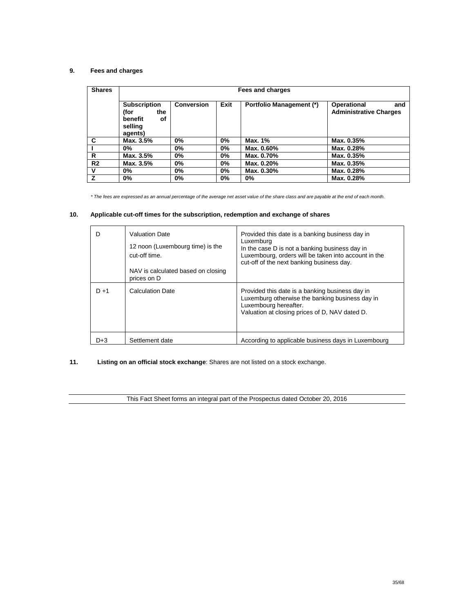# **9. Fees and charges**

| <b>Shares</b>  | Fees and charges                                                          |                   |       |                                 |                                                     |
|----------------|---------------------------------------------------------------------------|-------------------|-------|---------------------------------|-----------------------------------------------------|
|                | <b>Subscription</b><br>(for<br>the<br>οf<br>benefit<br>selling<br>agents) | <b>Conversion</b> | Exit  | <b>Portfolio Management (*)</b> | Operational<br>and<br><b>Administrative Charges</b> |
| C              | Max. 3.5%                                                                 | $0\%$             | $0\%$ | Max. 1%                         | Max. 0.35%                                          |
|                | 0%                                                                        | $0\%$             | $0\%$ | Max. 0.60%                      | Max. 0.28%                                          |
| R              | Max. 3.5%                                                                 | $0\%$             | $0\%$ | Max. 0.70%                      | Max. 0.35%                                          |
| R <sub>2</sub> | Max. 3.5%                                                                 | $0\%$             | 0%    | Max. 0.20%                      | Max. 0.35%                                          |
| v              | 0%                                                                        | $0\%$             | $0\%$ | Max. 0.30%                      | Max. 0.28%                                          |
| z              | 0%                                                                        | $0\%$             | 0%    | 0%                              | Max. 0.28%                                          |

*\* The fees are expressed as an annual percentage of the average net asset value of the share class and are payable at the end of each month.*

# **10. Applicable cut-off times for the subscription, redemption and exchange of shares**

|         | <b>Valuation Date</b><br>12 noon (Luxembourg time) is the<br>cut-off time.<br>NAV is calculated based on closing | Provided this date is a banking business day in<br>Luxemburg<br>In the case D is not a banking business day in<br>Luxembourg, orders will be taken into account in the<br>cut-off of the next banking business day. |
|---------|------------------------------------------------------------------------------------------------------------------|---------------------------------------------------------------------------------------------------------------------------------------------------------------------------------------------------------------------|
|         | prices on D                                                                                                      |                                                                                                                                                                                                                     |
| $D + 1$ | <b>Calculation Date</b>                                                                                          | Provided this date is a banking business day in<br>Luxemburg otherwise the banking business day in<br>Luxembourg hereafter.<br>Valuation at closing prices of D, NAV dated D.                                       |
| D+3     | Settlement date                                                                                                  | According to applicable business days in Luxembourg                                                                                                                                                                 |

# **11. Listing on an official stock exchange**: Shares are not listed on a stock exchange.

This Fact Sheet forms an integral part of the Prospectus dated October 20, 2016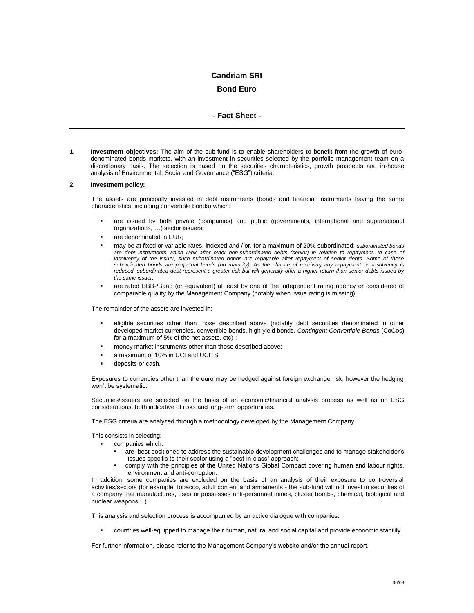# **Candriam SRI**

# **Bond Euro**

# **- Fact Sheet -**

<span id="page-35-1"></span><span id="page-35-0"></span>**1. Investment objectives:** The aim of the sub-fund is to enable shareholders to benefit from the growth of eurodenominated bonds markets, with an investment in securities selected by the portfolio management team on a discretionary basis. The selection is based on the securities characteristics, growth prospects and in-house analysis of Environmental, Social and Governance ("ESG") criteria.

#### **2. Investment policy:**

The assets are principally invested in debt instruments (bonds and financial instruments having the same characteristics, including convertible bonds) which:

- are issued by both private (companies) and public (governments, international and supranational organizations, …) sector issuers;
- are denominated in EUR;
- may be at fixed or variable rates, indexed and / or, for a maximum of 20% subordinated; *subordinated bonds are debt instruments which rank after other non-subordinated debts (senior) in relation to repayment. In case of insolvency of the issuer, such subordinated bonds are repayable after repayment of senior debts. Some of these subordinated bonds are perpetual bonds (no maturity). As the chance of receiving any repayment on insolvency is reduced, subordinated debt represent a greater risk but will generally offer a higher return than senior debts issued by the same issuer.*
- are rated BBB-/Baa3 (or equivalent) at least by one of the independent rating agency or considered of comparable quality by the Management Company (notably when issue rating is missing).

The remainder of the assets are invested in:

- eligible securities other than those described above (notably debt securities denominated in other developed market currencies, convertible bonds, high yield bonds, *Contingent Convertible Bonds* (CoCos) for a maximum of 5% of the net assets, etc) ;
- money market instruments other than those described above;
- a maximum of 10% in UCI and UCITS;
- deposits or cash.

Exposures to currencies other than the euro may be hedged against foreign exchange risk, however the hedging won't be systematic.

Securities/issuers are selected on the basis of an economic/financial analysis process as well as on ESG considerations, both indicative of risks and long-term opportunities.

The ESG criteria are analyzed through a methodology developed by the Management Company.

This consists in selecting:

- companies which:
	- are best positioned to address the sustainable development challenges and to manage stakeholder's issues specific to their sector using a "best-in-class" approach;
	- comply with the principles of the United Nations Global Compact covering human and labour rights, environment and anti-corruption.

In addition, some companies are excluded on the basis of an analysis of their exposure to controversial activities/sectors (for example tobacco, adult content and armaments - the sub-fund will not invest in securities of a company that manufactures, uses or possesses anti-personnel mines, cluster bombs, chemical, biological and nuclear weapons…).

This analysis and selection process is accompanied by an active dialogue with companies.

countries well-equipped to manage their human, natural and social capital and provide economic stability.

For further information, please refer to the Management Company's website and/or the annual report.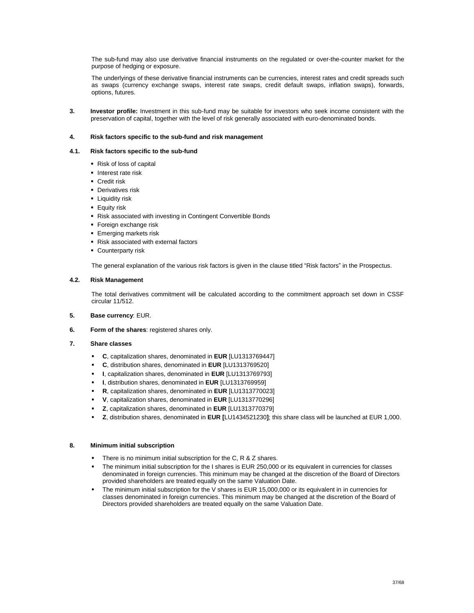The sub-fund may also use derivative financial instruments on the regulated or over-the-counter market for the purpose of hedging or exposure.

The underlyings of these derivative financial instruments can be currencies, interest rates and credit spreads such as swaps (currency exchange swaps, interest rate swaps, credit default swaps, inflation swaps), forwards, options, futures.

**3. Investor profile:** Investment in this sub-fund may be suitable for investors who seek income consistent with the preservation of capital, together with the level of risk generally associated with euro-denominated bonds.

### **4. Risk factors specific to the sub-fund and risk management**

#### **4.1. Risk factors specific to the sub-fund**

- Risk of loss of capital
- **Interest rate risk**
- **Credit risk**
- **Derivatives risk**
- **-** Liquidity risk
- **Equity risk**
- Risk associated with investing in Contingent Convertible Bonds
- **Foreign exchange risk**
- **Emerging markets risk**
- Risk associated with external factors
- **Counterparty risk**

The general explanation of the various risk factors is given in the clause titled "Risk factors" in the Prospectus.

### **4.2. Risk Management**

The total derivatives commitment will be calculated according to the commitment approach set down in CSSF circular 11/512.

- **5. Base currency**: EUR.
- **6. Form of the shares**: registered shares only.
- **7. Share classes** 
	- **C**, capitalization shares, denominated in **EUR** [LU1313769447]
	- **C**, distribution shares, denominated in **EUR** [LU1313769520]
	- **I**, capitalization shares, denominated in **EUR** [LU1313769793]
	- **I**, distribution shares, denominated in **EUR** [LU1313769959]
	- **R**, capitalization shares, denominated in **EUR** [LU1313770023]
	- **V**, capitalization shares, denominated in **EUR** [LU1313770296]
	- **Z**, capitalization shares, denominated in **EUR** [LU1313770379]
	- **Z**, distribution shares, denominated in **EUR [**LU1434521230**]**; this share class will be launched at EUR 1,000.

### **8. Minimum initial subscription**

- There is no minimum initial subscription for the C, R & Z shares.
- The minimum initial subscription for the I shares is EUR 250,000 or its equivalent in currencies for classes denominated in foreign currencies. This minimum may be changed at the discretion of the Board of Directors provided shareholders are treated equally on the same Valuation Date.
- The minimum initial subscription for the V shares is EUR 15,000,000 or its equivalent in in currencies for classes denominated in foreign currencies. This minimum may be changed at the discretion of the Board of Directors provided shareholders are treated equally on the same Valuation Date.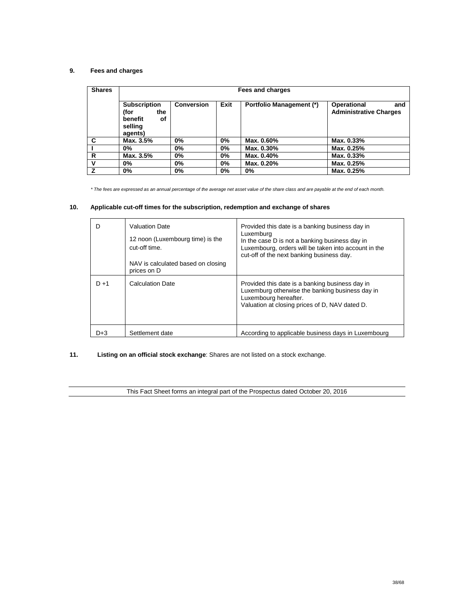## **9. Fees and charges**

| <b>Shares</b> |                                                                           | Fees and charges  |       |                                 |                                                     |  |
|---------------|---------------------------------------------------------------------------|-------------------|-------|---------------------------------|-----------------------------------------------------|--|
|               | <b>Subscription</b><br>(for<br>the<br>benefit<br>οf<br>selling<br>agents) | <b>Conversion</b> | Exit  | <b>Portfolio Management (*)</b> | Operational<br>and<br><b>Administrative Charges</b> |  |
| C             | Max. 3.5%                                                                 | 0%                | $0\%$ | Max. 0.60%                      | Max. 0.33%                                          |  |
|               | 0%                                                                        | 0%                | $0\%$ | Max. 0.30%                      | Max. 0.25%                                          |  |
| R             | Max. 3.5%                                                                 | 0%                | $0\%$ | Max. 0.40%                      | Max. 0.33%                                          |  |
| v             | 0%                                                                        | 0%                | $0\%$ | Max. 0.20%                      | Max. 0.25%                                          |  |
| z             | 0%                                                                        | 0%                | 0%    | 0%                              | Max. 0.25%                                          |  |

*\* The fees are expressed as an annual percentage of the average net asset value of the share class and are payable at the end of each month.*

## **10. Applicable cut-off times for the subscription, redemption and exchange of shares**

| D       | <b>Valuation Date</b><br>12 noon (Luxembourg time) is the<br>cut-off time.<br>NAV is calculated based on closing | Provided this date is a banking business day in<br>Luxemburg<br>In the case D is not a banking business day in<br>Luxembourg, orders will be taken into account in the<br>cut-off of the next banking business day. |
|---------|------------------------------------------------------------------------------------------------------------------|---------------------------------------------------------------------------------------------------------------------------------------------------------------------------------------------------------------------|
|         | prices on D                                                                                                      |                                                                                                                                                                                                                     |
| $D + 1$ | <b>Calculation Date</b>                                                                                          | Provided this date is a banking business day in<br>Luxemburg otherwise the banking business day in<br>Luxembourg hereafter.<br>Valuation at closing prices of D, NAV dated D.                                       |
| D+3     | Settlement date                                                                                                  | According to applicable business days in Luxembourg                                                                                                                                                                 |

## **11. Listing on an official stock exchange**: Shares are not listed on a stock exchange.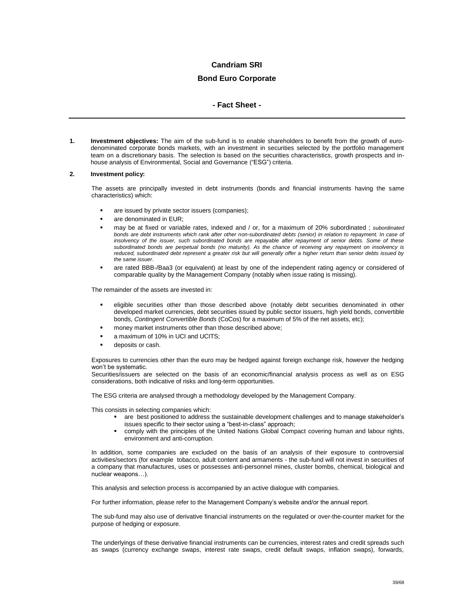### **Bond Euro Corporate**

### **- Fact Sheet -**

**1. Investment objectives:** The aim of the sub-fund is to enable shareholders to benefit from the growth of eurodenominated corporate bonds markets, with an investment in securities selected by the portfolio management team on a discretionary basis. The selection is based on the securities characteristics, growth prospects and inhouse analysis of Environmental, Social and Governance ("ESG") criteria.

#### **2. Investment policy:**

The assets are principally invested in debt instruments (bonds and financial instruments having the same characteristics) which:

- are issued by private sector issuers (companies);
- are denominated in EUR;
- may be at fixed or variable rates, indexed and / or, for a maximum of 20% subordinated ; *subordinated bonds are debt instruments which rank after other non-subordinated debts (senior) in relation to repayment. In case of insolvency of the issuer, such subordinated bonds are repayable after repayment of senior debts. Some of these subordinated bonds are perpetual bonds (no maturity). As the chance of receiving any repayment on insolvency is reduced, subordinated debt represent a greater risk but will generally offer a higher return than senior debts issued by the same issuer*.
- are rated BBB-/Baa3 (or equivalent) at least by one of the independent rating agency or considered of comparable quality by the Management Company (notably when issue rating is missing).

The remainder of the assets are invested in:

- eligible securities other than those described above (notably debt securities denominated in other developed market currencies, debt securities issued by public sector issuers, high yield bonds, convertible bonds, *Contingent Convertible Bonds* (CoCos) for a maximum of 5% of the net assets, etc);
- money market instruments other than those described above;
- a maximum of 10% in UCI and UCITS;
- deposits or cash.

Exposures to currencies other than the euro may be hedged against foreign exchange risk, however the hedging won't be systematic.

Securities/issuers are selected on the basis of an economic/financial analysis process as well as on ESG considerations, both indicative of risks and long-term opportunities.

The ESG criteria are analysed through a methodology developed by the Management Company.

This consists in selecting companies which:

- are best positioned to address the sustainable development challenges and to manage stakeholder's issues specific to their sector using a "best-in-class" approach;
- comply with the principles of the United Nations Global Compact covering human and labour rights, environment and anti-corruption.

In addition, some companies are excluded on the basis of an analysis of their exposure to controversial activities/sectors (for example tobacco, adult content and armaments - the sub-fund will not invest in securities of a company that manufactures, uses or possesses anti-personnel mines, cluster bombs, chemical, biological and nuclear weapons…).

This analysis and selection process is accompanied by an active dialogue with companies.

For further information, please refer to the Management Company's website and/or the annual report.

The sub-fund may also use of derivative financial instruments on the regulated or over-the-counter market for the purpose of hedging or exposure.

The underlyings of these derivative financial instruments can be currencies, interest rates and credit spreads such as swaps (currency exchange swaps, interest rate swaps, credit default swaps, inflation swaps), forwards,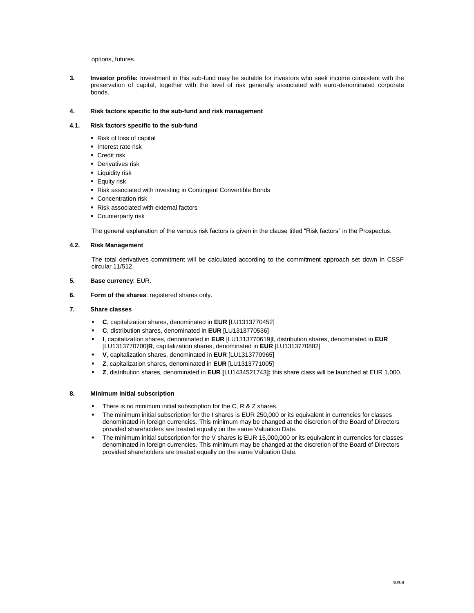options, futures.

**3. Investor profile:** Investment in this sub-fund may be suitable for investors who seek income consistent with the preservation of capital, together with the level of risk generally associated with euro-denominated corporate bonds.

### **4. Risk factors specific to the sub-fund and risk management**

### **4.1. Risk factors specific to the sub-fund**

- Risk of loss of capital
- **Interest rate risk**
- **Credit risk**
- **Derivatives risk**
- **-** Liquidity risk
- **Equity risk**
- Risk associated with investing in Contingent Convertible Bonds
- **Concentration risk**
- Risk associated with external factors
- **Counterparty risk**

The general explanation of the various risk factors is given in the clause titled "Risk factors" in the Prospectus.

### **4.2. Risk Management**

The total derivatives commitment will be calculated according to the commitment approach set down in CSSF circular 11/512.

- **5. Base currency**: EUR.
- **6. Form of the shares**: registered shares only.

### **7. Share classes**

- **C**, capitalization shares, denominated in **EUR** [LU1313770452]
- **C**, distribution shares, denominated in **EUR** [LU1313770536]
- **I**, capitalization shares, denominated in **EUR** [LU1313770619]**I**, distribution shares, denominated in **EUR** [LU1313770700]**R**, capitalization shares, denominated in **EUR** [LU1313770882]
- **V**, capitalization shares, denominated in **EUR** [LU1313770965]
- **Z**, capitalization shares, denominated in **EUR** [LU1313771005]
- **Z**, distribution shares, denominated in **EUR [**LU1434521743**];** this share class will be launched at EUR 1,000.

### **8. Minimum initial subscription**

- There is no minimum initial subscription for the C, R & Z shares.
- The minimum initial subscription for the I shares is EUR 250,000 or its equivalent in currencies for classes denominated in foreign currencies. This minimum may be changed at the discretion of the Board of Directors provided shareholders are treated equally on the same Valuation Date.
- The minimum initial subscription for the V shares is EUR 15,000,000 or its equivalent in currencies for classes denominated in foreign currencies. This minimum may be changed at the discretion of the Board of Directors provided shareholders are treated equally on the same Valuation Date.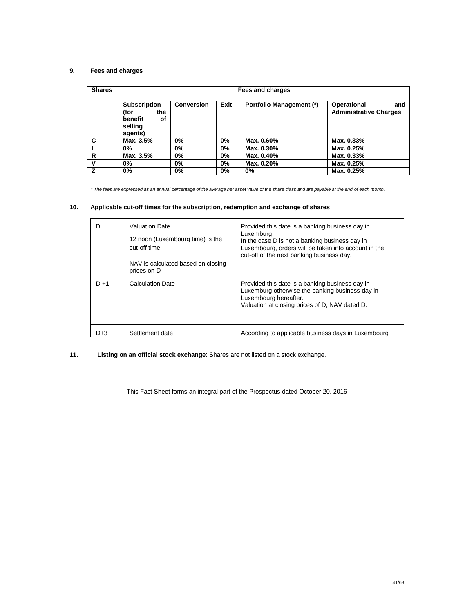## **9. Fees and charges**

| <b>Shares</b> | Fees and charges                                                          |                   |       |                                 |                                                     |
|---------------|---------------------------------------------------------------------------|-------------------|-------|---------------------------------|-----------------------------------------------------|
|               | <b>Subscription</b><br>(for<br>the<br>benefit<br>οf<br>selling<br>agents) | <b>Conversion</b> | Exit  | <b>Portfolio Management (*)</b> | Operational<br>and<br><b>Administrative Charges</b> |
| C             | Max. 3.5%                                                                 | 0%                | $0\%$ | Max. 0.60%                      | Max. 0.33%                                          |
|               | 0%                                                                        | 0%                | $0\%$ | Max. 0.30%                      | Max. 0.25%                                          |
| R             | Max. 3.5%                                                                 | 0%                | $0\%$ | Max. 0.40%                      | Max. 0.33%                                          |
| v             | 0%                                                                        | 0%                | $0\%$ | Max. 0.20%                      | Max. 0.25%                                          |
| z             | 0%                                                                        | 0%                | 0%    | 0%                              | Max. 0.25%                                          |

*\* The fees are expressed as an annual percentage of the average net asset value of the share class and are payable at the end of each month.*

## **10. Applicable cut-off times for the subscription, redemption and exchange of shares**

| D       | <b>Valuation Date</b><br>12 noon (Luxembourg time) is the<br>cut-off time.<br>NAV is calculated based on closing<br>prices on D | Provided this date is a banking business day in<br>Luxemburg<br>In the case D is not a banking business day in<br>Luxembourg, orders will be taken into account in the<br>cut-off of the next banking business day. |
|---------|---------------------------------------------------------------------------------------------------------------------------------|---------------------------------------------------------------------------------------------------------------------------------------------------------------------------------------------------------------------|
| $D + 1$ | <b>Calculation Date</b>                                                                                                         | Provided this date is a banking business day in<br>Luxemburg otherwise the banking business day in<br>Luxembourg hereafter.<br>Valuation at closing prices of D, NAV dated D.                                       |
| D+3     | Settlement date                                                                                                                 | According to applicable business days in Luxembourg                                                                                                                                                                 |

## **11. Listing on an official stock exchange**: Shares are not listed on a stock exchange.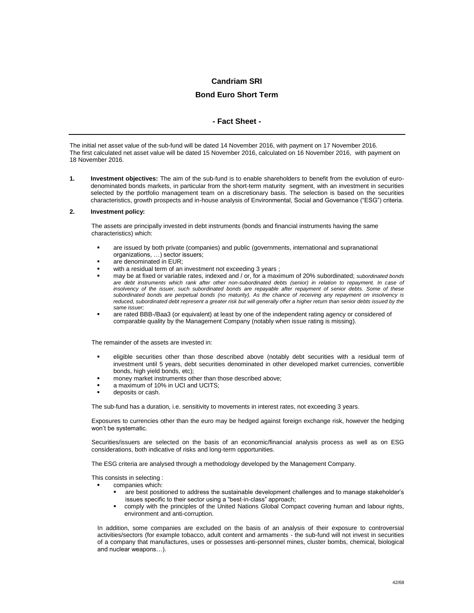# **Bond Euro Short Term**

### **- Fact Sheet -**

The initial net asset value of the sub-fund will be dated 14 November 2016, with payment on 17 November 2016. The first calculated net asset value will be dated 15 November 2016, calculated on 16 November 2016, with payment on 18 November 2016.

**1. Investment objectives:** The aim of the sub-fund is to enable shareholders to benefit from the evolution of eurodenominated bonds markets, in particular from the short-term maturity segment, with an investment in securities selected by the portfolio management team on a discretionary basis. The selection is based on the securities characteristics, growth prospects and in-house analysis of Environmental, Social and Governance ("ESG") criteria.

### **2. Investment policy:**

The assets are principally invested in debt instruments (bonds and financial instruments having the same characteristics) which:

- are issued by both private (companies) and public (governments, international and supranational organizations, …) sector issuers;
- are denominated in EUR;
- with a residual term of an investment not exceeding 3 years ;
- may be at fixed or variable rates, indexed and / or, for a maximum of 20% subordinated; *subordinated bonds are debt instruments which rank after other non-subordinated debts (senior) in relation to repayment. In case of insolvency of the issuer, such subordinated bonds are repayable after repayment of senior debts. Some of these subordinated bonds are perpetual bonds (no maturity). As the chance of receiving any repayment on insolvency is reduced, subordinated debt represent a greater risk but will generally offer a higher return than senior debts issued by the same issuer;*
- are rated BBB-/Baa3 (or equivalent) at least by one of the independent rating agency or considered of comparable quality by the Management Company (notably when issue rating is missing).

The remainder of the assets are invested in:

- eligible securities other than those described above (notably debt securities with a residual term of investment until 5 years, debt securities denominated in other developed market currencies, convertible bonds, high yield bonds, etc);
- money market instruments other than those described above;
- a maximum of 10% in UCI and UCITS;
- deposits or cash.

The sub-fund has a duration, i.e. sensitivity to movements in interest rates, not exceeding 3 years.

Exposures to currencies other than the euro may be hedged against foreign exchange risk, however the hedging won't be systematic.

Securities/issuers are selected on the basis of an economic/financial analysis process as well as on ESG considerations, both indicative of risks and long-term opportunities.

The ESG criteria are analysed through a methodology developed by the Management Company.

This consists in selecting :

- companies which:
	- are best positioned to address the sustainable development challenges and to manage stakeholder's issues specific to their sector using a "best-in-class" approach;
	- comply with the principles of the United Nations Global Compact covering human and labour rights, environment and anti-corruption.

In addition, some companies are excluded on the basis of an analysis of their exposure to controversial activities/sectors (for example tobacco, adult content and armaments - the sub-fund will not invest in securities of a company that manufactures, uses or possesses anti-personnel mines, cluster bombs, chemical, biological and nuclear weapons…).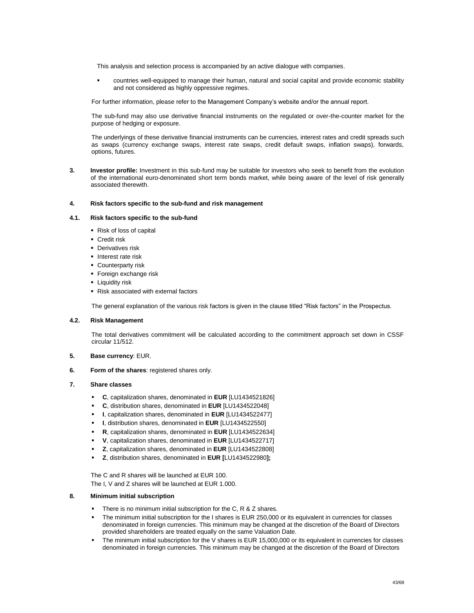This analysis and selection process is accompanied by an active dialogue with companies.

 countries well-equipped to manage their human, natural and social capital and provide economic stability and not considered as highly oppressive regimes.

For further information, please refer to the Management Company's website and/or the annual report.

The sub-fund may also use derivative financial instruments on the regulated or over-the-counter market for the purpose of hedging or exposure.

The underlyings of these derivative financial instruments can be currencies, interest rates and credit spreads such as swaps (currency exchange swaps, interest rate swaps, credit default swaps, inflation swaps), forwards, options, futures.

**3. Investor profile:** Investment in this sub-fund may be suitable for investors who seek to benefit from the evolution of the international euro-denominated short term bonds market, while being aware of the level of risk generally associated therewith.

#### **4. Risk factors specific to the sub-fund and risk management**

#### **4.1. Risk factors specific to the sub-fund**

- Risk of loss of capital
- **Credit risk**
- **Derivatives risk**
- Interest rate risk
- **Counterparty risk**
- **Foreign exchange risk**
- **-** Liquidity risk
- Risk associated with external factors

The general explanation of the various risk factors is given in the clause titled "Risk factors" in the Prospectus.

### **4.2. Risk Management**

The total derivatives commitment will be calculated according to the commitment approach set down in CSSF circular 11/512.

- **5. Base currency**: EUR.
- **6. Form of the shares**: registered shares only.

### **7. Share classes**

- **C**, capitalization shares, denominated in **EUR** [LU1434521826]
- **C**, distribution shares, denominated in **EUR** [LU1434522048]
- **I**, capitalization shares, denominated in **EUR** [LU1434522477]
- **I**, distribution shares, denominated in **EUR** [LU1434522550]
- **R**, capitalization shares, denominated in **EUR** [LU1434522634]
- **V**, capitalization shares, denominated in **EUR** [LU1434522717]
- **Z**, capitalization shares, denominated in **EUR** [LU1434522808]
- **Z**, distribution shares, denominated in **EUR [**LU1434522980**];**

The C and R shares will be launched at EUR 100. The I, V and Z shares will be launched at EUR 1.000.

### **8. Minimum initial subscription**

- There is no minimum initial subscription for the C, R & Z shares.
- The minimum initial subscription for the I shares is EUR 250,000 or its equivalent in currencies for classes denominated in foreign currencies. This minimum may be changed at the discretion of the Board of Directors provided shareholders are treated equally on the same Valuation Date.
- The minimum initial subscription for the V shares is EUR 15,000,000 or its equivalent in currencies for classes denominated in foreign currencies. This minimum may be changed at the discretion of the Board of Directors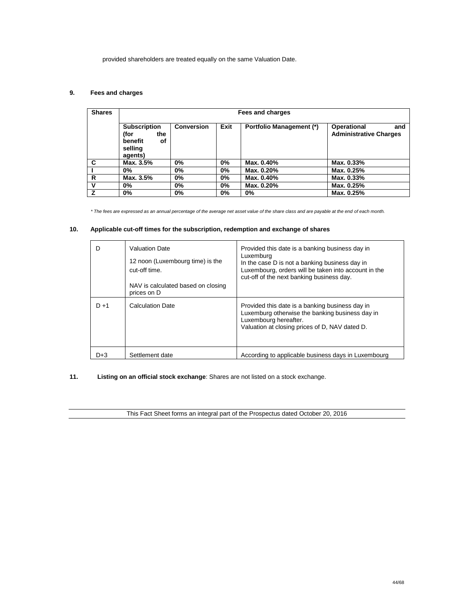provided shareholders are treated equally on the same Valuation Date.

## **9. Fees and charges**

| <b>Shares</b> |                                                                           | Fees and charges  |      |                                 |                                                     |
|---------------|---------------------------------------------------------------------------|-------------------|------|---------------------------------|-----------------------------------------------------|
|               | <b>Subscription</b><br>(for<br>the<br>benefit<br>οf<br>selling<br>agents) | <b>Conversion</b> | Exit | <b>Portfolio Management (*)</b> | Operational<br>and<br><b>Administrative Charges</b> |
| C             | Max. 3.5%                                                                 | $0\%$             | 0%   | Max. 0.40%                      | Max. 0.33%                                          |
|               | 0%                                                                        | $0\%$             | 0%   | Max. 0.20%                      | Max. 0.25%                                          |
| R             | Max. 3.5%                                                                 | $0\%$             | 0%   | Max. 0.40%                      | Max. 0.33%                                          |
| v             | 0%                                                                        | $0\%$             | 0%   | Max. 0.20%                      | Max. 0.25%                                          |
| 7             | 0%                                                                        | $0\%$             | 0%   | 0%                              | Max. 0.25%                                          |

*\* The fees are expressed as an annual percentage of the average net asset value of the share class and are payable at the end of each month.*

## **10. Applicable cut-off times for the subscription, redemption and exchange of shares**

| D       | <b>Valuation Date</b><br>12 noon (Luxembourg time) is the<br>cut-off time.<br>NAV is calculated based on closing<br>prices on D | Provided this date is a banking business day in<br>Luxemburg<br>In the case D is not a banking business day in<br>Luxembourg, orders will be taken into account in the<br>cut-off of the next banking business day. |
|---------|---------------------------------------------------------------------------------------------------------------------------------|---------------------------------------------------------------------------------------------------------------------------------------------------------------------------------------------------------------------|
| $D + 1$ | <b>Calculation Date</b>                                                                                                         | Provided this date is a banking business day in<br>Luxemburg otherwise the banking business day in<br>Luxembourg hereafter.<br>Valuation at closing prices of D, NAV dated D.                                       |
| D+3     | Settlement date                                                                                                                 | According to applicable business days in Luxembourg                                                                                                                                                                 |

**11. Listing on an official stock exchange**: Shares are not listed on a stock exchange.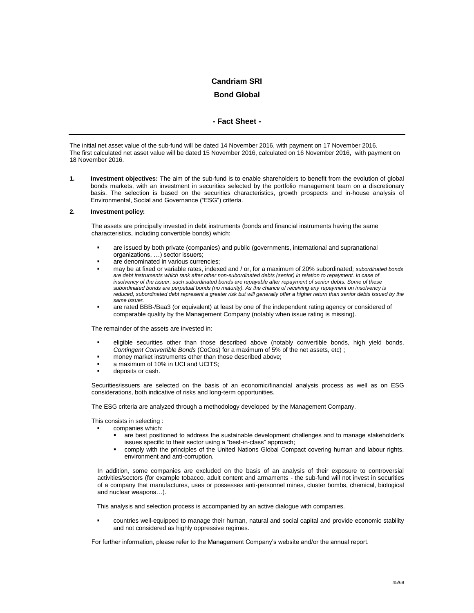### **Bond Global**

## **- Fact Sheet -**

The initial net asset value of the sub-fund will be dated 14 November 2016, with payment on 17 November 2016. The first calculated net asset value will be dated 15 November 2016, calculated on 16 November 2016, with payment on 18 November 2016.

**1. Investment objectives:** The aim of the sub-fund is to enable shareholders to benefit from the evolution of global bonds markets, with an investment in securities selected by the portfolio management team on a discretionary basis. The selection is based on the securities characteristics, growth prospects and in-house analysis of Environmental, Social and Governance ("ESG") criteria.

### **2. Investment policy:**

The assets are principally invested in debt instruments (bonds and financial instruments having the same characteristics, including convertible bonds) which:

- are issued by both private (companies) and public (governments, international and supranational organizations, …) sector issuers;
- are denominated in various currencies;
- may be at fixed or variable rates, indexed and / or, for a maximum of 20% subordinated; *subordinated bonds are debt instruments which rank after other non-subordinated debts (senior) in relation to repayment. In case of insolvency of the issuer, such subordinated bonds are repayable after repayment of senior debts. Some of these subordinated bonds are perpetual bonds (no maturity). As the chance of receiving any repayment on insolvency is reduced, subordinated debt represent a greater risk but will generally offer a higher return than senior debts issued by the same issuer.*
- are rated BBB-/Baa3 (or equivalent) at least by one of the independent rating agency or considered of comparable quality by the Management Company (notably when issue rating is missing).

The remainder of the assets are invested in:

- eligible securities other than those described above (notably convertible bonds, high yield bonds, *Contingent Convertible Bonds* (CoCos) for a maximum of 5% of the net assets, etc) ;
- money market instruments other than those described above;
- a maximum of 10% in UCI and UCITS;
- deposits or cash.

Securities/issuers are selected on the basis of an economic/financial analysis process as well as on ESG considerations, both indicative of risks and long-term opportunities.

The ESG criteria are analyzed through a methodology developed by the Management Company.

This consists in selecting :

- companies which:
	- are best positioned to address the sustainable development challenges and to manage stakeholder's issues specific to their sector using a "best-in-class" approach;
	- comply with the principles of the United Nations Global Compact covering human and labour rights, environment and anti-corruption.

In addition, some companies are excluded on the basis of an analysis of their exposure to controversial activities/sectors (for example tobacco, adult content and armaments - the sub-fund will not invest in securities of a company that manufactures, uses or possesses anti-personnel mines, cluster bombs, chemical, biological and nuclear weapons…).

This analysis and selection process is accompanied by an active dialogue with companies.

 countries well-equipped to manage their human, natural and social capital and provide economic stability and not considered as highly oppressive regimes.

For further information, please refer to the Management Company's website and/or the annual report.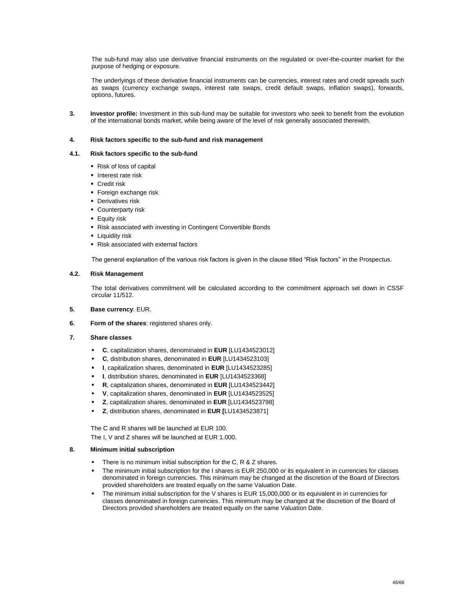The sub-fund may also use derivative financial instruments on the regulated or over-the-counter market for the purpose of hedging or exposure.

The underlyings of these derivative financial instruments can be currencies, interest rates and credit spreads such as swaps (currency exchange swaps, interest rate swaps, credit default swaps, inflation swaps), forwards, options, futures.

**3. Investor profile:** Investment in this sub-fund may be suitable for investors who seek to benefit from the evolution of the international bonds market, while being aware of the level of risk generally associated therewith.

#### **4. Risk factors specific to the sub-fund and risk management**

### **4.1. Risk factors specific to the sub-fund**

- Risk of loss of capital
- **Interest rate risk**
- **Credit risk**
- **Foreign exchange risk**
- **Derivatives risk**
- **Counterparty risk**
- **Equity risk**
- Risk associated with investing in Contingent Convertible Bonds
- **-** Liquidity risk
- Risk associated with external factors

The general explanation of the various risk factors is given in the clause titled "Risk factors" in the Prospectus.

### **4.2. Risk Management**

The total derivatives commitment will be calculated according to the commitment approach set down in CSSF circular 11/512.

- **5. Base currency**: EUR.
- **6. Form of the shares**: registered shares only.
- **7. Share classes** 
	- **C**, capitalization shares, denominated in **EUR** [LU1434523012]
	- **C**, distribution shares, denominated in **EUR** [LU1434523103]
	- **I**, capitalization shares, denominated in **EUR** [LU1434523285]
	- **I**, distribution shares, denominated in **EUR** [LU1434523368]
	- **R**, capitalization shares, denominated in **EUR** [LU1434523442]
	- **V**, capitalization shares, denominated in **EUR** [LU1434523525]
	- **Z**, capitalization shares, denominated in **EUR** [LU1434523798]
	- **Z**, distribution shares, denominated in **EUR [**LU1434523871]

The C and R shares will be launched at EUR 100. The I, V and Z shares will be launched at EUR 1.000.

### **8. Minimum initial subscription**

- There is no minimum initial subscription for the C, R & Z shares.
- The minimum initial subscription for the I shares is EUR 250,000 or its equivalent in in currencies for classes denominated in foreign currencies. This minimum may be changed at the discretion of the Board of Directors provided shareholders are treated equally on the same Valuation Date.
- The minimum initial subscription for the V shares is EUR 15,000,000 or its equivalent in in currencies for classes denominated in foreign currencies. This minimum may be changed at the discretion of the Board of Directors provided shareholders are treated equally on the same Valuation Date.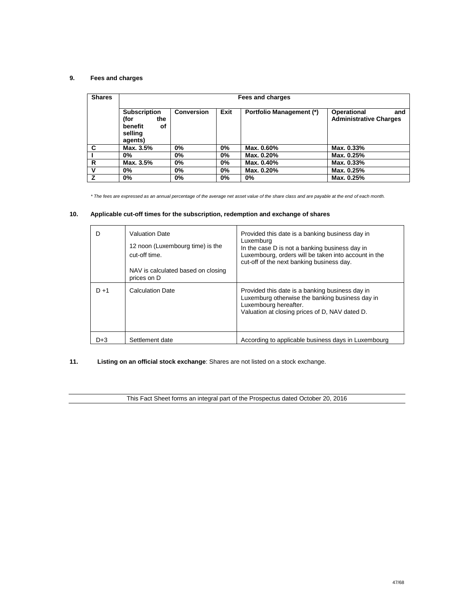# **9. Fees and charges**

| <b>Shares</b> |                                                                           | Fees and charges  |      |                                 |                                                     |  |
|---------------|---------------------------------------------------------------------------|-------------------|------|---------------------------------|-----------------------------------------------------|--|
|               | <b>Subscription</b><br>the<br>(for<br>benefit<br>οf<br>selling<br>agents) | <b>Conversion</b> | Exit | <b>Portfolio Management (*)</b> | Operational<br>and<br><b>Administrative Charges</b> |  |
| C             | Max. 3.5%                                                                 | $0\%$             | 0%   | Max. 0.60%                      | Max. 0.33%                                          |  |
|               | 0%                                                                        | 0%                | 0%   | Max. 0.20%                      | Max. 0.25%                                          |  |
| R             | Max. 3.5%                                                                 | 0%                | 0%   | Max. 0.40%                      | Max. 0.33%                                          |  |
| v             | $0\%$                                                                     | 0%                | 0%   | Max. 0.20%                      | Max. 0.25%                                          |  |
| Z             | $0\%$                                                                     | 0%                | 0%   | $0\%$                           | Max. 0.25%                                          |  |

*\* The fees are expressed as an annual percentage of the average net asset value of the share class and are payable at the end of each month.*

### **10. Applicable cut-off times for the subscription, redemption and exchange of shares**

| D       | <b>Valuation Date</b><br>12 noon (Luxembourg time) is the<br>cut-off time.<br>NAV is calculated based on closing<br>prices on D | Provided this date is a banking business day in<br>Luxemburg<br>In the case D is not a banking business day in<br>Luxembourg, orders will be taken into account in the<br>cut-off of the next banking business day. |
|---------|---------------------------------------------------------------------------------------------------------------------------------|---------------------------------------------------------------------------------------------------------------------------------------------------------------------------------------------------------------------|
| $D + 1$ | <b>Calculation Date</b>                                                                                                         | Provided this date is a banking business day in<br>Luxemburg otherwise the banking business day in<br>Luxembourg hereafter.<br>Valuation at closing prices of D, NAV dated D.                                       |
| D+3     | Settlement date                                                                                                                 | According to applicable business days in Luxembourg                                                                                                                                                                 |

## **11. Listing on an official stock exchange**: Shares are not listed on a stock exchange.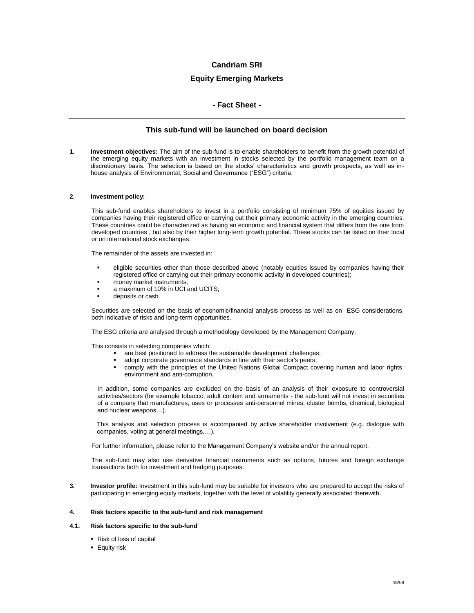### **Equity Emerging Markets**

### **- Fact Sheet -**

### **This sub-fund will be launched on board decision**

**1. Investment objectives:** The aim of the sub-fund is to enable shareholders to benefit from the growth potential of the emerging equity markets with an investment in stocks selected by the portfolio management team on a discretionary basis. The selection is based on the stocks' characteristics and growth prospects, as well as inhouse analysis of Environmental, Social and Governance ("ESG") criteria.

#### **2. Investment policy:**

This sub-fund enables shareholders to invest in a portfolio consisting of minimum 75% of equities issued by companies having their registered office or carrying out their primary economic activity in the emerging countries. These countries could be characterized as having an economic and financial system that differs from the one from developed countries , but also by their higher long-term growth potential. These stocks can be listed on their local or on international stock exchanges.

The remainder of the assets are invested in:

- eligible securities other than those described above (notably equities issued by companies having their registered office or carrying out their primary economic activity in developed countries);
- money market instruments;
- a maximum of 10% in UCI and UCITS;
- deposits or cash.

Securities are selected on the basis of economic/financial analysis process as well as on ESG considerations, both indicative of risks and long-term opportunities.

The ESG criteria are analysed through a methodology developed by the Management Company.

This consists in selecting companies which:

- are best positioned to address the sustainable development challenges;<br>adopt corporate governance standards in line with their sector's peers;
- adopt corporate governance standards in line with their sector's peers;
- comply with the principles of the United Nations Global Compact covering human and labor rights, environment and anti-corruption.

In addition, some companies are excluded on the basis of an analysis of their exposure to controversial activities/sectors (for example tobacco, adult content and armaments - the sub-fund will not invest in securities of a company that manufactures, uses or processes anti-personnel mines, cluster bombs, chemical, biological and nuclear weapons…).

This analysis and selection process is accompanied by active shareholder involvement (e.g. dialogue with companies, voting at general meetings,…).

For further information, please refer to the Management Company's website and/or the annual report.

The sub-fund may also use derivative financial instruments such as options, futures and foreign exchange transactions both for investment and hedging purposes.

**3. Investor profile:** Investment in this sub-fund may be suitable for investors who are prepared to accept the risks of participating in emerging equity markets, together with the level of volatility generally associated therewith.

#### **4. Risk factors specific to the sub-fund and risk management**

#### **4.1. Risk factors specific to the sub-fund**

- Risk of loss of capital
- **Equity risk**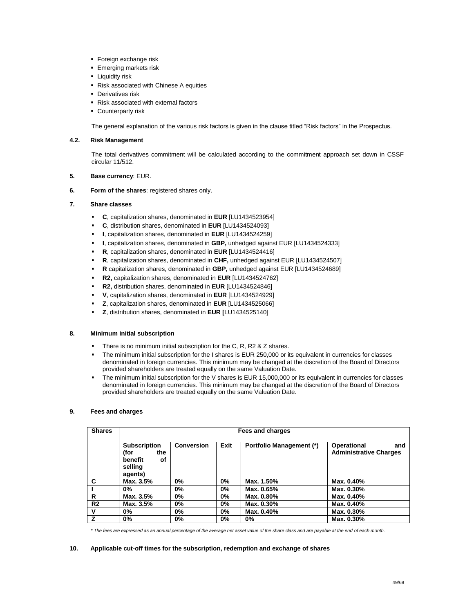- **Foreign exchange risk**
- **Emerging markets risk**
- **-** Liquidity risk
- Risk associated with Chinese A equities
- **Derivatives risk**
- Risk associated with external factors
- **Counterparty risk**

The general explanation of the various risk factors is given in the clause titled "Risk factors" in the Prospectus.

### **4.2. Risk Management**

The total derivatives commitment will be calculated according to the commitment approach set down in CSSF circular 11/512.

### **5. Base currency**: EUR.

**6. Form of the shares**: registered shares only.

### **7. Share classes**

- **C**, capitalization shares, denominated in **EUR** [LU1434523954]
- **C**, distribution shares, denominated in **EUR** [LU1434524093]
- **I**, capitalization shares, denominated in **EUR** [LU1434524259]
- **I**, capitalization shares, denominated in **GBP,** unhedged against EUR [LU1434524333]
- **R**, capitalization shares, denominated in **EUR** [LU1434524416]
- **R**, capitalization shares, denominated in **CHF,** unhedged against EUR [LU1434524507]
- **R** capitalization shares, denominated in **GBP,** unhedged against EUR [LU1434524689]
- **R2,** capitalization shares, denominated in **EUR** [LU1434524762]
- **R2,** distribution shares, denominated in **EUR** [LU1434524846]
- **V**, capitalization shares, denominated in **EUR** [LU1434524929]
- **Z**, capitalization shares, denominated in **EUR** [LU1434525066]
- **Z**, distribution shares, denominated in **EUR [**LU1434525140]

### **8. Minimum initial subscription**

- There is no minimum initial subscription for the C, R, R2 & Z shares.
- The minimum initial subscription for the I shares is EUR 250,000 or its equivalent in currencies for classes denominated in foreign currencies. This minimum may be changed at the discretion of the Board of Directors provided shareholders are treated equally on the same Valuation Date.
- The minimum initial subscription for the V shares is EUR 15,000,000 or its equivalent in currencies for classes denominated in foreign currencies. This minimum may be changed at the discretion of the Board of Directors provided shareholders are treated equally on the same Valuation Date.

### **9. Fees and charges**

| <b>Shares</b>  |                                                                           | Fees and charges  |      |                                 |                                                            |  |
|----------------|---------------------------------------------------------------------------|-------------------|------|---------------------------------|------------------------------------------------------------|--|
|                | <b>Subscription</b><br>(for<br>the<br>benefit<br>οf<br>selling<br>agents) | <b>Conversion</b> | Exit | <b>Portfolio Management (*)</b> | <b>Operational</b><br>and<br><b>Administrative Charges</b> |  |
| C              | Max. 3.5%                                                                 | 0%                | 0%   | Max. 1.50%                      | Max. 0.40%                                                 |  |
|                | $0\%$                                                                     | 0%                | 0%   | Max. 0.65%                      | Max. 0.30%                                                 |  |
| R              | Max. 3.5%                                                                 | 0%                | 0%   | Max. 0.80%                      | Max. 0.40%                                                 |  |
| R <sub>2</sub> | Max. 3.5%                                                                 | 0%                | 0%   | Max. 0.30%                      | Max. 0.40%                                                 |  |
| v              | $0\%$                                                                     | 0%                | 0%   | Max. 0.40%                      | Max. 0.30%                                                 |  |
| z              | $0\%$                                                                     | 0%                | 0%   | 0%                              | Max. 0.30%                                                 |  |

*\* The fees are expressed as an annual percentage of the average net asset value of the share class and are payable at the end of each month.*

### **10. Applicable cut-off times for the subscription, redemption and exchange of shares**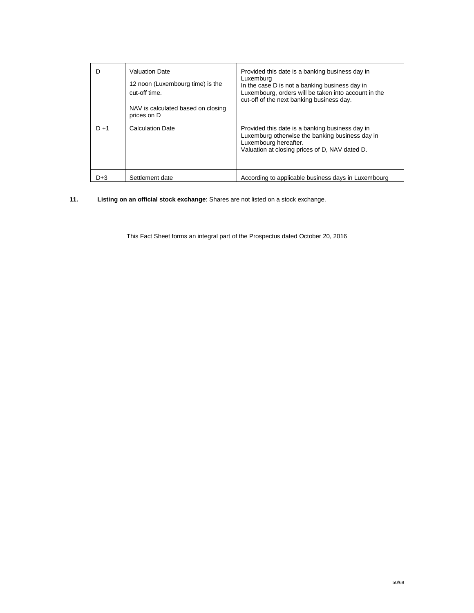| D       | <b>Valuation Date</b><br>12 noon (Luxembourg time) is the<br>cut-off time.<br>NAV is calculated based on closing<br>prices on D | Provided this date is a banking business day in<br>Luxemburg<br>In the case D is not a banking business day in<br>Luxembourg, orders will be taken into account in the<br>cut-off of the next banking business day. |
|---------|---------------------------------------------------------------------------------------------------------------------------------|---------------------------------------------------------------------------------------------------------------------------------------------------------------------------------------------------------------------|
| $D + 1$ | <b>Calculation Date</b>                                                                                                         | Provided this date is a banking business day in<br>Luxemburg otherwise the banking business day in<br>Luxembourg hereafter.<br>Valuation at closing prices of D, NAV dated D.                                       |
| $D+3$   | Settlement date                                                                                                                 | According to applicable business days in Luxembourg                                                                                                                                                                 |

**11. Listing on an official stock exchange**: Shares are not listed on a stock exchange.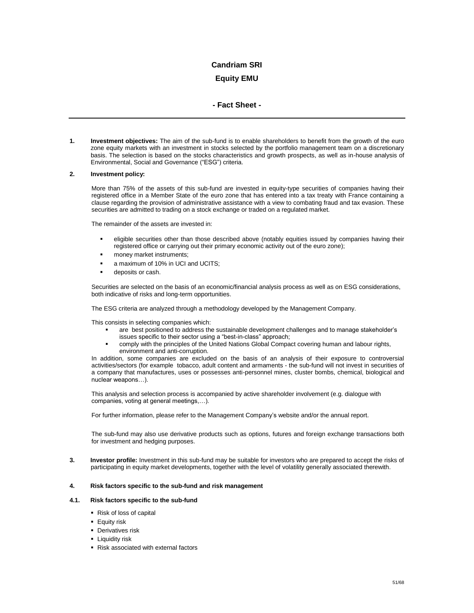# **Equity EMU**

### **- Fact Sheet -**

**1. Investment objectives:** The aim of the sub-fund is to enable shareholders to benefit from the growth of the euro zone equity markets with an investment in stocks selected by the portfolio management team on a discretionary basis. The selection is based on the stocks characteristics and growth prospects, as well as in-house analysis of Environmental, Social and Governance ("ESG") criteria.

### **2. Investment policy:**

More than 75% of the assets of this sub-fund are invested in equity-type securities of companies having their registered office in a Member State of the euro zone that has entered into a tax treaty with France containing a clause regarding the provision of administrative assistance with a view to combating fraud and tax evasion. These securities are admitted to trading on a stock exchange or traded on a regulated market.

The remainder of the assets are invested in:

- eligible securities other than those described above (notably equities issued by companies having their registered office or carrying out their primary economic activity out of the euro zone);
- money market instruments;
- a maximum of 10% in UCI and UCITS;
- deposits or cash.

Securities are selected on the basis of an economic/financial analysis process as well as on ESG considerations, both indicative of risks and long-term opportunities.

The ESG criteria are analyzed through a methodology developed by the Management Company.

This consists in selecting companies which:

- are best positioned to address the sustainable development challenges and to manage stakeholder's issues specific to their sector using a "best-in-class" approach;
- comply with the principles of the United Nations Global Compact covering human and labour rights, environment and anti-corruption.

In addition, some companies are excluded on the basis of an analysis of their exposure to controversial activities/sectors (for example tobacco, adult content and armaments - the sub-fund will not invest in securities of a company that manufactures, uses or possesses anti-personnel mines, cluster bombs, chemical, biological and nuclear weapons…).

This analysis and selection process is accompanied by active shareholder involvement (e.g. dialogue with companies, voting at general meetings,…).

For further information, please refer to the Management Company's website and/or the annual report.

The sub-fund may also use derivative products such as options, futures and foreign exchange transactions both for investment and hedging purposes.

**3. Investor profile:** Investment in this sub-fund may be suitable for investors who are prepared to accept the risks of participating in equity market developments, together with the level of volatility generally associated therewith.

#### **4. Risk factors specific to the sub-fund and risk management**

#### **4.1. Risk factors specific to the sub-fund**

- Risk of loss of capital
- **Equity risk**
- **Derivatives risk**
- **Liquidity risk**
- Risk associated with external factors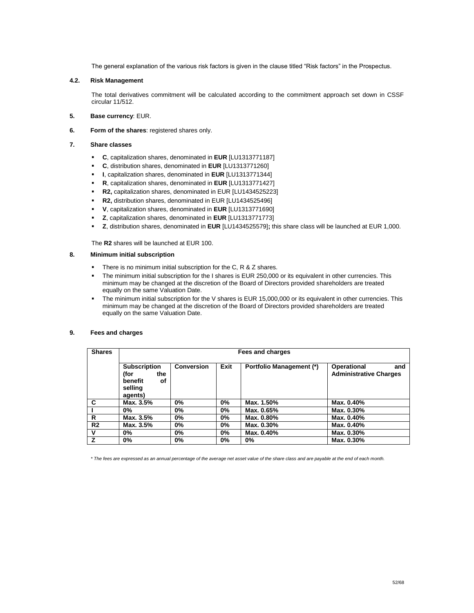The general explanation of the various risk factors is given in the clause titled "Risk factors" in the Prospectus.

### **4.2. Risk Management**

The total derivatives commitment will be calculated according to the commitment approach set down in CSSF circular 11/512.

- **5. Base currency**: EUR.
- **6. Form of the shares**: registered shares only.
- **7. Share classes** 
	- **C**, capitalization shares, denominated in **EUR** [LU1313771187]
	- **C**, distribution shares, denominated in **EUR** [LU1313771260]
	- **I**, capitalization shares, denominated in **EUR** [LU1313771344]
	- **R**, capitalization shares, denominated in **EUR** [LU1313771427]
	- **R2,** capitalization shares, denominated in EUR [LU1434525223]
	- **R2,** distribution shares, denominated in EUR [LU1434525496]
	- **V**, capitalization shares, denominated in **EUR** [LU1313771690]
	- **Z**, capitalization shares, denominated in **EUR** [LU1313771773]
	- **Z**, distribution shares, denominated in **EUR** [LU1434525579]**;** this share class will be launched at EUR 1,000.

The **R2** shares will be launched at EUR 100.

### **8. Minimum initial subscription**

- There is no minimum initial subscription for the C, R & Z shares.
- The minimum initial subscription for the I shares is EUR 250,000 or its equivalent in other currencies. This minimum may be changed at the discretion of the Board of Directors provided shareholders are treated equally on the same Valuation Date.
- The minimum initial subscription for the V shares is EUR 15,000,000 or its equivalent in other currencies. This minimum may be changed at the discretion of the Board of Directors provided shareholders are treated equally on the same Valuation Date.

#### **9. Fees and charges**

| <b>Shares</b>  | Fees and charges                                                          |                   |      |                                 |                                                     |
|----------------|---------------------------------------------------------------------------|-------------------|------|---------------------------------|-----------------------------------------------------|
|                | <b>Subscription</b><br>(for<br>the<br>benefit<br>οf<br>selling<br>agents) | <b>Conversion</b> | Exit | <b>Portfolio Management (*)</b> | Operational<br>and<br><b>Administrative Charges</b> |
| C              | Max. 3.5%                                                                 | $0\%$             | 0%   | Max. 1.50%                      | Max. 0.40%                                          |
|                | $0\%$                                                                     | 0%                | 0%   | Max. 0.65%                      | Max. 0.30%                                          |
| R              | Max. 3.5%                                                                 | $0\%$             | 0%   | Max. 0.80%                      | Max. 0.40%                                          |
| R <sub>2</sub> | Max. 3.5%                                                                 | $0\%$             | 0%   | Max. 0.30%                      | Max. 0.40%                                          |
| v              | $0\%$                                                                     | $0\%$             | 0%   | Max. 0.40%                      | Max. 0.30%                                          |
| $\overline{z}$ | $0\%$                                                                     | $0\%$             | 0%   | $0\%$                           | Max. 0.30%                                          |

*\* The fees are expressed as an annual percentage of the average net asset value of the share class and are payable at the end of each month.*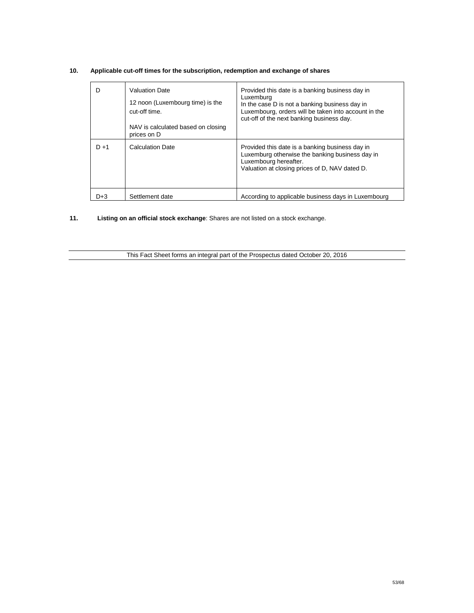| D       | <b>Valuation Date</b><br>12 noon (Luxembourg time) is the<br>cut-off time.<br>NAV is calculated based on closing | Provided this date is a banking business day in<br>Luxemburg<br>In the case D is not a banking business day in<br>Luxembourg, orders will be taken into account in the<br>cut-off of the next banking business day. |
|---------|------------------------------------------------------------------------------------------------------------------|---------------------------------------------------------------------------------------------------------------------------------------------------------------------------------------------------------------------|
|         | prices on D                                                                                                      |                                                                                                                                                                                                                     |
| $D + 1$ | <b>Calculation Date</b>                                                                                          | Provided this date is a banking business day in<br>Luxemburg otherwise the banking business day in<br>Luxembourg hereafter.<br>Valuation at closing prices of D, NAV dated D.                                       |
| D+3     | Settlement date                                                                                                  | According to applicable business days in Luxembourg                                                                                                                                                                 |

## **10. Applicable cut-off times for the subscription, redemption and exchange of shares**

**11. Listing on an official stock exchange**: Shares are not listed on a stock exchange.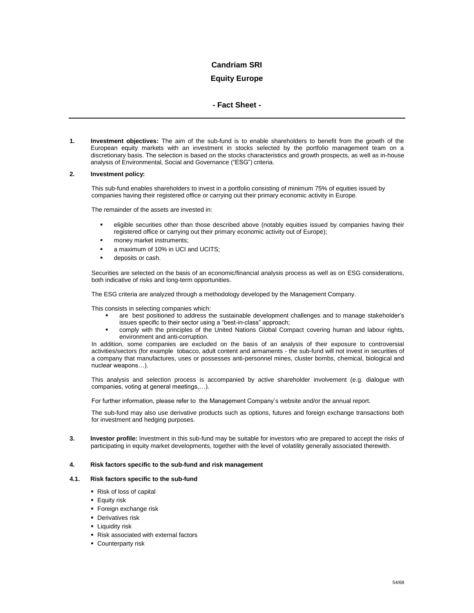## **Equity Europe**

### **- Fact Sheet -**

**1. Investment objectives:** The aim of the sub-fund is to enable shareholders to benefit from the growth of the European equity markets with an investment in stocks selected by the portfolio management team on a discretionary basis. The selection is based on the stocks characteristics and growth prospects, as well as in-house analysis of Environmental, Social and Governance ("ESG") criteria.

#### **2. Investment policy:**

This sub-fund enables shareholders to invest in a portfolio consisting of minimum 75% of equities issued by companies having their registered office or carrying out their primary economic activity in Europe.

The remainder of the assets are invested in:

- eligible securities other than those described above (notably equities issued by companies having their registered office or carrying out their primary economic activity out of Europe);
- money market instruments;
- a maximum of 10% in UCI and UCITS;
- deposits or cash.

Securities are selected on the basis of an economic/financial analysis process as well as on ESG considerations, both indicative of risks and long-term opportunities.

The ESG criteria are analyzed through a methodology developed by the Management Company.

This consists in selecting companies which:

- are best positioned to address the sustainable development challenges and to manage stakeholder's issues specific to their sector using a "best-in-class" approach;
- comply with the principles of the United Nations Global Compact covering human and labour rights, environment and anti-corruption.

In addition, some companies are excluded on the basis of an analysis of their exposure to controversial activities/sectors (for example tobacco, adult content and armaments - the sub-fund will not invest in securities of a company that manufactures, uses or possesses anti-personnel mines, cluster bombs, chemical, biological and nuclear weapons…).

This analysis and selection process is accompanied by active shareholder involvement (e.g. dialogue with companies, voting at general meetings,…).

For further information, please refer to the Management Company's website and/or the annual report.

The sub-fund may also use derivative products such as options, futures and foreign exchange transactions both for investment and hedging purposes.

**3. Investor profile:** Investment in this sub-fund may be suitable for investors who are prepared to accept the risks of participating in equity market developments, together with the level of volatility generally associated therewith.

### **4. Risk factors specific to the sub-fund and risk management**

#### **4.1. Risk factors specific to the sub-fund**

- Risk of loss of capital
- **Equity risk**
- **Foreign exchange risk**
- **Derivatives risk**
- **-** Liquidity risk
- Risk associated with external factors
- **Counterparty risk**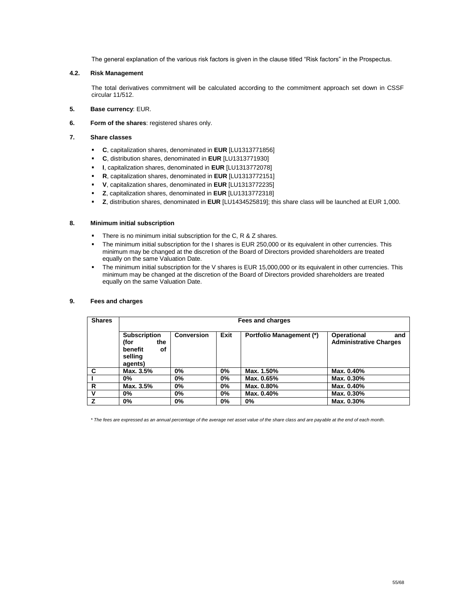The general explanation of the various risk factors is given in the clause titled "Risk factors" in the Prospectus.

### **4.2. Risk Management**

The total derivatives commitment will be calculated according to the commitment approach set down in CSSF circular 11/512.

- **5. Base currency**: EUR.
- **6. Form of the shares**: registered shares only.
- **7. Share classes** 
	- **C**, capitalization shares, denominated in **EUR** [LU1313771856]
	- **C**, distribution shares, denominated in **EUR** [LU1313771930]
	- **I**, capitalization shares, denominated in **EUR** [LU1313772078]
	- **R**, capitalization shares, denominated in **EUR** [LU1313772151]
	- **V**, capitalization shares, denominated in **EUR** [LU1313772235]
	- **Z**, capitalization shares, denominated in **EUR** [LU1313772318]
	- **Z**, distribution shares, denominated in **EUR** [LU1434525819]; this share class will be launched at EUR 1,000.

### **8. Minimum initial subscription**

- There is no minimum initial subscription for the C, R & Z shares.
- The minimum initial subscription for the I shares is EUR 250,000 or its equivalent in other currencies. This minimum may be changed at the discretion of the Board of Directors provided shareholders are treated equally on the same Valuation Date.
- The minimum initial subscription for the V shares is EUR 15,000,000 or its equivalent in other currencies. This minimum may be changed at the discretion of the Board of Directors provided shareholders are treated equally on the same Valuation Date.

#### **9. Fees and charges**

| <b>Shares</b> | Fees and charges                                                          |                   |      |                                 |                                                            |
|---------------|---------------------------------------------------------------------------|-------------------|------|---------------------------------|------------------------------------------------------------|
|               | <b>Subscription</b><br>(for<br>the<br>benefit<br>οf<br>selling<br>agents) | <b>Conversion</b> | Exit | <b>Portfolio Management (*)</b> | <b>Operational</b><br>and<br><b>Administrative Charges</b> |
| C             | Max. 3.5%                                                                 | 0%                | 0%   | Max. 1.50%                      | Max. 0.40%                                                 |
|               | $0\%$                                                                     | 0%                | 0%   | Max. 0.65%                      | Max. 0.30%                                                 |
| R             | Max. 3.5%                                                                 | 0%                | 0%   | Max. 0.80%                      | Max. 0.40%                                                 |
| $\mathbf v$   | $0\%$                                                                     | 0%                | 0%   | Max. 0.40%                      | Max. 0.30%                                                 |
| 7             | $0\%$                                                                     | 0%                | 0%   | 0%                              | Max. 0.30%                                                 |

*\* The fees are expressed as an annual percentage of the average net asset value of the share class and are payable at the end of each month.*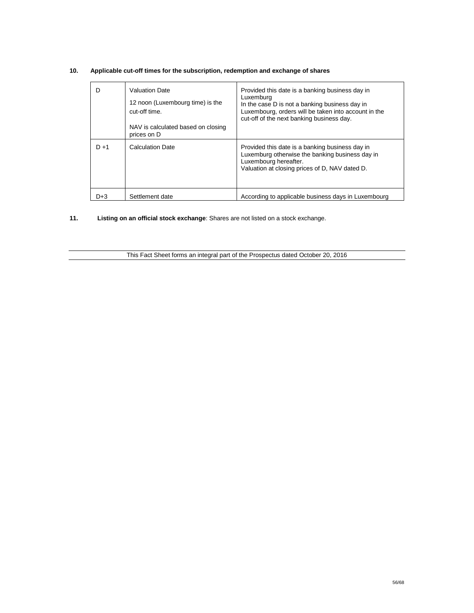| D       | <b>Valuation Date</b><br>12 noon (Luxembourg time) is the<br>cut-off time. | Provided this date is a banking business day in<br>Luxemburg<br>In the case D is not a banking business day in<br>Luxembourg, orders will be taken into account in the<br>cut-off of the next banking business day. |
|---------|----------------------------------------------------------------------------|---------------------------------------------------------------------------------------------------------------------------------------------------------------------------------------------------------------------|
|         | NAV is calculated based on closing<br>prices on D                          |                                                                                                                                                                                                                     |
| $D + 1$ | <b>Calculation Date</b>                                                    | Provided this date is a banking business day in<br>Luxemburg otherwise the banking business day in<br>Luxembourg hereafter.<br>Valuation at closing prices of D, NAV dated D.                                       |
| D+3     | Settlement date                                                            | According to applicable business days in Luxembourg                                                                                                                                                                 |

## **10. Applicable cut-off times for the subscription, redemption and exchange of shares**

**11. Listing on an official stock exchange**: Shares are not listed on a stock exchange.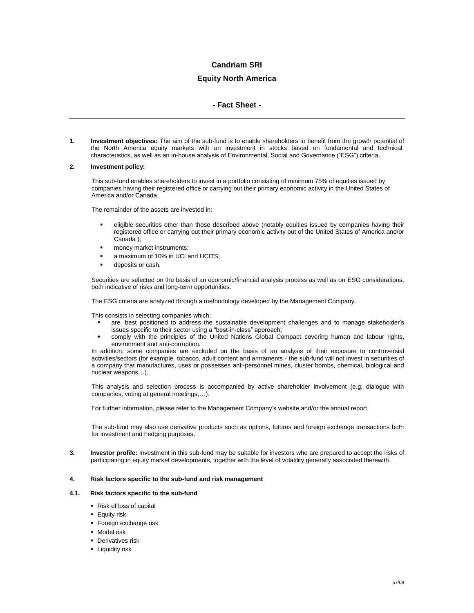### **Equity North America**

### **- Fact Sheet -**

**1. Investment objectives:** The aim of the sub-fund is to enable shareholders to benefit from the growth potential of the North America equity markets with an investment in stocks based on fundamental and technical characteristics, as well as an in-house analysis of Environmental, Social and Governance ("ESG") criteria.

### **2. Investment policy:**

This sub-fund enables shareholders to invest in a portfolio consisting of minimum 75% of equities issued by companies having their registered office or carrying out their primary economic activity in the United States of America and/or Canada.

The remainder of the assets are invested in:

- eligible securities other than those described above (notably equities issued by companies having their registered office or carrying out their primary economic activity out of the United States of America and/or Canada );
- money market instruments;
- a maximum of 10% in UCI and UCITS;
- deposits or cash.

Securities are selected on the basis of an economic/financial analysis process as well as on ESG considerations, both indicative of risks and long-term opportunities.

The ESG criteria are analyzed through a methodology developed by the Management Company.

This consists in selecting companies which:

- are best positioned to address the sustainable development challenges and to manage stakeholder's issues specific to their sector using a "best-in-class" approach;
- comply with the principles of the United Nations Global Compact covering human and labour rights, environment and anti-corruption.

In addition, some companies are excluded on the basis of an analysis of their exposure to controversial activities/sectors (for example tobacco, adult content and armaments - the sub-fund will not invest in securities of a company that manufactures, uses or possesses anti-personnel mines, cluster bombs, chemical, biological and nuclear weapons…).

This analysis and selection process is accompanied by active shareholder involvement (e.g. dialogue with companies, voting at general meetings,…).

For further information, please refer to the Management Company's website and/or the annual report.

The sub-fund may also use derivative products such as options, futures and foreign exchange transactions both for investment and hedging purposes.

**3. Investor profile:** Investment in this sub-fund may be suitable for investors who are prepared to accept the risks of participating in equity market developments, together with the level of volatility generally associated therewith.

#### **4. Risk factors specific to the sub-fund and risk management**

### **4.1. Risk factors specific to the sub-fund**

- Risk of loss of capital
- **Equity risk**
- **Foreign exchange risk**
- **-** Model risk
- **Derivatives risk**
- **-** Liquidity risk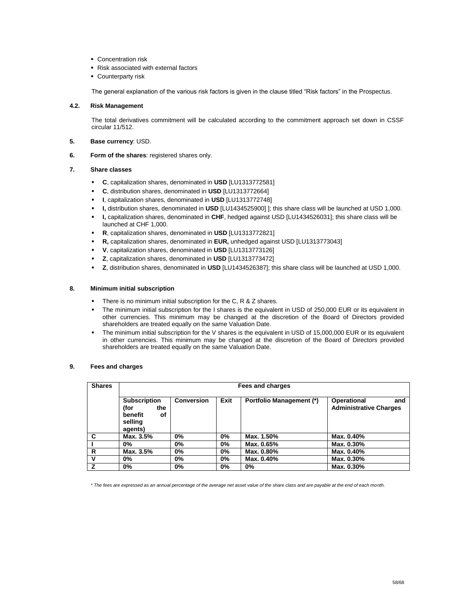- **Concentration risk**
- Risk associated with external factors
- **Counterparty risk**

The general explanation of the various risk factors is given in the clause titled "Risk factors" in the Prospectus.

#### **4.2. Risk Management**

The total derivatives commitment will be calculated according to the commitment approach set down in CSSF circular 11/512.

- **5. Base currency**: USD.
- **6. Form of the shares**: registered shares only.

#### **7. Share classes**

- **C**, capitalization shares, denominated in **USD** [LU1313772581]
- **C**, distribution shares, denominated in **USD** [LU1313772664]
- **I**, capitalization shares, denominated in **USD** [LU1313772748]
- **I,** distribution shares, denominated in **USD** [LU1434525900] ]; this share class will be launched at USD 1,000.
- **I,** capitalization shares, denominated in **CHF**, hedged against USD [LU1434526031]; this share class will be launched at CHF 1,000.
- **R**, capitalization shares, denominated in **USD** [LU1313772821]
- **R,** capitalization shares, denominated in **EUR,** unhedged against USD [LU1313773043]
- **V**, capitalization shares, denominated in **USD** [LU1313773126]
- **Z**, capitalization shares, denominated in **USD** [LU1313773472]
- **Z**, distribution shares, denominated in **USD** [LU1434526387]; this share class will be launched at USD 1,000.

### **8. Minimum initial subscription**

- **There is no minimum initial subscription for the C, R & Z shares.**
- The minimum initial subscription for the I shares is the equivalent in USD of 250,000 EUR or its equivalent in other currencies. This minimum may be changed at the discretion of the Board of Directors provided shareholders are treated equally on the same Valuation Date.
- The minimum initial subscription for the V shares is the equivalent in USD of 15,000,000 EUR or its equivalent in other currencies. This minimum may be changed at the discretion of the Board of Directors provided shareholders are treated equally on the same Valuation Date.

#### **9. Fees and charges**

| <b>Shares</b> | Fees and charges                                                          |                   |      |                                 |                                                     |
|---------------|---------------------------------------------------------------------------|-------------------|------|---------------------------------|-----------------------------------------------------|
|               | <b>Subscription</b><br>(for<br>the<br>benefit<br>οf<br>selling<br>agents) | <b>Conversion</b> | Exit | <b>Portfolio Management (*)</b> | Operational<br>and<br><b>Administrative Charges</b> |
| C             | Max. 3.5%                                                                 | 0%                | 0%   | Max. 1.50%                      | Max. 0.40%                                          |
|               | $0\%$                                                                     | 0%                | 0%   | Max. 0.65%                      | Max. 0.30%                                          |
| R             | Max. 3.5%                                                                 | 0%                | 0%   | Max. 0.80%                      | Max. 0.40%                                          |
| v             | $0\%$                                                                     | 0%                | 0%   | Max. 0.40%                      | Max. 0.30%                                          |
| 7             | $0\%$                                                                     | 0%                | 0%   | 0%                              | Max. 0.30%                                          |

*\* The fees are expressed as an annual percentage of the average net asset value of the share class and are payable at the end of each month.*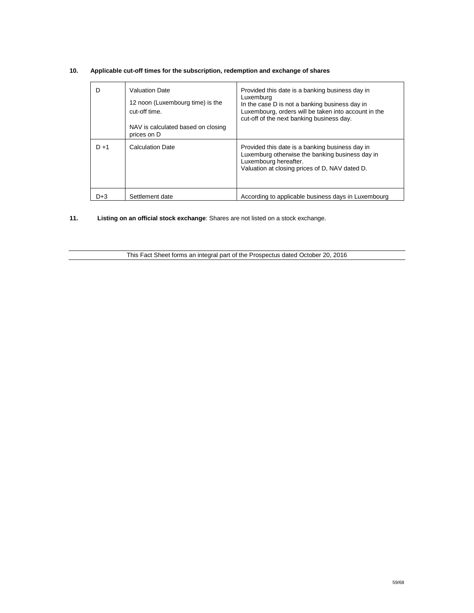| D       | <b>Valuation Date</b><br>12 noon (Luxembourg time) is the<br>cut-off time.<br>NAV is calculated based on closing | Provided this date is a banking business day in<br>Luxemburg<br>In the case D is not a banking business day in<br>Luxembourg, orders will be taken into account in the<br>cut-off of the next banking business day. |
|---------|------------------------------------------------------------------------------------------------------------------|---------------------------------------------------------------------------------------------------------------------------------------------------------------------------------------------------------------------|
|         | prices on D                                                                                                      |                                                                                                                                                                                                                     |
| $D + 1$ | <b>Calculation Date</b>                                                                                          | Provided this date is a banking business day in<br>Luxemburg otherwise the banking business day in<br>Luxembourg hereafter.<br>Valuation at closing prices of D, NAV dated D.                                       |
| D+3     | Settlement date                                                                                                  | According to applicable business days in Luxembourg                                                                                                                                                                 |

## **10. Applicable cut-off times for the subscription, redemption and exchange of shares**

**11. Listing on an official stock exchange**: Shares are not listed on a stock exchange.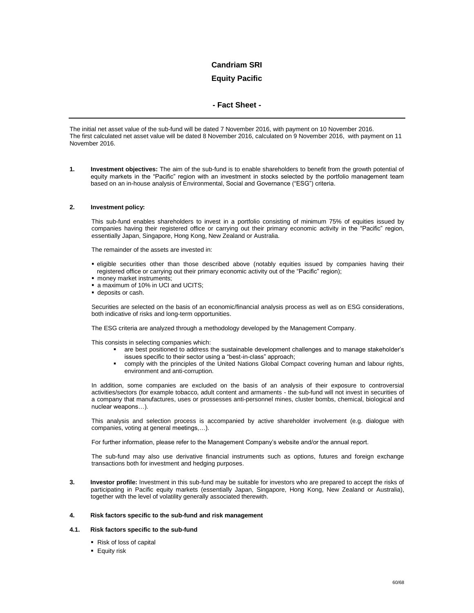## **Equity Pacific**

### **- Fact Sheet -**

The initial net asset value of the sub-fund will be dated 7 November 2016, with payment on 10 November 2016. The first calculated net asset value will be dated 8 November 2016, calculated on 9 November 2016, with payment on 11 November 2016.

**1. Investment objectives:** The aim of the sub-fund is to enable shareholders to benefit from the growth potential of equity markets in the "Pacific" region with an investment in stocks selected by the portfolio management team based on an in-house analysis of Environmental, Social and Governance ("ESG") criteria.

#### **2. Investment policy:**

This sub-fund enables shareholders to invest in a portfolio consisting of minimum 75% of equities issued by companies having their registered office or carrying out their primary economic activity in the "Pacific" region, essentially Japan, Singapore, Hong Kong, New Zealand or Australia.

The remainder of the assets are invested in:

- eligible securities other than those described above (notably equities issued by companies having their registered office or carrying out their primary economic activity out of the "Pacific" region);
- $\blacksquare$  money market instruments;
- **a** maximum of 10% in UCI and UCITS;
- deposits or cash.

Securities are selected on the basis of an economic/financial analysis process as well as on ESG considerations, both indicative of risks and long-term opportunities.

The ESG criteria are analyzed through a methodology developed by the Management Company.

This consists in selecting companies which:

- are best positioned to address the sustainable development challenges and to manage stakeholder's issues specific to their sector using a "best-in-class" approach;
- comply with the principles of the United Nations Global Compact covering human and labour rights, environment and anti-corruption.

In addition, some companies are excluded on the basis of an analysis of their exposure to controversial activities/sectors (for example tobacco, adult content and armaments - the sub-fund will not invest in securities of a company that manufactures, uses or prossesses anti-personnel mines, cluster bombs, chemical, biological and nuclear weapons…).

This analysis and selection process is accompanied by active shareholder involvement (e.g. dialogue with companies, voting at general meetings,…).

For further information, please refer to the Management Company's website and/or the annual report.

The sub-fund may also use derivative financial instruments such as options, futures and foreign exchange transactions both for investment and hedging purposes.

**3. Investor profile:** Investment in this sub-fund may be suitable for investors who are prepared to accept the risks of participating in Pacific equity markets (essentially Japan, Singapore, Hong Kong, New Zealand or Australia), together with the level of volatility generally associated therewith.

#### **4. Risk factors specific to the sub-fund and risk management**

#### **4.1. Risk factors specific to the sub-fund**

- Risk of loss of capital
- **Equity risk**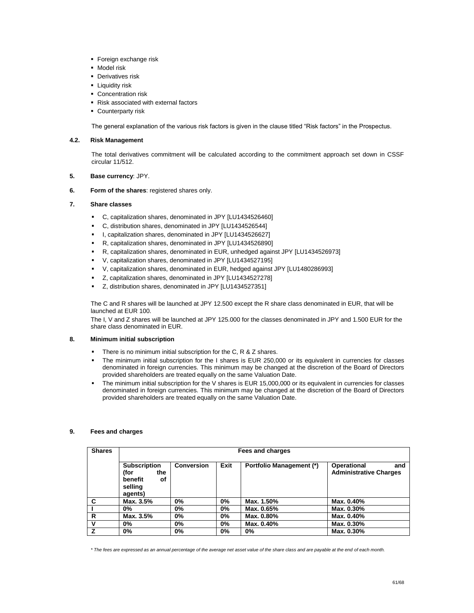- **Foreign exchange risk**
- **-** Model risk
- **Derivatives risk**
- **-** Liquidity risk
- **Concentration risk**
- Risk associated with external factors
- **Counterparty risk**

The general explanation of the various risk factors is given in the clause titled "Risk factors" in the Prospectus.

### **4.2. Risk Management**

The total derivatives commitment will be calculated according to the commitment approach set down in CSSF circular 11/512.

### **5. Base currency**: JPY.

**6. Form of the shares**: registered shares only.

### **7. Share classes**

- C, capitalization shares, denominated in JPY [LU1434526460]
- C, distribution shares, denominated in JPY [LU1434526544]
- I, capitalization shares, denominated in JPY [LU1434526627]
- R, capitalization shares, denominated in JPY [LU1434526890]
- R, capitalization shares, denominated in EUR, unhedged against JPY [LU1434526973]
- V, capitalization shares, denominated in JPY [LU1434527195]
- V, capitalization shares, denominated in EUR, hedged against JPY [LU1480286993]
- Z, capitalization shares, denominated in JPY [LU1434527278]
- Z, distribution shares, denominated in JPY [LU1434527351]

The C and R shares will be launched at JPY 12.500 except the R share class denominated in EUR, that will be launched at EUR 100.

The I, V and Z shares will be launched at JPY 125.000 for the classes denominated in JPY and 1.500 EUR for the share class denominated in EUR.

### **8. Minimum initial subscription**

- There is no minimum initial subscription for the C, R & Z shares.
- The minimum initial subscription for the I shares is EUR 250,000 or its equivalent in currencies for classes denominated in foreign currencies. This minimum may be changed at the discretion of the Board of Directors provided shareholders are treated equally on the same Valuation Date.
- The minimum initial subscription for the V shares is EUR 15,000,000 or its equivalent in currencies for classes denominated in foreign currencies. This minimum may be changed at the discretion of the Board of Directors provided shareholders are treated equally on the same Valuation Date.

### **9. Fees and charges**

| <b>Shares</b> | Fees and charges                                                          |                   |      |                                 |                                                            |
|---------------|---------------------------------------------------------------------------|-------------------|------|---------------------------------|------------------------------------------------------------|
|               | <b>Subscription</b><br>(for<br>the<br>benefit<br>οf<br>selling<br>agents) | <b>Conversion</b> | Exit | <b>Portfolio Management (*)</b> | <b>Operational</b><br>and<br><b>Administrative Charges</b> |
| C             | Max. 3.5%                                                                 | 0%                | 0%   | Max. 1.50%                      | Max. 0.40%                                                 |
|               | $0\%$                                                                     | 0%                | 0%   | Max. 0.65%                      | Max. 0.30%                                                 |
| R             | Max. 3.5%                                                                 | 0%                | 0%   | Max. 0.80%                      | Max. 0.40%                                                 |
| v             | 0%                                                                        | 0%                | 0%   | Max. 0.40%                      | Max. 0.30%                                                 |
|               | $0\%$                                                                     | 0%                | 0%   | 0%                              | Max. 0.30%                                                 |

*\* The fees are expressed as an annual percentage of the average net asset value of the share class and are payable at the end of each month.*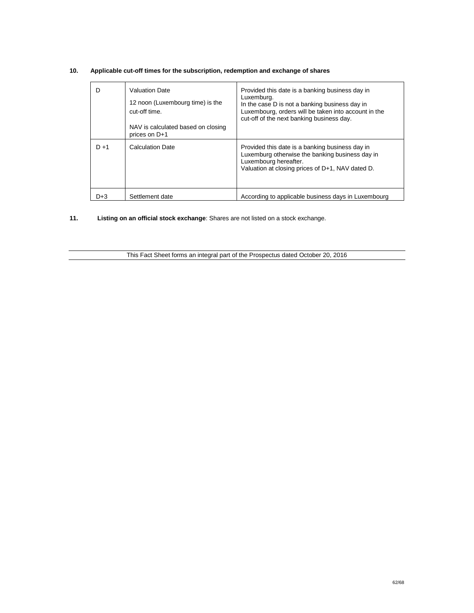| D       | <b>Valuation Date</b><br>12 noon (Luxembourg time) is the<br>cut-off time.<br>NAV is calculated based on closing | Provided this date is a banking business day in<br>Luxemburg.<br>In the case D is not a banking business day in<br>Luxembourg, orders will be taken into account in the<br>cut-off of the next banking business day. |
|---------|------------------------------------------------------------------------------------------------------------------|----------------------------------------------------------------------------------------------------------------------------------------------------------------------------------------------------------------------|
|         | prices on D+1                                                                                                    |                                                                                                                                                                                                                      |
| $D + 1$ | <b>Calculation Date</b>                                                                                          | Provided this date is a banking business day in<br>Luxemburg otherwise the banking business day in<br>Luxembourg hereafter.<br>Valuation at closing prices of D+1, NAV dated D.                                      |
| D+3     | Settlement date                                                                                                  | According to applicable business days in Luxembourg                                                                                                                                                                  |

## **10. Applicable cut-off times for the subscription, redemption and exchange of shares**

**11. Listing on an official stock exchange**: Shares are not listed on a stock exchange.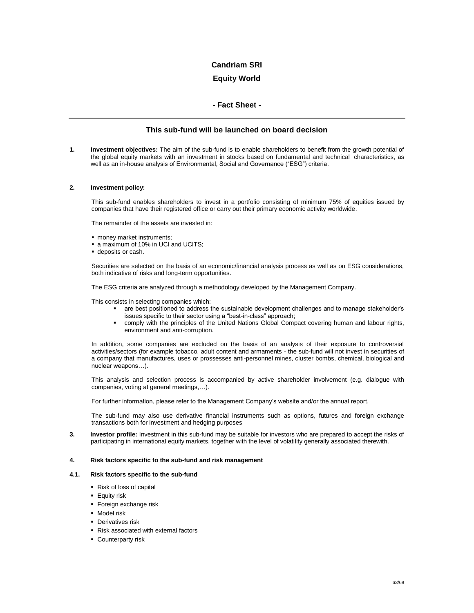## **Equity World**

### **- Fact Sheet -**

### **This sub-fund will be launched on board decision**

**1. Investment objectives:** The aim of the sub-fund is to enable shareholders to benefit from the growth potential of the global equity markets with an investment in stocks based on fundamental and technical characteristics, as well as an in-house analysis of Environmental, Social and Governance ("ESG") criteria.

#### **2. Investment policy:**

This sub-fund enables shareholders to invest in a portfolio consisting of minimum 75% of equities issued by companies that have their registered office or carry out their primary economic activity worldwide.

The remainder of the assets are invested in:

- **noney market instruments:**
- a maximum of 10% in UCI and UCITS;
- deposits or cash.

Securities are selected on the basis of an economic/financial analysis process as well as on ESG considerations, both indicative of risks and long-term opportunities.

The ESG criteria are analyzed through a methodology developed by the Management Company.

This consists in selecting companies which:

- are best positioned to address the sustainable development challenges and to manage stakeholder's issues specific to their sector using a "best-in-class" approach;
- comply with the principles of the United Nations Global Compact covering human and labour rights, environment and anti-corruption.

In addition, some companies are excluded on the basis of an analysis of their exposure to controversial activities/sectors (for example tobacco, adult content and armaments - the sub-fund will not invest in securities of a company that manufactures, uses or prossesses anti-personnel mines, cluster bombs, chemical, biological and nuclear weapons…).

This analysis and selection process is accompanied by active shareholder involvement (e.g. dialogue with companies, voting at general meetings,…).

For further information, please refer to the Management Company's website and/or the annual report.

The sub-fund may also use derivative financial instruments such as options, futures and foreign exchange transactions both for investment and hedging purposes

**3. Investor profile:** Investment in this sub-fund may be suitable for investors who are prepared to accept the risks of participating in international equity markets, together with the level of volatility generally associated therewith.

#### **4. Risk factors specific to the sub-fund and risk management**

#### **4.1. Risk factors specific to the sub-fund**

- Risk of loss of capital
- **Equity risk**
- **Foreign exchange risk**
- **Model risk**
- **Derivatives risk**
- Risk associated with external factors
- **Counterparty risk**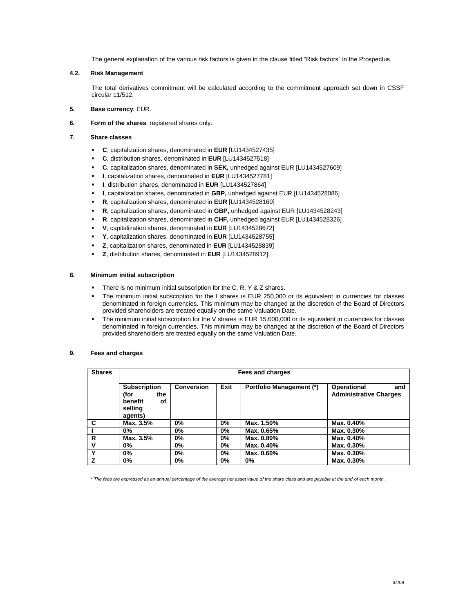The general explanation of the various risk factors is given in the clause titled "Risk factors" in the Prospectus.

#### **4.2. Risk Management**

The total derivatives commitment will be calculated according to the commitment approach set down in CSSF circular 11/512.

- **5. Base currency**: EUR.
- **6. Form of the shares**: registered shares only.
- **7. Share classes** 
	- **C**, capitalization shares, denominated in **EUR** [LU1434527435]
	- **C**, distribution shares, denominated in **EUR** [LU1434527518]
	- **C**, capitalization shares, denominated in **SEK,** unhedged against EUR [LU1434527609]
	- **I**, capitalization shares, denominated in **EUR** [LU1434527781]
	- **I**, distribution shares, denominated in **EUR** [LU1434527864]
	- **I**, capitalization shares, denominated in **GBP,** unhedged against EUR [LU1434528086]
	- **R**, capitalization shares, denominated in **EUR** [LU1434528169]
	- **R**, capitalization shares, denominated in **GBP,** unhedged against EUR [LU1434528243]
	- **R**, capitalization shares, denominated in **CHF,** unhedged against EUR [LU1434528326]
	- **V**, capitalization shares, denominated in **EUR** [LU1434528672]
	- **Y**, capitalization shares, denominated in **EUR** [LU1434528755]
	- **Z**, capitalization shares, denominated in **EUR** [LU1434528839]
	- **Z**, distribution shares, denominated in **EUR** [LU1434528912];

#### **8. Minimum initial subscription**

- There is no minimum initial subscription for the C, R, Y & Z shares.
- The minimum initial subscription for the I shares is EUR 250,000 or its equivalent in currencies for classes denominated in foreign currencies. This minimum may be changed at the discretion of the Board of Directors provided shareholders are treated equally on the same Valuation Date.
- The minimum initial subscription for the V shares is EUR 15,000,000 or its equivalent in currencies for classes denominated in foreign currencies. This minimum may be changed at the discretion of the Board of Directors provided shareholders are treated equally on the same Valuation Date.

#### **9. Fees and charges**

| <b>Shares</b> | Fees and charges                                                          |                   |      |                                 |                                                            |
|---------------|---------------------------------------------------------------------------|-------------------|------|---------------------------------|------------------------------------------------------------|
|               | <b>Subscription</b><br>the<br>(for<br>benefit<br>οf<br>selling<br>agents) | <b>Conversion</b> | Exit | <b>Portfolio Management (*)</b> | <b>Operational</b><br>and<br><b>Administrative Charges</b> |
| C             | Max. 3.5%                                                                 | 0%                | 0%   | Max. 1.50%                      | Max. 0.40%                                                 |
|               | $0\%$                                                                     | $0\%$             | 0%   | Max. 0.65%                      | Max. 0.30%                                                 |
| R             | Max. 3.5%                                                                 | 0%                | 0%   | Max. 0.80%                      | Max. 0.40%                                                 |
| v             | $0\%$                                                                     | 0%                | 0%   | Max. 0.40%                      | Max. 0.30%                                                 |
| $\checkmark$  | $0\%$                                                                     | 0%                | 0%   | Max. 0.60%                      | Max. 0.30%                                                 |
|               | $0\%$                                                                     | 0%                | 0%   | 0%                              | Max. 0.30%                                                 |

*\* The fees are expressed as an annual percentage of the average net asset value of the share class and are payable at the end of each month.*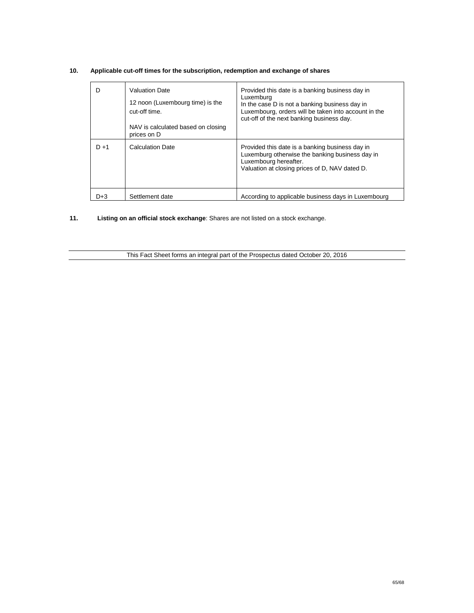| D       | <b>Valuation Date</b><br>12 noon (Luxembourg time) is the<br>cut-off time.<br>NAV is calculated based on closing<br>prices on D | Provided this date is a banking business day in<br>Luxemburg<br>In the case D is not a banking business day in<br>Luxembourg, orders will be taken into account in the<br>cut-off of the next banking business day. |
|---------|---------------------------------------------------------------------------------------------------------------------------------|---------------------------------------------------------------------------------------------------------------------------------------------------------------------------------------------------------------------|
|         |                                                                                                                                 |                                                                                                                                                                                                                     |
| $D + 1$ | <b>Calculation Date</b>                                                                                                         | Provided this date is a banking business day in<br>Luxemburg otherwise the banking business day in<br>Luxembourg hereafter.<br>Valuation at closing prices of D, NAV dated D.                                       |
| D+3     | Settlement date                                                                                                                 | According to applicable business days in Luxembourg                                                                                                                                                                 |

## **10. Applicable cut-off times for the subscription, redemption and exchange of shares**

**11. Listing on an official stock exchange**: Shares are not listed on a stock exchange.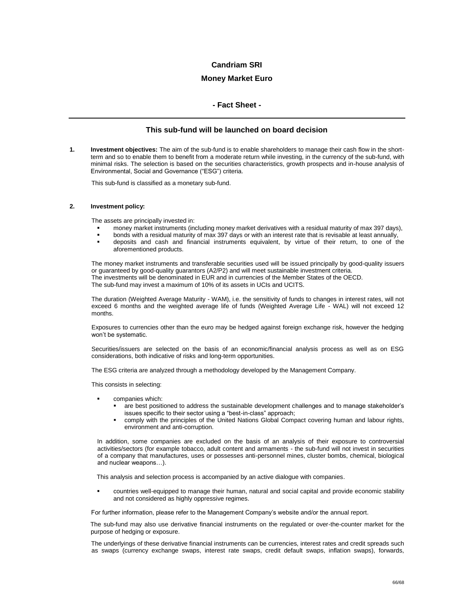### **Money Market Euro**

### **- Fact Sheet -**

### **This sub-fund will be launched on board decision**

**1. Investment objectives:** The aim of the sub-fund is to enable shareholders to manage their cash flow in the shortterm and so to enable them to benefit from a moderate return while investing, in the currency of the sub-fund, with minimal risks. The selection is based on the securities characteristics, growth prospects and in-house analysis of Environmental, Social and Governance ("ESG") criteria.

This sub-fund is classified as a monetary sub-fund.

#### **2. Investment policy:**

The assets are principally invested in:

- money market instruments (including money market derivatives with a residual maturity of max 397 days),
- bonds with a residual maturity of max 397 days or with an interest rate that is revisable at least annually,
- deposits and cash and financial instruments equivalent, by virtue of their return, to one of the aforementioned products.

The money market instruments and transferable securities used will be issued principally by good-quality issuers or guaranteed by good-quality guarantors (A2/P2) and will meet sustainable investment criteria. The investments will be denominated in EUR and in currencies of the Member States of the OECD. The sub-fund may invest a maximum of 10% of its assets in UCIs and UCITS.

The duration (Weighted Average Maturity - WAM), i.e. the sensitivity of funds to changes in interest rates, will not exceed 6 months and the weighted average life of funds (Weighted Average Life - WAL) will not exceed 12 months.

Exposures to currencies other than the euro may be hedged against foreign exchange risk, however the hedging won't be systematic.

Securities/issuers are selected on the basis of an economic/financial analysis process as well as on ESG considerations, both indicative of risks and long-term opportunities.

The ESG criteria are analyzed through a methodology developed by the Management Company.

This consists in selecting:

- companies which:
	- are best positioned to address the sustainable development challenges and to manage stakeholder's issues specific to their sector using a "best-in-class" approach;
	- comply with the principles of the United Nations Global Compact covering human and labour rights, environment and anti-corruption.

In addition, some companies are excluded on the basis of an analysis of their exposure to controversial activities/sectors (for example tobacco, adult content and armaments - the sub-fund will not invest in securities of a company that manufactures, uses or possesses anti-personnel mines, cluster bombs, chemical, biological and nuclear weapons…).

This analysis and selection process is accompanied by an active dialogue with companies.

 countries well-equipped to manage their human, natural and social capital and provide economic stability and not considered as highly oppressive regimes.

For further information, please refer to the Management Company's website and/or the annual report.

The sub-fund may also use derivative financial instruments on the regulated or over-the-counter market for the purpose of hedging or exposure.

The underlyings of these derivative financial instruments can be currencies, interest rates and credit spreads such as swaps (currency exchange swaps, interest rate swaps, credit default swaps, inflation swaps), forwards,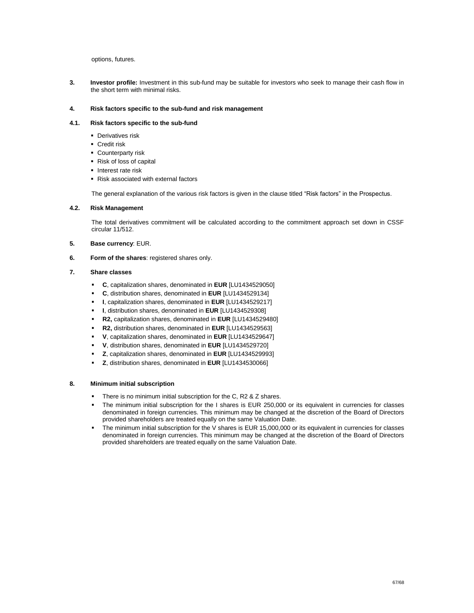options, futures.

**3. Investor profile:** Investment in this sub-fund may be suitable for investors who seek to manage their cash flow in the short term with minimal risks.

### **4. Risk factors specific to the sub-fund and risk management**

### **4.1. Risk factors specific to the sub-fund**

- **Derivatives risk**
- **Credit risk**
- **Counterparty risk**
- Risk of loss of capital
- Interest rate risk
- Risk associated with external factors

The general explanation of the various risk factors is given in the clause titled "Risk factors" in the Prospectus.

### **4.2. Risk Management**

The total derivatives commitment will be calculated according to the commitment approach set down in CSSF circular 11/512.

- **5. Base currency**: EUR.
- **6. Form of the shares**: registered shares only.

#### **7. Share classes**

- **C**, capitalization shares, denominated in **EUR** [LU1434529050]
- **C**, distribution shares, denominated in **EUR** [LU1434529134]
- **I**, capitalization shares, denominated in **EUR** [LU1434529217]
- **I**, distribution shares, denominated in **EUR** [LU1434529308]
- **R2,** capitalization shares, denominated in **EUR** [LU1434529480]
- **R2,** distribution shares, denominated in **EUR** [LU1434529563]
- **V**, capitalization shares, denominated in **EUR** [LU1434529647]
- **V**, distribution shares, denominated in **EUR** [LU1434529720]
- **Z**, capitalization shares, denominated in **EUR** [LU1434529993]
- **Z**, distribution shares, denominated in **EUR** [LU1434530066]

#### **8. Minimum initial subscription**

- There is no minimum initial subscription for the C, R2 & Z shares.
- The minimum initial subscription for the I shares is EUR 250,000 or its equivalent in currencies for classes denominated in foreign currencies. This minimum may be changed at the discretion of the Board of Directors provided shareholders are treated equally on the same Valuation Date.
- The minimum initial subscription for the V shares is EUR 15,000,000 or its equivalent in currencies for classes denominated in foreign currencies. This minimum may be changed at the discretion of the Board of Directors provided shareholders are treated equally on the same Valuation Date.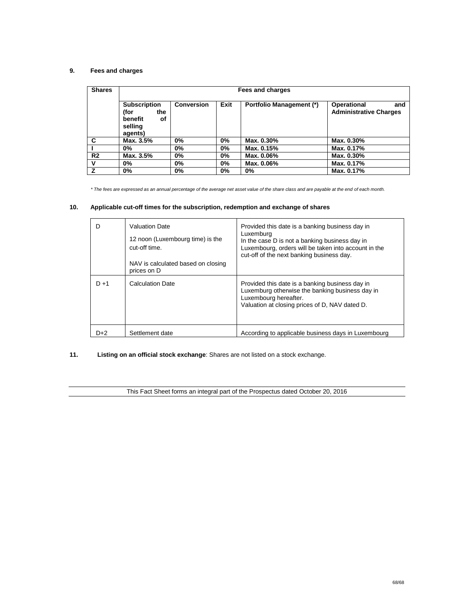## **9. Fees and charges**

| <b>Shares</b>  | Fees and charges                                                          |                   |       |                                 |                                                     |
|----------------|---------------------------------------------------------------------------|-------------------|-------|---------------------------------|-----------------------------------------------------|
|                | <b>Subscription</b><br>(for<br>the<br>benefit<br>οf<br>selling<br>agents) | <b>Conversion</b> | Exit  | <b>Portfolio Management (*)</b> | Operational<br>and<br><b>Administrative Charges</b> |
| C              | Max. 3.5%                                                                 | 0%                | $0\%$ | Max. 0.30%                      | Max. 0.30%                                          |
|                | 0%                                                                        | 0%                | $0\%$ | Max. 0.15%                      | Max. 0.17%                                          |
| R <sub>2</sub> | Max. 3.5%                                                                 | 0%                | $0\%$ | Max. 0.06%                      | Max. 0.30%                                          |
| v              | 0%                                                                        | $0\%$             | $0\%$ | Max. 0.06%                      | Max. 0.17%                                          |
| Z              | 0%                                                                        | 0%                | 0%    | 0%                              | Max. 0.17%                                          |

*\* The fees are expressed as an annual percentage of the average net asset value of the share class and are payable at the end of each month.*

## **10. Applicable cut-off times for the subscription, redemption and exchange of shares**

| D       | <b>Valuation Date</b><br>12 noon (Luxembourg time) is the<br>cut-off time.<br>NAV is calculated based on closing | Provided this date is a banking business day in<br>Luxemburg<br>In the case D is not a banking business day in<br>Luxembourg, orders will be taken into account in the<br>cut-off of the next banking business day. |
|---------|------------------------------------------------------------------------------------------------------------------|---------------------------------------------------------------------------------------------------------------------------------------------------------------------------------------------------------------------|
| $D + 1$ | prices on D<br><b>Calculation Date</b>                                                                           | Provided this date is a banking business day in<br>Luxemburg otherwise the banking business day in<br>Luxembourg hereafter.<br>Valuation at closing prices of D, NAV dated D.                                       |
| D+2     | Settlement date                                                                                                  | According to applicable business days in Luxembourg                                                                                                                                                                 |

## **11. Listing on an official stock exchange**: Shares are not listed on a stock exchange.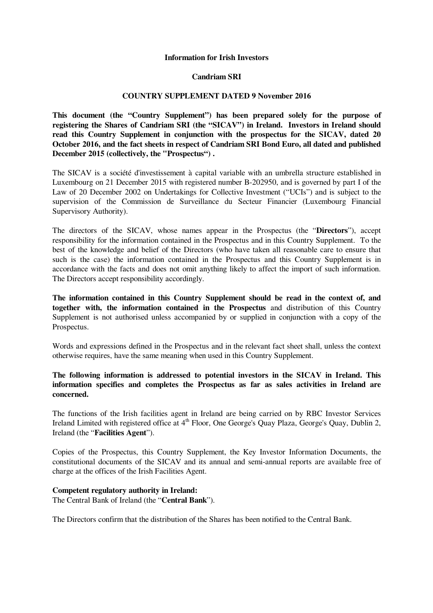## **Information for Irish Investors**

# **Candriam SRI**

# **COUNTRY SUPPLEMENT DATED 9 November 2016**

**This document (the "Country Supplement") has been prepared solely for the purpose of registering the Shares of Candriam SRI (the "SICAV") in Ireland. Investors in Ireland should read this Country Supplement in conjunction with the prospectus for the SICAV, dated 20 October 2016, and the fact sheets in respect of Candriam SRI Bond Euro, all dated and published December 2015 (collectively, the "Prospectus") .** 

The SICAV is a société d'investissement à capital variable with an umbrella structure established in Luxembourg on 21 December 2015 with registered number B-202950, and is governed by part I of the Law of 20 December 2002 on Undertakings for Collective Investment ("UCIs") and is subject to the supervision of the Commission de Surveillance du Secteur Financier (Luxembourg Financial Supervisory Authority).

The directors of the SICAV, whose names appear in the Prospectus (the "**Directors**"), accept responsibility for the information contained in the Prospectus and in this Country Supplement. To the best of the knowledge and belief of the Directors (who have taken all reasonable care to ensure that such is the case) the information contained in the Prospectus and this Country Supplement is in accordance with the facts and does not omit anything likely to affect the import of such information. The Directors accept responsibility accordingly.

**The information contained in this Country Supplement should be read in the context of, and together with, the information contained in the Prospectus** and distribution of this Country Supplement is not authorised unless accompanied by or supplied in conjunction with a copy of the Prospectus.

Words and expressions defined in the Prospectus and in the relevant fact sheet shall, unless the context otherwise requires, have the same meaning when used in this Country Supplement.

# **The following information is addressed to potential investors in the SICAV in Ireland. This information specifies and completes the Prospectus as far as sales activities in Ireland are concerned.**

The functions of the Irish facilities agent in Ireland are being carried on by RBC Investor Services Ireland Limited with registered office at 4<sup>th</sup> Floor, One George's Quay Plaza, George's Quay, Dublin 2, Ireland (the "**Facilities Agent**").

Copies of the Prospectus, this Country Supplement, the Key Investor Information Documents, the constitutional documents of the SICAV and its annual and semi-annual reports are available free of charge at the offices of the Irish Facilities Agent.

# **Competent regulatory authority in Ireland:**

The Central Bank of Ireland (the "**Central Bank**").

The Directors confirm that the distribution of the Shares has been notified to the Central Bank.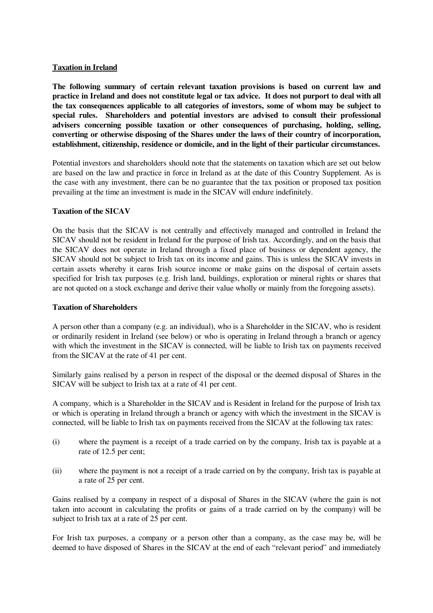# **Taxation in Ireland**

**The following summary of certain relevant taxation provisions is based on current law and practice in Ireland and does not constitute legal or tax advice. It does not purport to deal with all the tax consequences applicable to all categories of investors, some of whom may be subject to special rules. Shareholders and potential investors are advised to consult their professional advisers concerning possible taxation or other consequences of purchasing, holding, selling, converting or otherwise disposing of the Shares under the laws of their country of incorporation, establishment, citizenship, residence or domicile, and in the light of their particular circumstances.**

Potential investors and shareholders should note that the statements on taxation which are set out below are based on the law and practice in force in Ireland as at the date of this Country Supplement. As is the case with any investment, there can be no guarantee that the tax position or proposed tax position prevailing at the time an investment is made in the SICAV will endure indefinitely.

# **Taxation of the SICAV**

On the basis that the SICAV is not centrally and effectively managed and controlled in Ireland the SICAV should not be resident in Ireland for the purpose of Irish tax. Accordingly, and on the basis that the SICAV does not operate in Ireland through a fixed place of business or dependent agency, the SICAV should not be subject to Irish tax on its income and gains. This is unless the SICAV invests in certain assets whereby it earns Irish source income or make gains on the disposal of certain assets specified for Irish tax purposes (e.g. Irish land, buildings, exploration or mineral rights or shares that are not quoted on a stock exchange and derive their value wholly or mainly from the foregoing assets).

# **Taxation of Shareholders**

A person other than a company (e.g. an individual), who is a Shareholder in the SICAV, who is resident or ordinarily resident in Ireland (see below) or who is operating in Ireland through a branch or agency with which the investment in the SICAV is connected, will be liable to Irish tax on payments received from the SICAV at the rate of 41 per cent.

Similarly gains realised by a person in respect of the disposal or the deemed disposal of Shares in the SICAV will be subject to Irish tax at a rate of 41 per cent.

A company, which is a Shareholder in the SICAV and is Resident in Ireland for the purpose of Irish tax or which is operating in Ireland through a branch or agency with which the investment in the SICAV is connected, will be liable to Irish tax on payments received from the SICAV at the following tax rates:

- (i) where the payment is a receipt of a trade carried on by the company, Irish tax is payable at a rate of 12.5 per cent;
- (ii) where the payment is not a receipt of a trade carried on by the company, Irish tax is payable at a rate of 25 per cent.

Gains realised by a company in respect of a disposal of Shares in the SICAV (where the gain is not taken into account in calculating the profits or gains of a trade carried on by the company) will be subject to Irish tax at a rate of 25 per cent.

For Irish tax purposes, a company or a person other than a company, as the case may be, will be deemed to have disposed of Shares in the SICAV at the end of each "relevant period" and immediately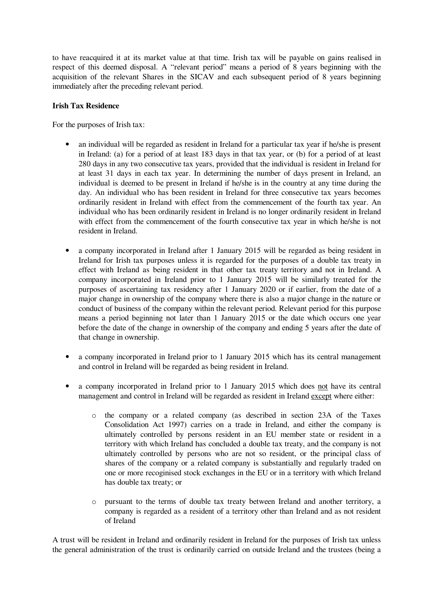to have reacquired it at its market value at that time. Irish tax will be payable on gains realised in respect of this deemed disposal. A "relevant period" means a period of 8 years beginning with the acquisition of the relevant Shares in the SICAV and each subsequent period of 8 years beginning immediately after the preceding relevant period.

# **Irish Tax Residence**

For the purposes of Irish tax:

- an individual will be regarded as resident in Ireland for a particular tax year if he/she is present in Ireland: (a) for a period of at least 183 days in that tax year, or (b) for a period of at least 280 days in any two consecutive tax years, provided that the individual is resident in Ireland for at least 31 days in each tax year. In determining the number of days present in Ireland, an individual is deemed to be present in Ireland if he/she is in the country at any time during the day. An individual who has been resident in Ireland for three consecutive tax years becomes ordinarily resident in Ireland with effect from the commencement of the fourth tax year. An individual who has been ordinarily resident in Ireland is no longer ordinarily resident in Ireland with effect from the commencement of the fourth consecutive tax year in which he/she is not resident in Ireland.
- a company incorporated in Ireland after 1 January 2015 will be regarded as being resident in Ireland for Irish tax purposes unless it is regarded for the purposes of a double tax treaty in effect with Ireland as being resident in that other tax treaty territory and not in Ireland. A company incorporated in Ireland prior to 1 January 2015 will be similarly treated for the purposes of ascertaining tax residency after 1 January 2020 or if earlier, from the date of a major change in ownership of the company where there is also a major change in the nature or conduct of business of the company within the relevant period. Relevant period for this purpose means a period beginning not later than 1 January 2015 or the date which occurs one year before the date of the change in ownership of the company and ending 5 years after the date of that change in ownership.
- a company incorporated in Ireland prior to 1 January 2015 which has its central management and control in Ireland will be regarded as being resident in Ireland.
- a company incorporated in Ireland prior to 1 January 2015 which does not have its central management and control in Ireland will be regarded as resident in Ireland except where either:
	- o the company or a related company (as described in section 23A of the Taxes Consolidation Act 1997) carries on a trade in Ireland, and either the company is ultimately controlled by persons resident in an EU member state or resident in a territory with which Ireland has concluded a double tax treaty, and the company is not ultimately controlled by persons who are not so resident, or the principal class of shares of the company or a related company is substantially and regularly traded on one or more recoginised stock exchanges in the EU or in a territory with which Ireland has double tax treaty; or
	- o pursuant to the terms of double tax treaty between Ireland and another territory, a company is regarded as a resident of a territory other than Ireland and as not resident of Ireland

A trust will be resident in Ireland and ordinarily resident in Ireland for the purposes of Irish tax unless the general administration of the trust is ordinarily carried on outside Ireland and the trustees (being a